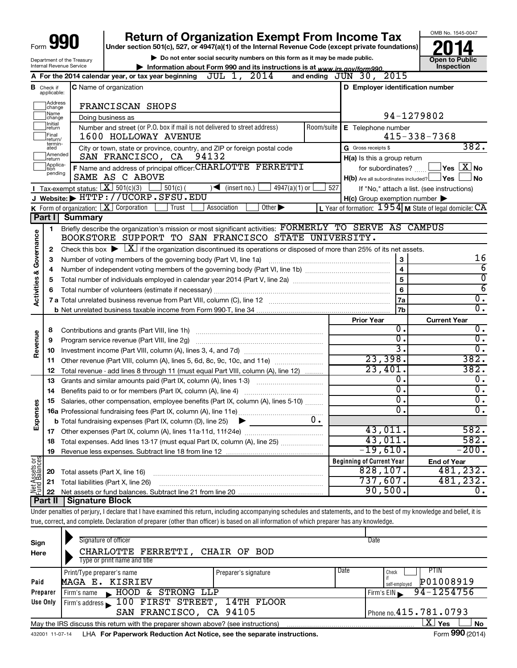|                                                        |                                  |                                             | <b>Return of Organization Exempt From Income Tax</b>                                                                                                                       |                |                                                     | OMB No. 1545-0047                                           |
|--------------------------------------------------------|----------------------------------|---------------------------------------------|----------------------------------------------------------------------------------------------------------------------------------------------------------------------------|----------------|-----------------------------------------------------|-------------------------------------------------------------|
|                                                        |                                  |                                             | Under section 501(c), 527, or 4947(a)(1) of the Internal Revenue Code (except private foundations)                                                                         |                |                                                     |                                                             |
| Department of the Treasury<br>Internal Revenue Service |                                  |                                             | Do not enter social security numbers on this form as it may be made public.                                                                                                |                |                                                     | <b>Open to Public</b>                                       |
|                                                        |                                  |                                             | Information about Form 990 and its instructions is at www.irs.gov/form990.<br>A For the 2014 calendar year, or tax year beginning $JUL$ 1, $2014$                          |                | and ending $J\bar{U}N$ 30, 2015                     | Inspection                                                  |
|                                                        |                                  |                                             |                                                                                                                                                                            |                |                                                     |                                                             |
|                                                        | <b>B</b> Check if<br>applicable: |                                             | <b>C</b> Name of organization                                                                                                                                              |                | D Employer identification number                    |                                                             |
|                                                        | Address<br>change                |                                             | FRANCISCAN SHOPS                                                                                                                                                           |                |                                                     |                                                             |
|                                                        | Name<br>change                   |                                             | Doing business as                                                                                                                                                          |                |                                                     | 94-1279802                                                  |
|                                                        | Initial<br>return                |                                             | Number and street (or P.O. box if mail is not delivered to street address)                                                                                                 | Room/suite     | E Telephone number                                  |                                                             |
|                                                        | Final<br>return/                 |                                             | 1600 HOLLOWAY AVENUE                                                                                                                                                       |                |                                                     | $415 - 338 - 7368$                                          |
|                                                        | termin-<br>ated                  |                                             | City or town, state or province, country, and ZIP or foreign postal code                                                                                                   |                | G Gross receipts \$                                 | 382.                                                        |
|                                                        | Amended<br>Ireturn               |                                             | SAN FRANCISCO, CA 94132                                                                                                                                                    |                | H(a) Is this a group return                         |                                                             |
|                                                        | Applica-<br>tion<br>pending      |                                             | F Name and address of principal officer: CHARLOTTE FERRETTI                                                                                                                |                | for subordinates?                                   | $\Box$ Yes $[\overline{\mathrm{X}}]$ No                     |
|                                                        |                                  |                                             | SAME AS C ABOVE                                                                                                                                                            |                | $H(b)$ Are all subordinates included? $\Box$ Yes    | ∫No                                                         |
|                                                        |                                  | <b>I</b> Tax-exempt status: $X \ 501(c)(3)$ | $4947(a)(1)$ or<br>$501(c)$ (<br>$\sqrt{\frac{1}{1}}$ (insert no.)                                                                                                         | 527            |                                                     | If "No," attach a list. (see instructions)                  |
|                                                        |                                  |                                             | J Website: FHTTP://UCORP.SFSU.EDU                                                                                                                                          |                | $H(c)$ Group exemption number $\blacktriangleright$ |                                                             |
|                                                        |                                  |                                             | K Form of organization: $X$ Corporation<br>Trust<br>$\overline{Other}$<br>Association                                                                                      |                |                                                     | L Year of formation: $1954$ M State of legal domicile: $CA$ |
|                                                        | Part I                           | <b>Summary</b>                              |                                                                                                                                                                            |                |                                                     |                                                             |
|                                                        | 1                                |                                             | Briefly describe the organization's mission or most significant activities: FORMERLY TO SERVE AS CAMPUS<br>BOOKSTORE SUPPORT TO SAN FRANCISCO STATE UNIVERSITY.            |                |                                                     |                                                             |
| Activities & Governance                                |                                  |                                             |                                                                                                                                                                            |                |                                                     |                                                             |
|                                                        | 2                                |                                             | Check this box $\blacktriangleright \boxed{\underline{X}}$ if the organization discontinued its operations or disposed of more than 25% of its net assets.                 |                |                                                     | 16                                                          |
|                                                        | З                                |                                             | Number of voting members of the governing body (Part VI, line 1a)                                                                                                          |                | 3                                                   | $\overline{6}$                                              |
|                                                        | 4                                |                                             |                                                                                                                                                                            |                | $\overline{\mathbf{4}}$                             | $\overline{\mathfrak{o}}$                                   |
|                                                        | 5                                |                                             | 5                                                                                                                                                                          | $\overline{6}$ |                                                     |                                                             |
|                                                        | 6                                |                                             |                                                                                                                                                                            |                | 6<br>7a                                             | $\overline{0}$ .                                            |
|                                                        |                                  |                                             |                                                                                                                                                                            |                |                                                     | $\overline{0}$ .                                            |
|                                                        |                                  |                                             |                                                                                                                                                                            |                | 7b                                                  |                                                             |
|                                                        | 8                                |                                             | Contributions and grants (Part VIII, line 1h)                                                                                                                              |                | <b>Prior Year</b><br>Ο.                             | <b>Current Year</b><br>$\overline{0}$ .                     |
|                                                        | 9                                |                                             | Program service revenue (Part VIII, line 2g)                                                                                                                               |                | Ο.                                                  | $\overline{0}$ .                                            |
| Revenue                                                | 10                               |                                             |                                                                                                                                                                            |                | 3.                                                  | $\overline{0}$ .                                            |
|                                                        | 11                               |                                             | Other revenue (Part VIII, column (A), lines 5, 6d, 8c, 9c, 10c, and 11e)                                                                                                   |                | 23,398.                                             | 382.                                                        |
|                                                        | 12                               |                                             | Total revenue - add lines 8 through 11 (must equal Part VIII, column (A), line 12)                                                                                         |                | 23,401.                                             | 382.                                                        |
|                                                        | 13                               |                                             | Grants and similar amounts paid (Part IX, column (A), lines 1-3)                                                                                                           |                | Ο.                                                  | 0.                                                          |
|                                                        | 14                               |                                             | Benefits paid to or for members (Part IX, column (A), line 4)                                                                                                              |                | σ.                                                  | $\overline{0}$ .                                            |
|                                                        | 15                               |                                             | Salaries, other compensation, employee benefits (Part IX, column (A), lines 5-10)                                                                                          |                | σ.                                                  | $\overline{0}$ .                                            |
| 8                                                      |                                  |                                             |                                                                                                                                                                            |                | О.                                                  | $0$ .                                                       |
| Expense                                                |                                  |                                             | <b>b</b> Total fundraising expenses (Part IX, column (D), line 25)                                                                                                         | 0.             |                                                     |                                                             |
|                                                        | 17                               |                                             |                                                                                                                                                                            |                | 43,011.                                             | 582.                                                        |
|                                                        | 18                               |                                             | Total expenses. Add lines 13-17 (must equal Part IX, column (A), line 25)                                                                                                  |                | 43,011.                                             | 582.                                                        |
|                                                        | 19                               |                                             |                                                                                                                                                                            |                | $-19,610$ .                                         | $-200.$                                                     |
|                                                        |                                  |                                             |                                                                                                                                                                            |                | <b>Beginning of Current Year</b>                    | <b>End of Year</b>                                          |
| Net Assets or                                          | 20                               | Total assets (Part X, line 16)              |                                                                                                                                                                            |                | $\overline{828,107}$ .                              | 481,232.                                                    |
|                                                        | 21                               |                                             | Total liabilities (Part X, line 26)                                                                                                                                        |                | 737,607.                                            | 481,232.                                                    |
|                                                        | 22                               |                                             |                                                                                                                                                                            |                | 90,500.                                             | 0.                                                          |
|                                                        | Part II                          | <b>Signature Block</b>                      |                                                                                                                                                                            |                |                                                     |                                                             |
|                                                        |                                  |                                             | Under penalties of perjury, I declare that I have examined this return, including accompanying schedules and statements, and to the best of my knowledge and belief, it is |                |                                                     |                                                             |
|                                                        |                                  |                                             | true, correct, and complete. Declaration of preparer (other than officer) is based on all information of which preparer has any knowledge.                                 |                |                                                     |                                                             |
|                                                        |                                  |                                             |                                                                                                                                                                            |                |                                                     |                                                             |
|                                                        |                                  |                                             | Signature of officer                                                                                                                                                       |                | <b>Date</b>                                         |                                                             |

| Sign<br>Here | Signature of officer<br>CHARLOTTE FERRETTI, CHAIR OF BOD<br>Type or print name and title                     | Date                                                |  |  |  |  |  |  |  |
|--------------|--------------------------------------------------------------------------------------------------------------|-----------------------------------------------------|--|--|--|--|--|--|--|
| Paid         | Print/Type preparer's name<br>Preparer's signature<br>MAGA E. KISRIEV                                        | Date<br>PTIN<br>Check<br>P01008919<br>self-employed |  |  |  |  |  |  |  |
| Preparer     | & STRONG LLP<br>HOOD<br>Firm's name<br>$\blacksquare$                                                        | 94-1254756<br>Firm's $EIN$                          |  |  |  |  |  |  |  |
| Use Only     | Firm's address 100 FIRST STREET,<br>14TH FLOOR                                                               |                                                     |  |  |  |  |  |  |  |
|              | SAN FRANCISCO, CA 94105                                                                                      | Phone no. 415.781.0793                              |  |  |  |  |  |  |  |
|              | ΧI<br>Yes<br><b>No</b><br>May the IRS discuss this return with the preparer shown above? (see instructions)  |                                                     |  |  |  |  |  |  |  |
|              | Form 990 (2014)<br>LHA For Paperwork Reduction Act Notice, see the separate instructions.<br>432001 11-07-14 |                                                     |  |  |  |  |  |  |  |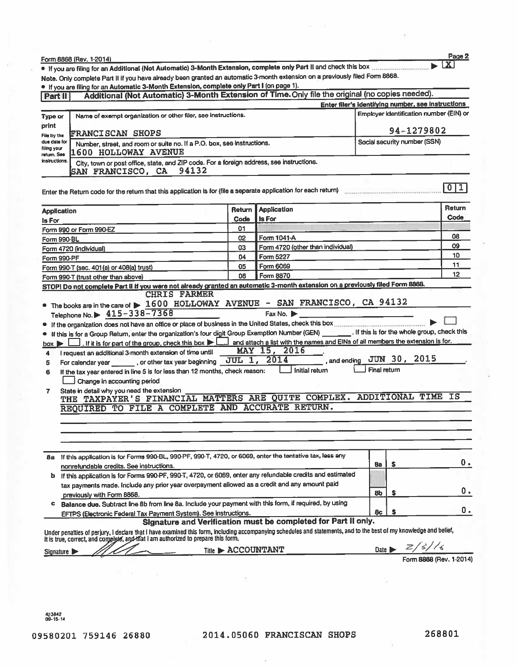|                             | Form 8868 (Rev. 1-2014)                                                                                                                                                                                                                                                                                                                                                                                                                     |                  |                                                                |              |                                                    | Page 2                  |
|-----------------------------|---------------------------------------------------------------------------------------------------------------------------------------------------------------------------------------------------------------------------------------------------------------------------------------------------------------------------------------------------------------------------------------------------------------------------------------------|------------------|----------------------------------------------------------------|--------------|----------------------------------------------------|-------------------------|
|                             | • If you are filing for an Additional (Not Automatic) 3-Month Extension, complete only Part II and check this box                                                                                                                                                                                                                                                                                                                           |                  |                                                                |              |                                                    | 1 X                     |
|                             | Note. Only complete Part II if you have already been granted an automatic 3-month extension on a previously filed Form 8868.                                                                                                                                                                                                                                                                                                                |                  |                                                                |              |                                                    |                         |
|                             | . If you are filing for an Automatic 3-Month Extension, complete only Part I (on page 1).                                                                                                                                                                                                                                                                                                                                                   |                  |                                                                |              |                                                    |                         |
| <b>Part II</b>              | Additional (Not Automatic) 3-Month Extension of Time. Only file the original (no copies needed).                                                                                                                                                                                                                                                                                                                                            |                  |                                                                |              |                                                    |                         |
|                             |                                                                                                                                                                                                                                                                                                                                                                                                                                             |                  |                                                                |              | Enter filer's identifying number, see instructions |                         |
| Type or                     | Name of exempt organization or other filer, see instructions.                                                                                                                                                                                                                                                                                                                                                                               |                  |                                                                |              | Employer identification number (EIN) or            |                         |
| print                       |                                                                                                                                                                                                                                                                                                                                                                                                                                             |                  |                                                                |              | 94-1279802                                         |                         |
| File by the<br>due date for | <b>FRANCISCAN SHOPS</b>                                                                                                                                                                                                                                                                                                                                                                                                                     |                  |                                                                |              | Social security number (SSN)                       |                         |
| filing your<br>retum. See   | Number, street, and room or suite no. If a P.O. box, see instructions.<br><b>1600 HOLLOWAY AVENUE</b>                                                                                                                                                                                                                                                                                                                                       |                  |                                                                |              |                                                    |                         |
| instructions.               | City, town or post office, state, and ZIP code. For a foreign address, see instructions.<br>94132<br><b>SAN FRANCISCO, CA</b>                                                                                                                                                                                                                                                                                                               |                  |                                                                |              |                                                    |                         |
|                             | Enter the Return code for the return that this application is for (file a separate application for each return)                                                                                                                                                                                                                                                                                                                             |                  |                                                                |              |                                                    | 0 <br>1                 |
|                             |                                                                                                                                                                                                                                                                                                                                                                                                                                             |                  |                                                                |              |                                                    |                         |
| <b>Application</b>          |                                                                                                                                                                                                                                                                                                                                                                                                                                             | Return           | <b>Application</b>                                             |              |                                                    | Return                  |
| ls For                      |                                                                                                                                                                                                                                                                                                                                                                                                                                             | Code             | Is For                                                         |              |                                                    | Code                    |
|                             | Form 990 or Form 990-EZ                                                                                                                                                                                                                                                                                                                                                                                                                     | 01               |                                                                |              |                                                    |                         |
|                             | Form 990-BL                                                                                                                                                                                                                                                                                                                                                                                                                                 | 02               | Form 1041-A                                                    |              |                                                    | 08                      |
|                             | Form 4720 (individual)                                                                                                                                                                                                                                                                                                                                                                                                                      | 03               | Form 4720 (other than individual)                              |              |                                                    | 09                      |
|                             | Form 990-PF                                                                                                                                                                                                                                                                                                                                                                                                                                 | 04               | Form 5227                                                      |              |                                                    | 10<br>11                |
|                             | Form 990-T (sec. 401(a) or 408(a) trust)                                                                                                                                                                                                                                                                                                                                                                                                    | 05               | Form 6069                                                      |              |                                                    | 12                      |
|                             | Form 990-T (trust other than above)<br>STOP! Do not complete Part II if you were not already granted an automatic 3-month extension on a previously filed Form 8868.                                                                                                                                                                                                                                                                        | 06               | Form 8870                                                      |              |                                                    |                         |
|                             | • The books are in the care of $\triangleright$ 1600 HOLLOWAY AVENUE - SAN FRANCISCO, CA 94132<br>Telephone No. $\triangleright$ 415-338-7368<br>If this is for a Group Return, enter the organization's four digit Group Exemption Number (GEN) _______. If this is for the whole group, check this<br>. If it is for part of the group, check this box     and attach a list with the names and EINs of all members the extension is for. |                  | Fax No.                                                        |              |                                                    |                         |
| $box \triangleright$        |                                                                                                                                                                                                                                                                                                                                                                                                                                             |                  | MAY 15, 2016                                                   |              |                                                    |                         |
| 4                           | I request an additional 3-month extension of time until<br>For calendar year ________, or other tax year beginning __ JUL _ 1, 2014                                                                                                                                                                                                                                                                                                         |                  |                                                                |              | and ending JUN 30, 2015                            |                         |
| 5<br>6                      | If the tax year entered in line 5 is for less than 12 months, check reason:                                                                                                                                                                                                                                                                                                                                                                 |                  | Initial return                                                 | Final return |                                                    |                         |
|                             | Change in accounting period                                                                                                                                                                                                                                                                                                                                                                                                                 |                  |                                                                |              |                                                    |                         |
| 7.                          | State in detail why you need the extension<br>THE TAXPAYER'S FINANCIAL MATTERS ARE QUITE COMPLEX. ADDITIONAL TIME<br>REQUIRED TO FILE A COMPLETE AND ACCURATE RETURN.                                                                                                                                                                                                                                                                       |                  |                                                                |              |                                                    | ΙS                      |
|                             |                                                                                                                                                                                                                                                                                                                                                                                                                                             |                  |                                                                |              |                                                    |                         |
|                             |                                                                                                                                                                                                                                                                                                                                                                                                                                             |                  |                                                                |              |                                                    |                         |
|                             |                                                                                                                                                                                                                                                                                                                                                                                                                                             |                  |                                                                |              |                                                    |                         |
|                             |                                                                                                                                                                                                                                                                                                                                                                                                                                             |                  |                                                                |              |                                                    |                         |
| 8а                          | If this application is for Forms 990-BL, 990-PF, 990-T, 4720, or 6069, enter the tentative tax, less any                                                                                                                                                                                                                                                                                                                                    |                  |                                                                |              |                                                    |                         |
|                             | nonrefundable credits. See instructions.                                                                                                                                                                                                                                                                                                                                                                                                    |                  |                                                                | 8a           | s                                                  | Ο.                      |
| ь                           | If this application is for Forms 990-PF, 990-T, 4720, or 6069, enter any refundable credits and estimated                                                                                                                                                                                                                                                                                                                                   |                  |                                                                |              |                                                    |                         |
|                             | tax payments made. Include any prior year overpayment allowed as a credit and any amount paid                                                                                                                                                                                                                                                                                                                                               |                  |                                                                |              |                                                    | 0.                      |
|                             | previously with Form 8868.                                                                                                                                                                                                                                                                                                                                                                                                                  |                  |                                                                | 8b           | s                                                  |                         |
| c                           | Balance due. Subtract line 8b from line 8a. Include your payment with this form, if required, by using                                                                                                                                                                                                                                                                                                                                      |                  |                                                                |              |                                                    | 0.                      |
|                             | EFTPS (Electronic Federal Tax Payment System). See instructions.                                                                                                                                                                                                                                                                                                                                                                            |                  |                                                                | 8c           | \$                                                 |                         |
|                             | Under penatties of perjury, I declare that I have examined this form, including accompanying schedules and statements, and to the best of my knowledge and belief,<br>it is true, correct, and complete, and that I am authorized                                                                                                                                                                                                           |                  | Signature and Verification must be completed for Part II only. |              |                                                    |                         |
|                             | Signature                                                                                                                                                                                                                                                                                                                                                                                                                                   | Title ACCOUNTANT |                                                                |              | 2/3/16<br>Date $\blacktriangleright$               |                         |
|                             |                                                                                                                                                                                                                                                                                                                                                                                                                                             |                  |                                                                |              |                                                    | Form 8868 (Rev. 1-2014) |
|                             |                                                                                                                                                                                                                                                                                                                                                                                                                                             |                  |                                                                |              |                                                    |                         |

423842<br>09-15-14

 $\lambda$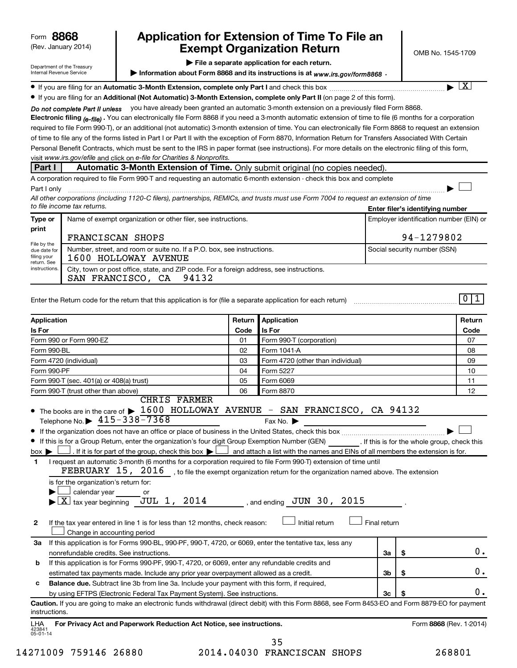| 8868<br>Form |  |
|--------------|--|
|--------------|--|

# (Rev. January 2014) **Cxempt Organization Return** Manuary 2014) **CMB No. 1545-1709 8868 Application for Extension of Time To File an**

† X

 $\Box$ 

| Department of the Treasury |
|----------------------------|
| Internal Revenue Service   |

#### **| File a separate application for each return.**

▶ Information about Form 8868 and its instructions is at www*.irs.gov/form8868* ⋅

**If you are filing for an Automatic 3-Month Extension, complete only Part I** and check this box  $\ldots$  $\ldots$  $\ldots$  $\ldots$ 

**• If you are filing for an Additional (Not Automatic) 3-Month Extension, complete only Part II (on page 2 of this form).** 

Do not complete Part II unless vou have already been granted an automatic 3-month extension on a previously filed Form 8868.

**Electronic filing .**  You can electronically file Form 8868 if you need a 3-month automatic extension of time to file (6 months for a corporation  *(e-file)* visit www.irs.gov/efile and click on e-file for Charities & Nonprofits. required to file Form 990-T), or an additional (not automatic) 3-month extension of time. You can electronically file Form 8868 to request an extension of time to file any of the forms listed in Part I or Part II with the exception of Form 8870, Information Return for Transfers Associated With Certain Personal Benefit Contracts, which must be sent to the IRS in paper format (see instructions). For more details on the electronic filing of this form,

# **Part I Automatic 3-Month Extension of Time.** Only submit original (no copies needed).

| required to file Form 990-T and requesting an automatic 6-month extension -<br>check this box<br>Δ |
|----------------------------------------------------------------------------------------------------|
| Part                                                                                               |

**Enter filer's identifying number** *All other corporations (including 1120-C filers), partnerships, REMICs, and trusts must use Form 7004 to request an extension of time to file income tax returns.*

| Type or                                                                    | Name of exempt organization or other filer, see instructions.                                                       | Employer identification number (EIN) or |  |  |  |
|----------------------------------------------------------------------------|---------------------------------------------------------------------------------------------------------------------|-----------------------------------------|--|--|--|
| print                                                                      | FRANCISCAN SHOPS                                                                                                    | 94-1279802                              |  |  |  |
| File by the<br>due date for<br>filing your<br>return. See<br>instructions. | Number, street, and room or suite no. If a P.O. box, see instructions.<br>1600 HOLLOWAY AVENUE                      | Social security number (SSN)            |  |  |  |
|                                                                            | City, town or post office, state, and ZIP code. For a foreign address, see instructions.<br>SAN FRANCISCO, CA 94132 |                                         |  |  |  |

| Enter the Return code for the return that this application is for (file a separate application for each return) |  |  |  |
|-----------------------------------------------------------------------------------------------------------------|--|--|--|
|                                                                                                                 |  |  |  |

| <b>Application</b>                                                                                                                                                                 | Return | Application                       |                |                         | Return |  |
|------------------------------------------------------------------------------------------------------------------------------------------------------------------------------------|--------|-----------------------------------|----------------|-------------------------|--------|--|
| Is For                                                                                                                                                                             | Code   | Is For                            |                |                         | Code   |  |
| Form 990 or Form 990-EZ                                                                                                                                                            | 01     | Form 990-T (corporation)          |                |                         | 07     |  |
| Form 990-BL                                                                                                                                                                        | 02     | Form 1041-A                       |                |                         |        |  |
| Form 4720 (individual)                                                                                                                                                             | 03     | Form 4720 (other than individual) |                |                         | 09     |  |
| Form 990-PF                                                                                                                                                                        | 04     | Form 5227                         |                |                         | 10     |  |
| Form 990-T (sec. 401(a) or 408(a) trust)                                                                                                                                           | 05     | Form 6069                         |                |                         |        |  |
| Form 990-T (trust other than above)                                                                                                                                                | 06     | Form 8870                         |                |                         | 12     |  |
| <b>CHRIS FARMER</b>                                                                                                                                                                |        |                                   |                |                         |        |  |
| • The books are in the care of $\blacktriangleright$ 1600 HOLLOWAY AVENUE - SAN FRANCISCO, CA 94132                                                                                |        |                                   |                |                         |        |  |
| Telephone No. $\triangleright$ 415-338-7368                                                                                                                                        |        | Fax No. $\blacktriangleright$     |                |                         |        |  |
| ٠                                                                                                                                                                                  |        |                                   |                |                         |        |  |
| If this is for a Group Return, enter the organization's four digit Group Exemption Number (GEN) [If this is for the whole group, check this                                        |        |                                   |                |                         |        |  |
| . If it is for part of the group, check this box $\blacktriangleright$ and attach a list with the names and EINs of all members the extension is for.<br>$box \blacktriangleright$ |        |                                   |                |                         |        |  |
| I request an automatic 3-month (6 months for a corporation required to file Form 990-T) extension of time until<br>1                                                               |        |                                   |                |                         |        |  |
| FEBRUARY $15$ , $2016$ , to file the exempt organization return for the organization named above. The extension                                                                    |        |                                   |                |                         |        |  |
| is for the organization's return for:                                                                                                                                              |        |                                   |                |                         |        |  |
| calendar year or                                                                                                                                                                   |        |                                   |                |                         |        |  |
| $\overline{X}$ tax year beginning JUL 1, 2014 , and ending JUN 30, 2015                                                                                                            |        |                                   |                |                         |        |  |
|                                                                                                                                                                                    |        |                                   |                |                         |        |  |
| $\overline{2}$<br>If the tax year entered in line 1 is for less than 12 months, check reason:                                                                                      |        | Initial return                    | Final return   |                         |        |  |
| Change in accounting period                                                                                                                                                        |        |                                   |                |                         |        |  |
| If this application is for Forms 990-BL, 990-PF, 990-T, 4720, or 6069, enter the tentative tax, less any<br>За                                                                     |        |                                   |                |                         |        |  |
| nonrefundable credits. See instructions.                                                                                                                                           |        |                                   | За             | \$                      | 0.     |  |
| If this application is for Forms 990-PF, 990-T, 4720, or 6069, enter any refundable credits and<br>b                                                                               |        |                                   |                |                         |        |  |
| estimated tax payments made. Include any prior year overpayment allowed as a credit.                                                                                               |        |                                   | 3 <sub>b</sub> | \$                      | 0.     |  |
| Balance due. Subtract line 3b from line 3a. Include your payment with this form, if required,<br>c                                                                                 |        |                                   |                |                         |        |  |
| by using EFTPS (Electronic Federal Tax Payment System). See instructions.                                                                                                          |        |                                   | 3 <sub>c</sub> | S                       | 0.     |  |
| Caution. If you are going to make an electronic funds withdrawal (direct debit) with this Form 8868, see Form 8453-EO and Form 8879-EO for payment<br>instructions.                |        |                                   |                |                         |        |  |
| For Privacy Act and Paperwork Reduction Act Notice, see instructions.<br>LHA<br>423841<br>$05 - 01 - 14$                                                                           |        |                                   |                | Form 8868 (Rev. 1-2014) |        |  |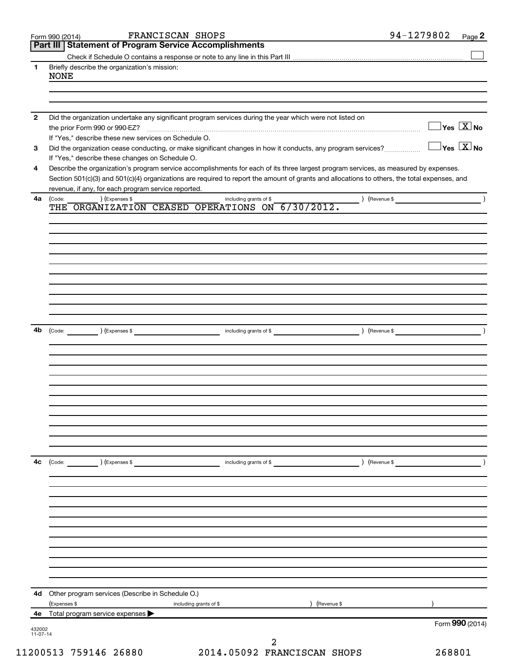|                | FRANCISCAN SHOPS<br>Form 990 (2014)<br>Part III   Statement of Program Service Accomplishments                                                                  | 94-1279802<br>Page 2                    |
|----------------|-----------------------------------------------------------------------------------------------------------------------------------------------------------------|-----------------------------------------|
|                |                                                                                                                                                                 |                                         |
| 1.             | Briefly describe the organization's mission:                                                                                                                    |                                         |
|                | <b>NONE</b>                                                                                                                                                     |                                         |
|                |                                                                                                                                                                 |                                         |
|                |                                                                                                                                                                 |                                         |
|                |                                                                                                                                                                 |                                         |
| $\overline{2}$ | Did the organization undertake any significant program services during the year which were not listed on                                                        |                                         |
|                | the prior Form 990 or 990-EZ?                                                                                                                                   | $\Box$ Yes $[\overline{\mathrm{X}}]$ No |
|                | If "Yes," describe these new services on Schedule O.                                                                                                            | $\exists$ Yes $\boxed{\text{X}}$ No     |
| 3              | Did the organization cease conducting, or make significant changes in how it conducts, any program services?<br>If "Yes," describe these changes on Schedule O. |                                         |
| 4              | Describe the organization's program service accomplishments for each of its three largest program services, as measured by expenses.                            |                                         |
|                | Section 501(c)(3) and 501(c)(4) organizations are required to report the amount of grants and allocations to others, the total expenses, and                    |                                         |
|                | revenue, if any, for each program service reported.                                                                                                             |                                         |
| 4a             | ) (Expenses \$<br>(Code:<br>) (Revenue \$<br>including grants of \$                                                                                             |                                         |
|                | THE ORGANIZATION CEASED OPERATIONS ON 6/30/2012.                                                                                                                |                                         |
|                |                                                                                                                                                                 |                                         |
|                |                                                                                                                                                                 |                                         |
|                |                                                                                                                                                                 |                                         |
|                |                                                                                                                                                                 |                                         |
|                |                                                                                                                                                                 |                                         |
|                |                                                                                                                                                                 |                                         |
|                |                                                                                                                                                                 |                                         |
|                |                                                                                                                                                                 |                                         |
|                |                                                                                                                                                                 |                                         |
|                |                                                                                                                                                                 |                                         |
| 4b             | $\left(\text{Code:} \right) \left(\text{Expenses } \$\right)$                                                                                                   |                                         |
|                |                                                                                                                                                                 |                                         |
|                |                                                                                                                                                                 |                                         |
|                |                                                                                                                                                                 |                                         |
|                |                                                                                                                                                                 |                                         |
|                |                                                                                                                                                                 |                                         |
|                |                                                                                                                                                                 |                                         |
|                |                                                                                                                                                                 |                                         |
|                |                                                                                                                                                                 |                                         |
|                |                                                                                                                                                                 |                                         |
|                |                                                                                                                                                                 |                                         |
|                |                                                                                                                                                                 |                                         |
| 4c             | (Code: ) (Expenses \$<br>) (Revenue \$<br>including grants of \$                                                                                                |                                         |
|                |                                                                                                                                                                 |                                         |
|                |                                                                                                                                                                 |                                         |
|                |                                                                                                                                                                 |                                         |
|                |                                                                                                                                                                 |                                         |
|                |                                                                                                                                                                 |                                         |
|                |                                                                                                                                                                 |                                         |
|                |                                                                                                                                                                 |                                         |
|                |                                                                                                                                                                 |                                         |
|                |                                                                                                                                                                 |                                         |
|                |                                                                                                                                                                 |                                         |
|                |                                                                                                                                                                 |                                         |
|                |                                                                                                                                                                 |                                         |
|                | 4d Other program services (Describe in Schedule O.)                                                                                                             |                                         |
|                | (Expenses \$<br>Revenue \$<br>including grants of \$                                                                                                            |                                         |
| 432002         | 4e Total program service expenses                                                                                                                               | Form 990 (2014)                         |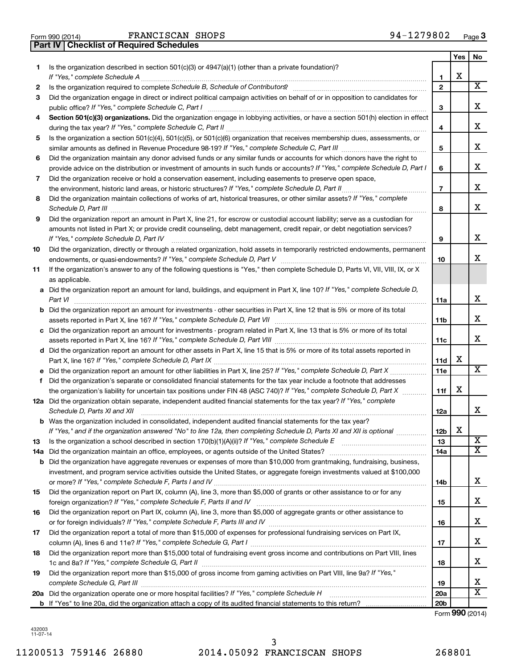| Form 990 (2014) |                                                  | FRANCISCAN S |  |
|-----------------|--------------------------------------------------|--------------|--|
|                 | <b>Part IV   Checklist of Required Schedules</b> |              |  |

|     |                                                                                                                                                                 |                 | Yes | No                      |
|-----|-----------------------------------------------------------------------------------------------------------------------------------------------------------------|-----------------|-----|-------------------------|
| 1.  | Is the organization described in section $501(c)(3)$ or $4947(a)(1)$ (other than a private foundation)?                                                         |                 |     |                         |
|     |                                                                                                                                                                 | 1               | х   |                         |
| 2   | Is the organization required to complete Schedule B, Schedule of Contributors? [11] The organization required to complete Schedule B, Schedule of Contributors? | $\mathbf{2}$    |     | x                       |
| З   | Did the organization engage in direct or indirect political campaign activities on behalf of or in opposition to candidates for                                 |                 |     | х                       |
|     |                                                                                                                                                                 | 3               |     |                         |
| 4   | Section 501(c)(3) organizations. Did the organization engage in lobbying activities, or have a section 501(h) election in effect                                | 4               |     | х                       |
| 5   | Is the organization a section 501(c)(4), 501(c)(5), or 501(c)(6) organization that receives membership dues, assessments, or                                    |                 |     |                         |
|     |                                                                                                                                                                 | 5               |     | х                       |
| 6   | Did the organization maintain any donor advised funds or any similar funds or accounts for which donors have the right to                                       |                 |     |                         |
|     | provide advice on the distribution or investment of amounts in such funds or accounts? If "Yes," complete Schedule D, Part I                                    | 6               |     | x                       |
| 7   | Did the organization receive or hold a conservation easement, including easements to preserve open space,                                                       |                 |     |                         |
|     |                                                                                                                                                                 | $\overline{7}$  |     | х                       |
| 8   | Did the organization maintain collections of works of art, historical treasures, or other similar assets? If "Yes," complete                                    |                 |     |                         |
|     |                                                                                                                                                                 | 8               |     | x                       |
| 9   | Did the organization report an amount in Part X, line 21, for escrow or custodial account liability; serve as a custodian for                                   |                 |     |                         |
|     | amounts not listed in Part X; or provide credit counseling, debt management, credit repair, or debt negotiation services?                                       |                 |     |                         |
|     | If "Yes," complete Schedule D, Part IV                                                                                                                          | 9               |     | х                       |
| 10  | Did the organization, directly or through a related organization, hold assets in temporarily restricted endowments, permanent                                   |                 |     |                         |
|     |                                                                                                                                                                 | 10              |     | х                       |
| 11  | If the organization's answer to any of the following questions is "Yes," then complete Schedule D, Parts VI, VII, VIII, IX, or X                                |                 |     |                         |
|     | as applicable.                                                                                                                                                  |                 |     |                         |
|     | a Did the organization report an amount for land, buildings, and equipment in Part X, line 10? If "Yes," complete Schedule D,                                   |                 |     |                         |
|     |                                                                                                                                                                 | 11a             |     | x                       |
|     | <b>b</b> Did the organization report an amount for investments - other securities in Part X, line 12 that is 5% or more of its total                            |                 |     | х                       |
|     | c Did the organization report an amount for investments - program related in Part X, line 13 that is 5% or more of its total                                    | 11b             |     |                         |
|     |                                                                                                                                                                 | 11c             |     | х                       |
|     | d Did the organization report an amount for other assets in Part X, line 15 that is 5% or more of its total assets reported in                                  |                 |     |                         |
|     |                                                                                                                                                                 | 11d             | х   |                         |
|     |                                                                                                                                                                 | 11e             |     | x                       |
| f   | Did the organization's separate or consolidated financial statements for the tax year include a footnote that addresses                                         |                 |     |                         |
|     | the organization's liability for uncertain tax positions under FIN 48 (ASC 740)? If "Yes," complete Schedule D, Part X                                          | 11f             | х   |                         |
|     | 12a Did the organization obtain separate, independent audited financial statements for the tax year? If "Yes," complete                                         |                 |     |                         |
|     | Schedule D, Parts XI and XII                                                                                                                                    | 12a             |     | x                       |
|     | <b>b</b> Was the organization included in consolidated, independent audited financial statements for the tax year?                                              |                 |     |                         |
|     | If "Yes," and if the organization answered "No" to line 12a, then completing Schedule D, Parts XI and XII is optional                                           | 12 <sub>b</sub> | х   |                         |
| 13  |                                                                                                                                                                 | 13              |     | $\overline{\mathbf{X}}$ |
| 14a |                                                                                                                                                                 | 14a             |     | x                       |
|     | <b>b</b> Did the organization have aggregate revenues or expenses of more than \$10,000 from grantmaking, fundraising, business,                                |                 |     |                         |
|     | investment, and program service activities outside the United States, or aggregate foreign investments valued at \$100,000                                      | 14b             |     | x                       |
| 15  | Did the organization report on Part IX, column (A), line 3, more than \$5,000 of grants or other assistance to or for any                                       |                 |     |                         |
|     |                                                                                                                                                                 | 15              |     | x                       |
| 16  | Did the organization report on Part IX, column (A), line 3, more than \$5,000 of aggregate grants or other assistance to                                        |                 |     |                         |
|     |                                                                                                                                                                 | 16              |     | х                       |
| 17  | Did the organization report a total of more than \$15,000 of expenses for professional fundraising services on Part IX,                                         |                 |     |                         |
|     |                                                                                                                                                                 | 17              |     | x                       |
| 18  | Did the organization report more than \$15,000 total of fundraising event gross income and contributions on Part VIII, lines                                    |                 |     |                         |
|     |                                                                                                                                                                 | 18              |     | x                       |
| 19  | Did the organization report more than \$15,000 of gross income from gaming activities on Part VIII, line 9a? If "Yes,"                                          |                 |     |                         |
|     |                                                                                                                                                                 | 19              |     | х                       |
|     |                                                                                                                                                                 | 20a             |     | x                       |
|     |                                                                                                                                                                 | 20 <sub>b</sub> |     |                         |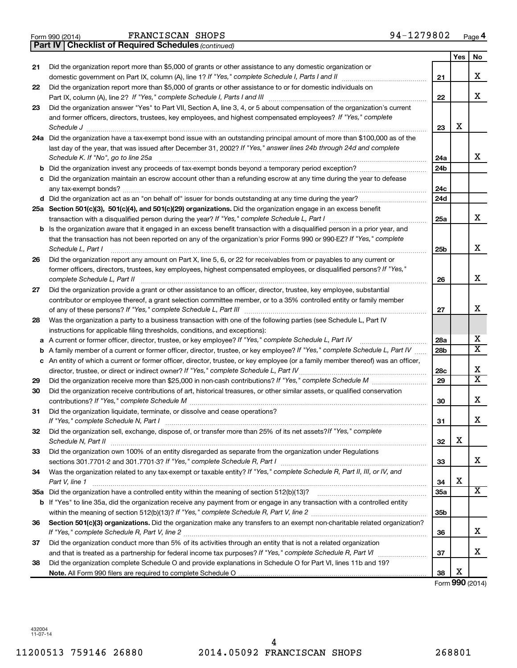|  | Form 990 (2014) |
|--|-----------------|
|  |                 |

|    | <b>Part IV   Checklist of Required Schedules (continued)</b>                                                                                                                                                                                    |     |     |                       |
|----|-------------------------------------------------------------------------------------------------------------------------------------------------------------------------------------------------------------------------------------------------|-----|-----|-----------------------|
|    |                                                                                                                                                                                                                                                 |     | Yes | No                    |
| 21 | Did the organization report more than \$5,000 of grants or other assistance to any domestic organization or                                                                                                                                     |     |     |                       |
|    |                                                                                                                                                                                                                                                 | 21  |     | х                     |
| 22 | Did the organization report more than \$5,000 of grants or other assistance to or for domestic individuals on                                                                                                                                   |     |     |                       |
|    |                                                                                                                                                                                                                                                 | 22  |     | х                     |
| 23 | Did the organization answer "Yes" to Part VII, Section A, line 3, 4, or 5 about compensation of the organization's current                                                                                                                      |     |     |                       |
|    | and former officers, directors, trustees, key employees, and highest compensated employees? If "Yes," complete                                                                                                                                  |     |     |                       |
|    | Schedule J <b>Execute Schedule Schedule Schedule Schedule</b> J <b>Execute Schedule J Execute Schedule J</b>                                                                                                                                    | 23  | x   |                       |
|    | 24a Did the organization have a tax-exempt bond issue with an outstanding principal amount of more than \$100,000 as of the                                                                                                                     |     |     |                       |
|    | last day of the year, that was issued after December 31, 2002? If "Yes," answer lines 24b through 24d and complete                                                                                                                              |     |     |                       |
|    | Schedule K. If "No", go to line 25a                                                                                                                                                                                                             | 24a |     | x                     |
| b  |                                                                                                                                                                                                                                                 | 24b |     |                       |
|    | Did the organization maintain an escrow account other than a refunding escrow at any time during the year to defease                                                                                                                            |     |     |                       |
|    |                                                                                                                                                                                                                                                 | 24c |     |                       |
|    | d Did the organization act as an "on behalf of" issuer for bonds outstanding at any time during the year?                                                                                                                                       | 24d |     |                       |
|    | 25a Section 501(c)(3), 501(c)(4), and 501(c)(29) organizations. Did the organization engage in an excess benefit                                                                                                                                |     |     |                       |
|    |                                                                                                                                                                                                                                                 | 25a |     | x                     |
| b  | Is the organization aware that it engaged in an excess benefit transaction with a disqualified person in a prior year, and                                                                                                                      |     |     |                       |
|    | that the transaction has not been reported on any of the organization's prior Forms 990 or 990-EZ? If "Yes," complete                                                                                                                           |     |     |                       |
|    | Schedule L, Part I                                                                                                                                                                                                                              | 25b |     | x                     |
|    |                                                                                                                                                                                                                                                 |     |     |                       |
| 26 | Did the organization report any amount on Part X, line 5, 6, or 22 for receivables from or payables to any current or<br>former officers, directors, trustees, key employees, highest compensated employees, or disqualified persons? If "Yes," |     |     |                       |
|    |                                                                                                                                                                                                                                                 | 26  |     | x                     |
|    | complete Schedule L, Part II                                                                                                                                                                                                                    |     |     |                       |
| 27 | Did the organization provide a grant or other assistance to an officer, director, trustee, key employee, substantial                                                                                                                            |     |     |                       |
|    | contributor or employee thereof, a grant selection committee member, or to a 35% controlled entity or family member                                                                                                                             |     |     | x                     |
|    |                                                                                                                                                                                                                                                 | 27  |     |                       |
| 28 | Was the organization a party to a business transaction with one of the following parties (see Schedule L, Part IV                                                                                                                               |     |     |                       |
|    | instructions for applicable filing thresholds, conditions, and exceptions):                                                                                                                                                                     |     |     | x                     |
| а  | A current or former officer, director, trustee, or key employee? If "Yes," complete Schedule L, Part IV                                                                                                                                         | 28a |     | $\overline{\text{X}}$ |
| b  | A family member of a current or former officer, director, trustee, or key employee? If "Yes," complete Schedule L, Part IV                                                                                                                      | 28b |     |                       |
|    | c An entity of which a current or former officer, director, trustee, or key employee (or a family member thereof) was an officer,                                                                                                               |     |     | х                     |
|    |                                                                                                                                                                                                                                                 | 28c |     | $\overline{\text{X}}$ |
| 29 |                                                                                                                                                                                                                                                 | 29  |     |                       |
| 30 | Did the organization receive contributions of art, historical treasures, or other similar assets, or qualified conservation                                                                                                                     |     |     |                       |
|    |                                                                                                                                                                                                                                                 | 30  |     | х                     |
| 31 | Did the organization liquidate, terminate, or dissolve and cease operations?                                                                                                                                                                    |     |     |                       |
|    | If "Yes," complete Schedule N, Part I                                                                                                                                                                                                           | 31  |     | Х                     |
| 32 | Did the organization sell, exchange, dispose of, or transfer more than 25% of its net assets? If "Yes," complete                                                                                                                                |     |     |                       |
|    | Schedule N, Part II                                                                                                                                                                                                                             | 32  | х   |                       |
| 33 | Did the organization own 100% of an entity disregarded as separate from the organization under Regulations                                                                                                                                      |     |     |                       |
|    |                                                                                                                                                                                                                                                 | 33  |     | x                     |
| 34 | Was the organization related to any tax-exempt or taxable entity? If "Yes," complete Schedule R, Part II, III, or IV, and                                                                                                                       |     |     |                       |
|    | Part V, line 1                                                                                                                                                                                                                                  | 34  | х   |                       |
|    |                                                                                                                                                                                                                                                 | 35a |     | x                     |
|    | b If "Yes" to line 35a, did the organization receive any payment from or engage in any transaction with a controlled entity                                                                                                                     |     |     |                       |
|    |                                                                                                                                                                                                                                                 | 35b |     |                       |
| 36 | Section 501(c)(3) organizations. Did the organization make any transfers to an exempt non-charitable related organization?                                                                                                                      |     |     |                       |
|    |                                                                                                                                                                                                                                                 | 36  |     | х                     |
| 37 | Did the organization conduct more than 5% of its activities through an entity that is not a related organization                                                                                                                                |     |     |                       |
|    |                                                                                                                                                                                                                                                 | 37  |     | х                     |
| 38 | Did the organization complete Schedule O and provide explanations in Schedule O for Part VI, lines 11b and 19?                                                                                                                                  |     |     |                       |
|    |                                                                                                                                                                                                                                                 | 38  | х   |                       |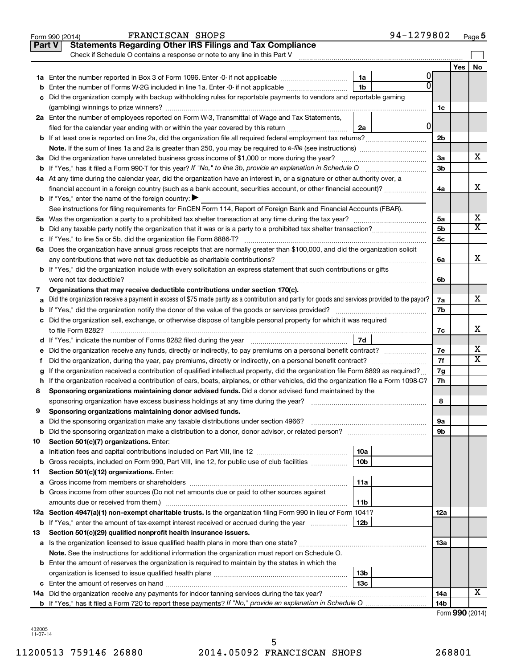|               | 94-1279802<br>FRANCISCAN SHOPS<br>Form 990 (2014)                                                                                               |                 |                     | Page 5                  |
|---------------|-------------------------------------------------------------------------------------------------------------------------------------------------|-----------------|---------------------|-------------------------|
| <b>Part V</b> | <b>Statements Regarding Other IRS Filings and Tax Compliance</b>                                                                                |                 |                     |                         |
|               | Check if Schedule O contains a response or note to any line in this Part V                                                                      |                 |                     |                         |
|               |                                                                                                                                                 |                 | Yes                 | No                      |
|               | 0<br>1a                                                                                                                                         |                 |                     |                         |
| b             | 1 <sub>b</sub><br>Enter the number of Forms W-2G included in line 1a. Enter -0- if not applicable                                               |                 |                     |                         |
|               | c Did the organization comply with backup withholding rules for reportable payments to vendors and reportable gaming                            |                 |                     |                         |
|               |                                                                                                                                                 | 1c              |                     |                         |
|               | 2a Enter the number of employees reported on Form W-3, Transmittal of Wage and Tax Statements,                                                  |                 |                     |                         |
|               | 0<br>filed for the calendar year ending with or within the year covered by this return<br>2a                                                    |                 |                     |                         |
|               |                                                                                                                                                 | 2 <sub>b</sub>  |                     |                         |
|               |                                                                                                                                                 |                 |                     |                         |
|               |                                                                                                                                                 | 3a              |                     | х                       |
|               |                                                                                                                                                 | 3b              |                     |                         |
|               | 4a At any time during the calendar year, did the organization have an interest in, or a signature or other authority over, a                    |                 |                     |                         |
|               | financial account in a foreign country (such as a bank account, securities account, or other financial account)?                                | 4a              |                     | X                       |
|               | <b>b</b> If "Yes," enter the name of the foreign country: $\blacktriangleright$                                                                 |                 |                     |                         |
|               |                                                                                                                                                 |                 |                     |                         |
|               | See instructions for filing requirements for FinCEN Form 114, Report of Foreign Bank and Financial Accounts (FBAR).                             |                 |                     | х                       |
|               |                                                                                                                                                 | 5а              |                     | $\overline{\texttt{X}}$ |
|               |                                                                                                                                                 | 5 <sub>b</sub>  |                     |                         |
|               |                                                                                                                                                 | 5 <sub>c</sub>  |                     |                         |
|               | 6a Does the organization have annual gross receipts that are normally greater than \$100,000, and did the organization solicit                  |                 |                     |                         |
|               |                                                                                                                                                 | 6a              |                     | X                       |
|               | <b>b</b> If "Yes," did the organization include with every solicitation an express statement that such contributions or gifts                   |                 |                     |                         |
|               |                                                                                                                                                 | 6b              |                     |                         |
| 7             | Organizations that may receive deductible contributions under section 170(c).                                                                   |                 |                     |                         |
| a             | Did the organization receive a payment in excess of \$75 made partly as a contribution and partly for goods and services provided to the payor? | 7a              |                     | X                       |
|               |                                                                                                                                                 | 7b              |                     |                         |
|               | c Did the organization sell, exchange, or otherwise dispose of tangible personal property for which it was required                             |                 |                     |                         |
|               |                                                                                                                                                 | 7c              |                     | X                       |
|               |                                                                                                                                                 |                 |                     |                         |
| е             | Did the organization receive any funds, directly or indirectly, to pay premiums on a personal benefit contract?                                 | 7e              |                     | х                       |
| f.            |                                                                                                                                                 | 7f              |                     | $\overline{\text{X}}$   |
|               | If the organization received a contribution of qualified intellectual property, did the organization file Form 8899 as required?                | 7g              |                     |                         |
|               | h If the organization received a contribution of cars, boats, airplanes, or other vehicles, did the organization file a Form 1098-C?            | 7h              |                     |                         |
| 8             | Sponsoring organizations maintaining donor advised funds. Did a donor advised fund maintained by the                                            |                 |                     |                         |
|               |                                                                                                                                                 | 8               |                     |                         |
|               | Sponsoring organizations maintaining donor advised funds.                                                                                       |                 |                     |                         |
| а             | Did the sponsoring organization make any taxable distributions under section 4966?                                                              | 9а              |                     |                         |
| b             |                                                                                                                                                 | 9b              |                     |                         |
| 10            | Section 501(c)(7) organizations. Enter:                                                                                                         |                 |                     |                         |
| a             | 10a                                                                                                                                             |                 |                     |                         |
| b             | 10 <sub>b</sub><br>Gross receipts, included on Form 990, Part VIII, line 12, for public use of club facilities                                  |                 |                     |                         |
| 11            | Section 501(c)(12) organizations. Enter:                                                                                                        |                 |                     |                         |
| а             | 11a                                                                                                                                             |                 |                     |                         |
|               | <b>b</b> Gross income from other sources (Do not net amounts due or paid to other sources against                                               |                 |                     |                         |
|               | amounts due or received from them.)<br>11b                                                                                                      |                 |                     |                         |
|               | 12a Section 4947(a)(1) non-exempt charitable trusts. Is the organization filing Form 990 in lieu of Form 1041?                                  | 12a             |                     |                         |
|               | 12b<br><b>b</b> If "Yes," enter the amount of tax-exempt interest received or accrued during the year                                           |                 |                     |                         |
| 13            | Section 501(c)(29) qualified nonprofit health insurance issuers.                                                                                |                 |                     |                         |
|               | a Is the organization licensed to issue qualified health plans in more than one state?                                                          | 13a             |                     |                         |
|               | Note. See the instructions for additional information the organization must report on Schedule O.                                               |                 |                     |                         |
|               | <b>b</b> Enter the amount of reserves the organization is required to maintain by the states in which the                                       |                 |                     |                         |
|               | 13b                                                                                                                                             |                 |                     |                         |
|               | 13 <sub>c</sub>                                                                                                                                 |                 |                     |                         |
|               | 14a Did the organization receive any payments for indoor tanning services during the tax year?                                                  | 14a             |                     | X                       |
|               |                                                                                                                                                 | 14 <sub>b</sub> |                     |                         |
|               |                                                                                                                                                 |                 | $Form$ QQQ $(2014)$ |                         |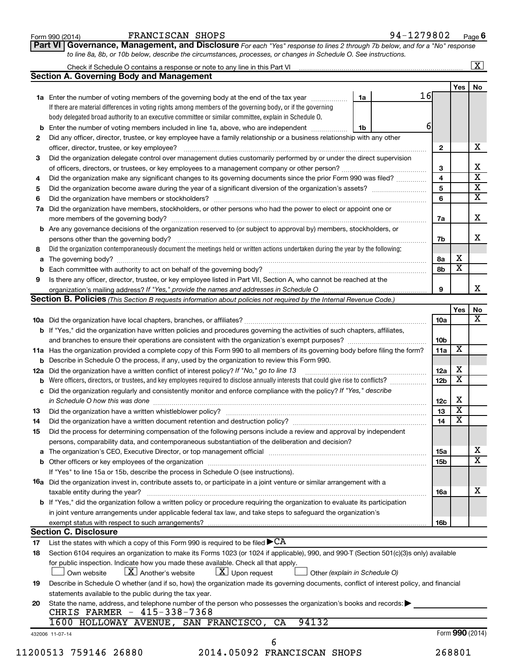| Form 990 (2014) |  |
|-----------------|--|
|-----------------|--|

Form 990 (2014) **PRANCISCAN SHOPS** From 990 (2014) Page

**Part VI** Governance, Management, and Disclosure For each "Yes" response to lines 2 through 7b below, and for a "No" response *to line 8a, 8b, or 10b below, describe the circumstances, processes, or changes in Schedule O. See instructions.*

|     |                                                                                                                                           |    |     |                 |                         | $\mathbf{X}$ |
|-----|-------------------------------------------------------------------------------------------------------------------------------------------|----|-----|-----------------|-------------------------|--------------|
|     | <b>Section A. Governing Body and Management</b>                                                                                           |    |     |                 |                         |              |
|     |                                                                                                                                           |    |     |                 | Yes                     | No           |
|     | 1a Enter the number of voting members of the governing body at the end of the tax year                                                    | 1a | 16I |                 |                         |              |
|     | If there are material differences in voting rights among members of the governing body, or if the governing                               |    |     |                 |                         |              |
|     | body delegated broad authority to an executive committee or similar committee, explain in Schedule O.                                     |    |     |                 |                         |              |
|     | Enter the number of voting members included in line 1a, above, who are independent                                                        | 1b |     | 6               |                         |              |
| 2   | Did any officer, director, trustee, or key employee have a family relationship or a business relationship with any other                  |    |     |                 |                         |              |
|     |                                                                                                                                           |    |     | $\mathbf{2}$    |                         |              |
| 3   | Did the organization delegate control over management duties customarily performed by or under the direct supervision                     |    |     |                 |                         |              |
|     |                                                                                                                                           |    |     | 3               |                         |              |
| 4   | Did the organization make any significant changes to its governing documents since the prior Form 990 was filed?                          |    |     | 4               |                         |              |
| 5   |                                                                                                                                           |    |     | 5               |                         |              |
| 6   |                                                                                                                                           |    |     | 6               |                         |              |
| 7a  | Did the organization have members, stockholders, or other persons who had the power to elect or appoint one or                            |    |     |                 |                         |              |
|     |                                                                                                                                           |    |     |                 |                         |              |
|     |                                                                                                                                           |    |     | 7a              |                         |              |
|     | <b>b</b> Are any governance decisions of the organization reserved to (or subject to approval by) members, stockholders, or               |    |     |                 |                         |              |
|     |                                                                                                                                           |    |     | 7b              |                         |              |
| 8   | Did the organization contemporaneously document the meetings held or written actions undertaken during the year by the following:         |    |     |                 |                         |              |
| a   |                                                                                                                                           |    |     | 8а              | х                       |              |
|     |                                                                                                                                           |    |     | 8b              | $\overline{\mathbf{x}}$ |              |
| 9   | Is there any officer, director, trustee, or key employee listed in Part VII, Section A, who cannot be reached at the                      |    |     |                 |                         |              |
|     |                                                                                                                                           |    |     | 9               |                         |              |
|     | Section B. Policies (This Section B requests information about policies not required by the Internal Revenue Code.)                       |    |     |                 |                         |              |
|     |                                                                                                                                           |    |     |                 | Yes                     |              |
|     |                                                                                                                                           |    |     | 10a             |                         |              |
|     | b If "Yes," did the organization have written policies and procedures governing the activities of such chapters, affiliates,              |    |     |                 |                         |              |
|     |                                                                                                                                           |    |     | 10b             |                         |              |
|     | 11a Has the organization provided a complete copy of this Form 990 to all members of its governing body before filing the form?           |    |     | 11a             | X                       |              |
|     | <b>b</b> Describe in Schedule O the process, if any, used by the organization to review this Form 990.                                    |    |     |                 |                         |              |
| 12a | Did the organization have a written conflict of interest policy? If "No," go to line 13                                                   |    |     | 12a             | х                       |              |
|     | Were officers, directors, or trustees, and key employees required to disclose annually interests that could give rise to conflicts?       |    |     | 12 <sub>b</sub> | $\overline{\textbf{x}}$ |              |
| с   | Did the organization regularly and consistently monitor and enforce compliance with the policy? If "Yes," describe                        |    |     |                 |                         |              |
|     | in Schedule O how this was done manufactured and continuum control of the state of the state of the state of t                            |    |     | 12c             | х                       |              |
| 13  |                                                                                                                                           |    |     | 13              | $\overline{\mathbf{X}}$ |              |
| 14  | Did the organization have a written document retention and destruction policy? [11] manufaction manufaction in                            |    |     | 14              | $\overline{\mathbf{X}}$ |              |
|     |                                                                                                                                           |    |     |                 |                         |              |
| 15  | Did the process for determining compensation of the following persons include a review and approval by independent                        |    |     |                 |                         |              |
|     | persons, comparability data, and contemporaneous substantiation of the deliberation and decision?                                         |    |     |                 |                         |              |
|     |                                                                                                                                           |    |     | 15a             |                         |              |
|     |                                                                                                                                           |    |     | 15b             |                         |              |
|     | If "Yes" to line 15a or 15b, describe the process in Schedule O (see instructions).                                                       |    |     |                 |                         |              |
|     | <b>16a</b> Did the organization invest in, contribute assets to, or participate in a joint venture or similar arrangement with a          |    |     |                 |                         |              |
|     | taxable entity during the year?                                                                                                           |    |     | 16a             |                         |              |
|     | <b>b</b> If "Yes," did the organization follow a written policy or procedure requiring the organization to evaluate its participation     |    |     |                 |                         |              |
|     | in joint venture arrangements under applicable federal tax law, and take steps to safeguard the organization's                            |    |     |                 |                         |              |
|     | exempt status with respect to such arrangements?                                                                                          |    |     | 16b             |                         |              |
|     | <b>Section C. Disclosure</b>                                                                                                              |    |     |                 |                         |              |
| 17  | List the states with which a copy of this Form 990 is required to be filed $\blacktriangleright$ CA                                       |    |     |                 |                         |              |
| 18  | Section 6104 requires an organization to make its Forms 1023 (or 1024 if applicable), 990, and 990-T (Section 501(c)(3)s only) available  |    |     |                 |                         |              |
|     | for public inspection. Indicate how you made these available. Check all that apply.                                                       |    |     |                 |                         |              |
|     | $\lfloor x \rfloor$ Upon request<br>$\lfloor X \rfloor$ Another's website<br>Own website<br>Other (explain in Schedule O)                 |    |     |                 |                         |              |
| 19  | Describe in Schedule O whether (and if so, how) the organization made its governing documents, conflict of interest policy, and financial |    |     |                 |                         |              |
|     | statements available to the public during the tax year.                                                                                   |    |     |                 |                         |              |
| 20  | State the name, address, and telephone number of the person who possesses the organization's books and records:                           |    |     |                 |                         |              |
|     | CHRIS FARMER - 415-338-7368                                                                                                               |    |     |                 |                         |              |
|     | 94132<br>1600 HOLLOWAY AVENUE, SAN FRANCISCO,<br>CA                                                                                       |    |     |                 |                         |              |
|     | 432006 11-07-14                                                                                                                           |    |     |                 | Form 990 (2014)         |              |
|     | 6                                                                                                                                         |    |     |                 |                         |              |
|     | 11200513 759146 26880<br>2014.05092 FRANCISCAN SHOPS                                                                                      |    |     |                 | 268801                  |              |
|     |                                                                                                                                           |    |     |                 |                         |              |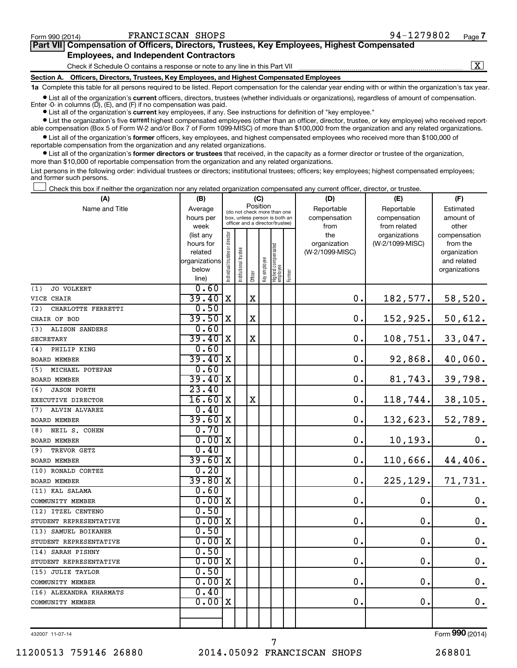$\boxed{\text{X}}$ 

| Part VII Compensation of Officers, Directors, Trustees, Key Employees, Highest Compensated |  |  |
|--------------------------------------------------------------------------------------------|--|--|
| <b>Employees, and Independent Contractors</b>                                              |  |  |

Check if Schedule O contains a response or note to any line in this Part VII

**Section A. Officers, Directors, Trustees, Key Employees, and Highest Compensated Employees**

**1a**  Complete this table for all persons required to be listed. Report compensation for the calendar year ending with or within the organization's tax year.

**•** List all of the organization's current officers, directors, trustees (whether individuals or organizations), regardless of amount of compensation. Enter -0- in columns  $(D)$ ,  $(E)$ , and  $(F)$  if no compensation was paid.

**•** List all of the organization's **current** key employees, if any. See instructions for definition of "key employee."

**•** List the organization's five current highest compensated employees (other than an officer, director, trustee, or key employee) who received reportable compensation (Box 5 of Form W-2 and/or Box 7 of Form 1099-MISC) of more than \$100,000 from the organization and any related organizations.

**•** List all of the organization's former officers, key employees, and highest compensated employees who received more than \$100,000 of reportable compensation from the organization and any related organizations.

**•** List all of the organization's former directors or trustees that received, in the capacity as a former director or trustee of the organization, more than \$10,000 of reportable compensation from the organization and any related organizations.

List persons in the following order: individual trustees or directors; institutional trustees; officers; key employees; highest compensated employees; and former such persons.

|  |  |  | Check this box if neither the organization nor any related organization compensated any current officer, director, or trustee. |  |  |
|--|--|--|--------------------------------------------------------------------------------------------------------------------------------|--|--|
|  |  |  |                                                                                                                                |  |  |

| (A)                       | (B)                    |                                         |                      |                                                                  | (C)          |                                 |        | (D)             | (E)             | (F)                          |
|---------------------------|------------------------|-----------------------------------------|----------------------|------------------------------------------------------------------|--------------|---------------------------------|--------|-----------------|-----------------|------------------------------|
| Name and Title            | Average                | Position<br>(do not check more than one |                      |                                                                  |              |                                 |        | Reportable      | Reportable      | Estimated                    |
|                           | hours per              |                                         |                      | box, unless person is both an<br>officer and a director/trustee) |              |                                 |        | compensation    | compensation    | amount of                    |
|                           | week                   |                                         |                      |                                                                  |              |                                 |        | from            | from related    | other                        |
|                           | (list any              |                                         |                      |                                                                  |              |                                 |        | the             | organizations   | compensation                 |
|                           | hours for              |                                         |                      |                                                                  |              |                                 |        | organization    | (W-2/1099-MISC) | from the                     |
|                           | related                |                                         |                      |                                                                  |              |                                 |        | (W-2/1099-MISC) |                 | organization                 |
|                           | organizations<br>below |                                         |                      |                                                                  |              |                                 |        |                 |                 | and related<br>organizations |
|                           | line)                  | Individual trustee or director          | nstitutional trustee | Officer                                                          | Key employee | Highest compensated<br>employee | Former |                 |                 |                              |
| JO VOLKERT<br>(1)         | 0.60                   |                                         |                      |                                                                  |              |                                 |        |                 |                 |                              |
| VICE CHAIR                | 39.40                  | $\mathbf X$                             |                      | $\mathbf X$                                                      |              |                                 |        | 0.              | 182, 577.       | 58,520.                      |
| (2)<br>CHARLOTTE FERRETTI | 0.50                   |                                         |                      |                                                                  |              |                                 |        |                 |                 |                              |
| CHAIR OF BOD              | 39.50                  | $\mathbf X$                             |                      | $\mathbf X$                                                      |              |                                 |        | 0.              | 152, 925.       | 50,612.                      |
| ALISON SANDERS<br>(3)     | 0.60                   |                                         |                      |                                                                  |              |                                 |        |                 |                 |                              |
| <b>SECRETARY</b>          | 39.40                  | $\mathbf X$                             |                      | $\mathbf x$                                                      |              |                                 |        | 0.              | 108, 751.       | 33,047.                      |
| PHILIP KING<br>(4)        | 0.60                   |                                         |                      |                                                                  |              |                                 |        |                 |                 |                              |
| <b>BOARD MEMBER</b>       | 39.40                  | X                                       |                      |                                                                  |              |                                 |        | 0.              | 92,868.         | 40,060.                      |
| MICHAEL POTEPAN<br>(5)    | 0.60                   |                                         |                      |                                                                  |              |                                 |        |                 |                 |                              |
| <b>BOARD MEMBER</b>       | 39.40                  | X                                       |                      |                                                                  |              |                                 |        | 0.              | 81, 743.        | 39,798.                      |
| (6)<br><b>JASON PORTH</b> | 23.40                  |                                         |                      |                                                                  |              |                                 |        |                 |                 |                              |
| EXECUTIVE DIRECTOR        | 16.60                  | X                                       |                      | $\mathbf X$                                                      |              |                                 |        | 0.              | 118, 744.       | 38,105.                      |
| (7)<br>ALVIN ALVAREZ      | 0.40                   |                                         |                      |                                                                  |              |                                 |        |                 |                 |                              |
| <b>BOARD MEMBER</b>       | 39.60                  | X                                       |                      |                                                                  |              |                                 |        | 0.              | 132,623.        | 52,789.                      |
| NEIL S. COHEN<br>(8)      | 0.70                   |                                         |                      |                                                                  |              |                                 |        |                 |                 |                              |
| <b>BOARD MEMBER</b>       | 0.00                   | $\mathbf X$                             |                      |                                                                  |              |                                 |        | 0.              | 10, 193.        | $0$ .                        |
| TREVOR GETZ<br>(9)        | 0.40                   |                                         |                      |                                                                  |              |                                 |        |                 |                 |                              |
| <b>BOARD MEMBER</b>       | 39.60                  | X                                       |                      |                                                                  |              |                                 |        | 0.              | 110,666.        | 44,406.                      |
| (10) RONALD CORTEZ        | 0.20                   |                                         |                      |                                                                  |              |                                 |        |                 |                 |                              |
| <b>BOARD MEMBER</b>       | 39.80                  | X                                       |                      |                                                                  |              |                                 |        | $\mathbf 0$ .   | 225, 129.       | 71,731.                      |
| (11) KAL SALAMA           | 0.60                   |                                         |                      |                                                                  |              |                                 |        |                 |                 |                              |
| COMMUNITY MEMBER          | 0.00                   | X                                       |                      |                                                                  |              |                                 |        | $\mathbf 0$ .   | 0.              | 0.                           |
| (12) ITZEL CENTENO        | 0.50                   |                                         |                      |                                                                  |              |                                 |        |                 |                 |                              |
| STUDENT REPRESENTATIVE    | 0.00                   | X                                       |                      |                                                                  |              |                                 |        | $\mathbf 0$ .   | $\mathbf 0$ .   | $\mathbf 0$ .                |
| (13) SAMUEL BOIKANER      | 0.50                   |                                         |                      |                                                                  |              |                                 |        |                 |                 |                              |
| STUDENT REPRESENTATIVE    | 0.00                   | X                                       |                      |                                                                  |              |                                 |        | $\mathbf 0$ .   | $\mathbf 0$ .   | $0$ .                        |
| (14) SARAH PISHNY         | 0.50                   |                                         |                      |                                                                  |              |                                 |        |                 |                 |                              |
| STUDENT REPRESENTATIVE    | 0.00                   | X                                       |                      |                                                                  |              |                                 |        | $\mathbf 0$     | 0.              | $0$ .                        |
| (15) JULIE TAYLOR         | 0.50                   |                                         |                      |                                                                  |              |                                 |        |                 |                 |                              |
| COMMUNITY MEMBER          | 0.00                   | X                                       |                      |                                                                  |              |                                 |        | $\mathbf 0$ .   | 0.              | $0$ .                        |
| (16) ALEXANDRA KHARMATS   | 0.40                   |                                         |                      |                                                                  |              |                                 |        |                 |                 |                              |
| COMMUNITY MEMBER          | 0.00                   | X                                       |                      |                                                                  |              |                                 |        | $\mathbf 0$ .   | 0.              | 0.                           |
|                           |                        |                                         |                      |                                                                  |              |                                 |        |                 |                 |                              |
|                           |                        |                                         |                      |                                                                  |              |                                 |        |                 |                 |                              |

432007 11-07-14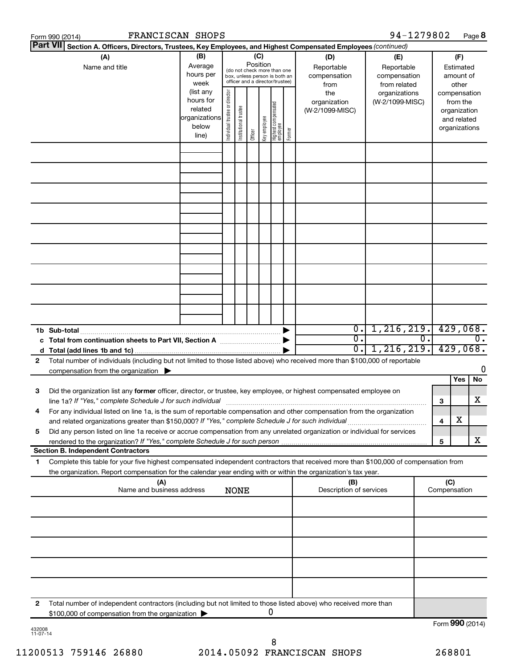|                                                                                                                                                                                                                                                       | FRANCISCAN SHOPS<br>Form 990 (2014)                                                                                                                                                                                                     |                                                                      |                               |                       |                 |              |                                                                                                 |        |                                           | 94-1279802                                        |  |              | Page 8                                                                   |
|-------------------------------------------------------------------------------------------------------------------------------------------------------------------------------------------------------------------------------------------------------|-----------------------------------------------------------------------------------------------------------------------------------------------------------------------------------------------------------------------------------------|----------------------------------------------------------------------|-------------------------------|-----------------------|-----------------|--------------|-------------------------------------------------------------------------------------------------|--------|-------------------------------------------|---------------------------------------------------|--|--------------|--------------------------------------------------------------------------|
|                                                                                                                                                                                                                                                       | <b>Part VII</b><br>Section A. Officers, Directors, Trustees, Key Employees, and Highest Compensated Employees (continued)                                                                                                               |                                                                      |                               |                       |                 |              |                                                                                                 |        |                                           |                                                   |  |              |                                                                          |
|                                                                                                                                                                                                                                                       | (A)<br>Name and title                                                                                                                                                                                                                   | (B)<br>Average<br>hours per<br>week                                  |                               |                       | (C)<br>Position |              | (do not check more than one<br>box, unless person is both an<br>officer and a director/trustee) |        | (D)<br>Reportable<br>compensation<br>from | (E)<br>Reportable<br>compensation<br>from related |  |              | (F)<br>Estimated<br>amount of<br>other                                   |
|                                                                                                                                                                                                                                                       |                                                                                                                                                                                                                                         | (list any<br>hours for<br>related<br>organizations<br>below<br>line) | ndividual trustee or director | Institutional trustee | Officer         | Key employee | Highest compensated<br>  employee                                                               | Former | the<br>organization<br>(W-2/1099-MISC)    | organizations<br>(W-2/1099-MISC)                  |  |              | compensation<br>from the<br>organization<br>and related<br>organizations |
|                                                                                                                                                                                                                                                       |                                                                                                                                                                                                                                         |                                                                      |                               |                       |                 |              |                                                                                                 |        |                                           |                                                   |  |              |                                                                          |
|                                                                                                                                                                                                                                                       |                                                                                                                                                                                                                                         |                                                                      |                               |                       |                 |              |                                                                                                 |        |                                           |                                                   |  |              |                                                                          |
|                                                                                                                                                                                                                                                       |                                                                                                                                                                                                                                         |                                                                      |                               |                       |                 |              |                                                                                                 |        |                                           |                                                   |  |              |                                                                          |
|                                                                                                                                                                                                                                                       |                                                                                                                                                                                                                                         |                                                                      |                               |                       |                 |              |                                                                                                 |        |                                           |                                                   |  |              |                                                                          |
|                                                                                                                                                                                                                                                       | 1b Sub-total                                                                                                                                                                                                                            |                                                                      |                               |                       |                 |              |                                                                                                 |        | $\overline{0}$ .                          | 1, 216, 219.                                      |  |              | 429,068.                                                                 |
| $\overline{0}$ .<br>c Total from continuation sheets to Part VII, Section A manufactured by<br>1,216,219.<br>0.1<br>Total number of individuals (including but not limited to those listed above) who received more than \$100,000 of reportable<br>2 |                                                                                                                                                                                                                                         |                                                                      |                               |                       |                 |              |                                                                                                 | σ.     |                                           | $\overline{0}$ .<br>429,068.                      |  |              |                                                                          |
|                                                                                                                                                                                                                                                       | compensation from the organization $\blacktriangleright$                                                                                                                                                                                |                                                                      |                               |                       |                 |              |                                                                                                 |        |                                           |                                                   |  |              | 0<br>Yes<br>No                                                           |
| 3                                                                                                                                                                                                                                                     | Did the organization list any former officer, director, or trustee, key employee, or highest compensated employee on<br>line 1a? If "Yes," complete Schedule J for such individual [11] manufacture manufacture in the set of the set o |                                                                      |                               |                       |                 |              |                                                                                                 |        |                                           |                                                   |  | 3            | х                                                                        |
|                                                                                                                                                                                                                                                       | For any individual listed on line 1a, is the sum of reportable compensation and other compensation from the organization<br>and related organizations greater than \$150,000? If "Yes," complete Schedule J for such individual         |                                                                      |                               |                       |                 |              |                                                                                                 |        |                                           |                                                   |  | 4            | х                                                                        |
| 5                                                                                                                                                                                                                                                     | Did any person listed on line 1a receive or accrue compensation from any unrelated organization or individual for services<br><b>Section B. Independent Contractors</b>                                                                 |                                                                      |                               |                       |                 |              |                                                                                                 |        |                                           |                                                   |  | 5            | x                                                                        |
| 1.                                                                                                                                                                                                                                                    | Complete this table for your five highest compensated independent contractors that received more than \$100,000 of compensation from                                                                                                    |                                                                      |                               |                       |                 |              |                                                                                                 |        |                                           |                                                   |  |              |                                                                          |
|                                                                                                                                                                                                                                                       | the organization. Report compensation for the calendar year ending with or within the organization's tax year.<br>(A)                                                                                                                   |                                                                      |                               |                       |                 |              |                                                                                                 |        | (B)                                       |                                                   |  | (C)          |                                                                          |
|                                                                                                                                                                                                                                                       | Name and business address                                                                                                                                                                                                               |                                                                      |                               | <b>NONE</b>           |                 |              |                                                                                                 |        | Description of services                   |                                                   |  | Compensation |                                                                          |
|                                                                                                                                                                                                                                                       |                                                                                                                                                                                                                                         |                                                                      |                               |                       |                 |              |                                                                                                 |        |                                           |                                                   |  |              |                                                                          |
|                                                                                                                                                                                                                                                       |                                                                                                                                                                                                                                         |                                                                      |                               |                       |                 |              |                                                                                                 |        |                                           |                                                   |  |              |                                                                          |
|                                                                                                                                                                                                                                                       |                                                                                                                                                                                                                                         |                                                                      |                               |                       |                 |              |                                                                                                 |        |                                           |                                                   |  |              |                                                                          |
| 2                                                                                                                                                                                                                                                     | Total number of independent contractors (including but not limited to those listed above) who received more than                                                                                                                        |                                                                      |                               |                       |                 |              |                                                                                                 |        |                                           |                                                   |  |              |                                                                          |
|                                                                                                                                                                                                                                                       | \$100,000 of compensation from the organization                                                                                                                                                                                         |                                                                      |                               |                       |                 |              | 0                                                                                               |        |                                           |                                                   |  |              | Form 990 (2014)                                                          |
|                                                                                                                                                                                                                                                       |                                                                                                                                                                                                                                         |                                                                      |                               |                       |                 |              |                                                                                                 |        |                                           |                                                   |  |              |                                                                          |

| 432008   |  |
|----------|--|
| 11-07-14 |  |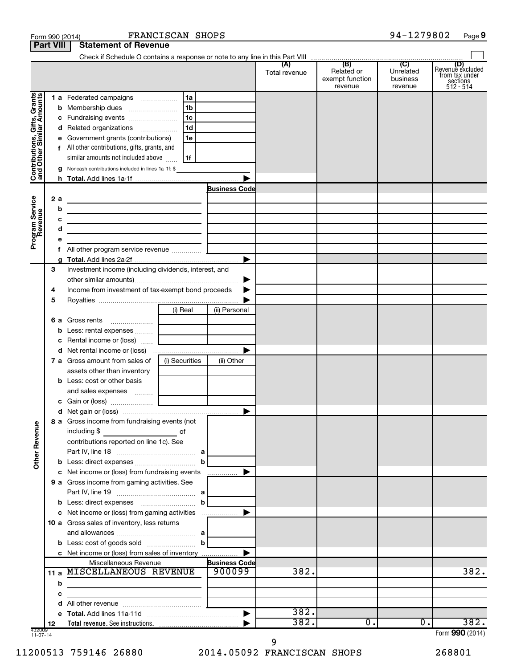|                                                           |                  | Form 990 (2014)                                                                                                                                                                                                                               | FRANCISCAN SHOPS |                      |                      |                                                 | 94-1279802                              | Page 9                                                      |
|-----------------------------------------------------------|------------------|-----------------------------------------------------------------------------------------------------------------------------------------------------------------------------------------------------------------------------------------------|------------------|----------------------|----------------------|-------------------------------------------------|-----------------------------------------|-------------------------------------------------------------|
|                                                           | <b>Part VIII</b> | <b>Statement of Revenue</b>                                                                                                                                                                                                                   |                  |                      |                      |                                                 |                                         |                                                             |
|                                                           |                  |                                                                                                                                                                                                                                               |                  |                      |                      |                                                 |                                         |                                                             |
|                                                           |                  |                                                                                                                                                                                                                                               |                  |                      | (A)<br>Total revenue | (B)<br>Related or<br>exempt function<br>revenue | (C)<br>Unrelated<br>business<br>revenue | Revenue excluded<br>from tax under<br>sections<br>512 - 514 |
|                                                           |                  |                                                                                                                                                                                                                                               |                  |                      |                      |                                                 |                                         |                                                             |
| Contributions, Gifts, Grants<br>and Other Similar Amounts |                  |                                                                                                                                                                                                                                               | l 1b             |                      |                      |                                                 |                                         |                                                             |
|                                                           |                  |                                                                                                                                                                                                                                               |                  |                      |                      |                                                 |                                         |                                                             |
|                                                           |                  | d Related organizations                                                                                                                                                                                                                       | 1d               |                      |                      |                                                 |                                         |                                                             |
|                                                           |                  | Government grants (contributions)<br>е                                                                                                                                                                                                        | 1e               |                      |                      |                                                 |                                         |                                                             |
|                                                           |                  | f All other contributions, gifts, grants, and                                                                                                                                                                                                 |                  |                      |                      |                                                 |                                         |                                                             |
|                                                           |                  | similar amounts not included above                                                                                                                                                                                                            | 1f               |                      |                      |                                                 |                                         |                                                             |
|                                                           |                  | g Noncash contributions included in lines 1a-1f: \$                                                                                                                                                                                           |                  |                      |                      |                                                 |                                         |                                                             |
|                                                           |                  |                                                                                                                                                                                                                                               |                  |                      |                      |                                                 |                                         |                                                             |
|                                                           |                  |                                                                                                                                                                                                                                               |                  | <b>Business Code</b> |                      |                                                 |                                         |                                                             |
|                                                           | 2 a              | the control of the control of the control of the control of the control of                                                                                                                                                                    |                  |                      |                      |                                                 |                                         |                                                             |
|                                                           |                  | b<br>the control of the control of the control of the control of the control of the control of                                                                                                                                                |                  |                      |                      |                                                 |                                         |                                                             |
|                                                           |                  | c                                                                                                                                                                                                                                             |                  |                      |                      |                                                 |                                         |                                                             |
|                                                           |                  | d<br>the contract of the contract of the contract of the contract of the contract of                                                                                                                                                          |                  |                      |                      |                                                 |                                         |                                                             |
| Program Service<br>Revenue                                |                  | e                                                                                                                                                                                                                                             |                  |                      |                      |                                                 |                                         |                                                             |
|                                                           |                  |                                                                                                                                                                                                                                               |                  |                      |                      |                                                 |                                         |                                                             |
|                                                           |                  | g                                                                                                                                                                                                                                             |                  | ▶                    |                      |                                                 |                                         |                                                             |
|                                                           | 3                | Investment income (including dividends, interest, and                                                                                                                                                                                         |                  |                      |                      |                                                 |                                         |                                                             |
|                                                           |                  |                                                                                                                                                                                                                                               |                  | ▶                    |                      |                                                 |                                         |                                                             |
|                                                           | 4                | Income from investment of tax-exempt bond proceeds                                                                                                                                                                                            |                  |                      |                      |                                                 |                                         |                                                             |
|                                                           | 5                |                                                                                                                                                                                                                                               |                  |                      |                      |                                                 |                                         |                                                             |
|                                                           |                  |                                                                                                                                                                                                                                               | (i) Real         | (ii) Personal        |                      |                                                 |                                         |                                                             |
|                                                           |                  | 6 a Gross rents                                                                                                                                                                                                                               |                  |                      |                      |                                                 |                                         |                                                             |
|                                                           |                  | Less: rental expenses   <br>b                                                                                                                                                                                                                 |                  |                      |                      |                                                 |                                         |                                                             |
|                                                           |                  | Rental income or (loss)<br>c                                                                                                                                                                                                                  |                  |                      |                      |                                                 |                                         |                                                             |
|                                                           |                  |                                                                                                                                                                                                                                               |                  | ▶                    |                      |                                                 |                                         |                                                             |
|                                                           |                  | 7 a Gross amount from sales of                                                                                                                                                                                                                | (i) Securities   | (ii) Other           |                      |                                                 |                                         |                                                             |
|                                                           |                  | assets other than inventory                                                                                                                                                                                                                   |                  |                      |                      |                                                 |                                         |                                                             |
|                                                           |                  | <b>b</b> Less: cost or other basis                                                                                                                                                                                                            |                  |                      |                      |                                                 |                                         |                                                             |
|                                                           |                  | and sales expenses                                                                                                                                                                                                                            |                  |                      |                      |                                                 |                                         |                                                             |
|                                                           |                  |                                                                                                                                                                                                                                               |                  |                      |                      |                                                 |                                         |                                                             |
|                                                           |                  |                                                                                                                                                                                                                                               |                  |                      |                      |                                                 |                                         |                                                             |
| <b>Other Revenue</b>                                      |                  | 8 a Gross income from fundraising events (not<br>including \$<br>$\mathcal{L}^{\mathcal{L}}(\mathcal{L}^{\mathcal{L}})$ and $\mathcal{L}^{\mathcal{L}}(\mathcal{L}^{\mathcal{L}})$ and $\mathcal{L}^{\mathcal{L}}(\mathcal{L}^{\mathcal{L}})$ | оf               |                      |                      |                                                 |                                         |                                                             |
|                                                           |                  | contributions reported on line 1c). See                                                                                                                                                                                                       |                  |                      |                      |                                                 |                                         |                                                             |
|                                                           |                  |                                                                                                                                                                                                                                               |                  |                      |                      |                                                 |                                         |                                                             |
|                                                           |                  | <b>b</b> Less: direct expenses <b>contained b</b>                                                                                                                                                                                             |                  |                      |                      |                                                 |                                         |                                                             |
|                                                           |                  | c Net income or (loss) from fundraising events                                                                                                                                                                                                |                  | ▶                    |                      |                                                 |                                         |                                                             |
|                                                           |                  | 9 a Gross income from gaming activities. See                                                                                                                                                                                                  |                  |                      |                      |                                                 |                                         |                                                             |
|                                                           |                  |                                                                                                                                                                                                                                               |                  |                      |                      |                                                 |                                         |                                                             |
|                                                           |                  |                                                                                                                                                                                                                                               |                  |                      |                      |                                                 |                                         |                                                             |
|                                                           |                  | c Net income or (loss) from gaming activities                                                                                                                                                                                                 |                  | ▶                    |                      |                                                 |                                         |                                                             |
|                                                           |                  | 10 a Gross sales of inventory, less returns                                                                                                                                                                                                   |                  |                      |                      |                                                 |                                         |                                                             |
|                                                           |                  |                                                                                                                                                                                                                                               |                  |                      |                      |                                                 |                                         |                                                             |
|                                                           |                  | <b>b</b> Less: cost of goods sold $\ldots$ <b>b</b>                                                                                                                                                                                           |                  |                      |                      |                                                 |                                         |                                                             |
|                                                           |                  | c Net income or (loss) from sales of inventory                                                                                                                                                                                                |                  | ▶                    |                      |                                                 |                                         |                                                             |
|                                                           |                  | Miscellaneous Revenue                                                                                                                                                                                                                         |                  | <b>Business Code</b> |                      |                                                 |                                         |                                                             |
|                                                           |                  | 11 a MISCELLANEOUS REVENUE                                                                                                                                                                                                                    |                  | 900099               | 382.                 |                                                 |                                         | 382.                                                        |
|                                                           | b                | the control of the control of the control of the control of the control of                                                                                                                                                                    |                  |                      |                      |                                                 |                                         |                                                             |
|                                                           | c                |                                                                                                                                                                                                                                               |                  |                      |                      |                                                 |                                         |                                                             |
|                                                           |                  | d                                                                                                                                                                                                                                             |                  |                      |                      |                                                 |                                         |                                                             |
|                                                           |                  |                                                                                                                                                                                                                                               |                  |                      | 382.                 |                                                 |                                         | 382.                                                        |
|                                                           | 12               |                                                                                                                                                                                                                                               |                  |                      | 382.                 | Ο.                                              | 0.                                      |                                                             |
| 432009<br>11-07-14                                        |                  |                                                                                                                                                                                                                                               |                  |                      |                      |                                                 |                                         | Form 990 (2014)                                             |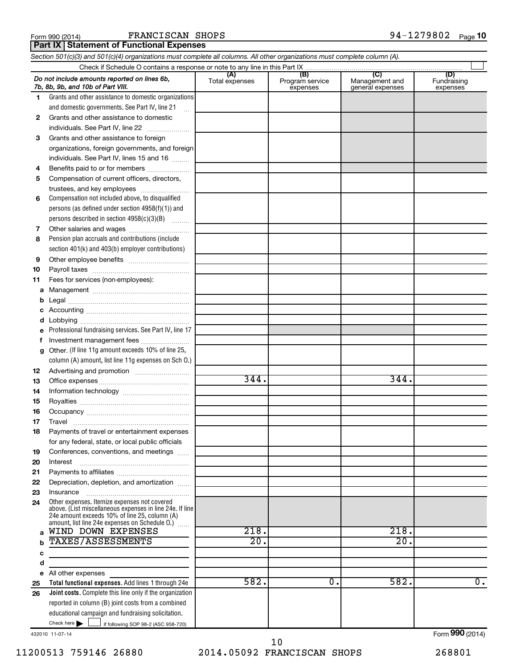FRANCISCAN SHOPS

**Part IX Statement of Functional Expenses** 

*Section 501(c)(3) and 501(c)(4) organizations must complete all columns. All other organizations must complete column (A).*

|              | Do not include amounts reported on lines 6b.<br>7b, 8b, 9b, and 10b of Part VIII.                             | (A)<br>Total expenses | (B)<br>Program service<br>expenses | $\overline{C}$<br>Management and<br>general expenses | (D)<br>Fundraising<br>expenses |
|--------------|---------------------------------------------------------------------------------------------------------------|-----------------------|------------------------------------|------------------------------------------------------|--------------------------------|
| 1.           | Grants and other assistance to domestic organizations                                                         |                       |                                    |                                                      |                                |
|              | and domestic governments. See Part IV, line 21                                                                |                       |                                    |                                                      |                                |
| $\mathbf{2}$ | Grants and other assistance to domestic                                                                       |                       |                                    |                                                      |                                |
|              | individuals. See Part IV, line 22                                                                             |                       |                                    |                                                      |                                |
| 3            | Grants and other assistance to foreign                                                                        |                       |                                    |                                                      |                                |
|              | organizations, foreign governments, and foreign                                                               |                       |                                    |                                                      |                                |
|              | individuals. See Part IV, lines 15 and 16                                                                     |                       |                                    |                                                      |                                |
| 4            | Benefits paid to or for members                                                                               |                       |                                    |                                                      |                                |
| 5            | Compensation of current officers, directors,                                                                  |                       |                                    |                                                      |                                |
|              |                                                                                                               |                       |                                    |                                                      |                                |
| 6            | Compensation not included above, to disqualified                                                              |                       |                                    |                                                      |                                |
|              | persons (as defined under section $4958(f)(1)$ ) and                                                          |                       |                                    |                                                      |                                |
|              | persons described in section 4958(c)(3)(B)                                                                    |                       |                                    |                                                      |                                |
| 7            |                                                                                                               |                       |                                    |                                                      |                                |
| 8            | Pension plan accruals and contributions (include                                                              |                       |                                    |                                                      |                                |
|              |                                                                                                               |                       |                                    |                                                      |                                |
|              | section 401(k) and 403(b) employer contributions)                                                             |                       |                                    |                                                      |                                |
| 9            |                                                                                                               |                       |                                    |                                                      |                                |
| 10           |                                                                                                               |                       |                                    |                                                      |                                |
| 11           | Fees for services (non-employees):                                                                            |                       |                                    |                                                      |                                |
| a            |                                                                                                               |                       |                                    |                                                      |                                |
| b            |                                                                                                               |                       |                                    |                                                      |                                |
| с            |                                                                                                               |                       |                                    |                                                      |                                |
| d            |                                                                                                               |                       |                                    |                                                      |                                |
| е            | Professional fundraising services. See Part IV, line 17                                                       |                       |                                    |                                                      |                                |
| f            | Investment management fees                                                                                    |                       |                                    |                                                      |                                |
| g            | Other. (If line 11g amount exceeds 10% of line 25,                                                            |                       |                                    |                                                      |                                |
|              | column (A) amount, list line 11g expenses on Sch 0.)                                                          |                       |                                    |                                                      |                                |
| 12           |                                                                                                               |                       |                                    |                                                      |                                |
| 13           |                                                                                                               | 344.                  |                                    | 344.                                                 |                                |
| 14           |                                                                                                               |                       |                                    |                                                      |                                |
| 15           |                                                                                                               |                       |                                    |                                                      |                                |
| 16           |                                                                                                               |                       |                                    |                                                      |                                |
| 17           |                                                                                                               |                       |                                    |                                                      |                                |
| 18           | Payments of travel or entertainment expenses                                                                  |                       |                                    |                                                      |                                |
|              | for any federal, state, or local public officials                                                             |                       |                                    |                                                      |                                |
| 19           | Conferences, conventions, and meetings                                                                        |                       |                                    |                                                      |                                |
| 20           | Interest                                                                                                      |                       |                                    |                                                      |                                |
| 21           |                                                                                                               |                       |                                    |                                                      |                                |
| 22           | Depreciation, depletion, and amortization                                                                     |                       |                                    |                                                      |                                |
| 23           | Insurance                                                                                                     |                       |                                    |                                                      |                                |
| 24           | Other expenses. Itemize expenses not covered<br>above. (List miscellaneous expenses in line 24e. If line      |                       |                                    |                                                      |                                |
|              | 24e amount exceeds 10% of line 25, column (A)<br>amount, list line 24e expenses on Schedule O.) $\frac{1}{2}$ |                       |                                    |                                                      |                                |
| a            | WIND DOWN EXPENSES                                                                                            | 218.                  |                                    | 218.                                                 |                                |
|              | <b>TAXES/ASSESSMENTS</b>                                                                                      | 20.                   |                                    | 20.                                                  |                                |
| с            |                                                                                                               |                       |                                    |                                                      |                                |
| d            |                                                                                                               |                       |                                    |                                                      |                                |
|              | e All other expenses                                                                                          |                       |                                    |                                                      |                                |
|              | Total functional expenses. Add lines 1 through 24e                                                            | 582.                  | $\overline{0}$ .                   | 582.                                                 | $\overline{0}$ .               |
| 25<br>26     | <b>Joint costs.</b> Complete this line only if the organization                                               |                       |                                    |                                                      |                                |
|              | reported in column (B) joint costs from a combined                                                            |                       |                                    |                                                      |                                |
|              |                                                                                                               |                       |                                    |                                                      |                                |
|              | educational campaign and fundraising solicitation.<br>Check here $\blacktriangleright$                        |                       |                                    |                                                      |                                |
|              | if following SOP 98-2 (ASC 958-720)                                                                           |                       |                                    |                                                      | Form 990 (2014)                |
|              | 432010 11-07-14                                                                                               |                       | 1 N                                |                                                      |                                |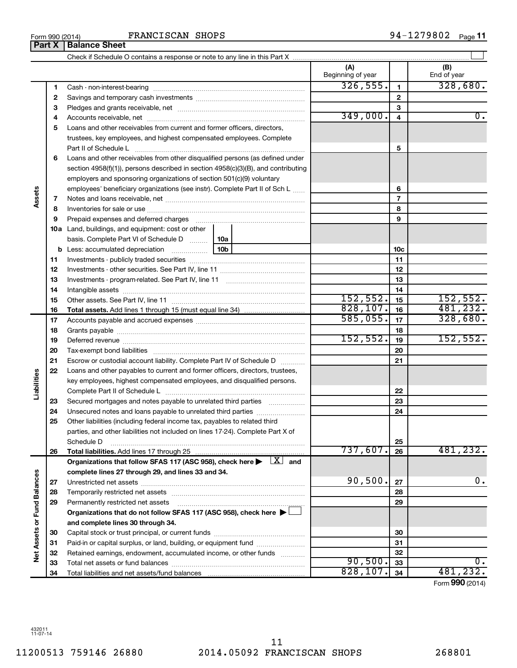**Part X Balance Sheet**

|                             |    |                                                                                                                                                                                                                                | (A)<br>Beginning of year |                         | (B)<br>End of year |
|-----------------------------|----|--------------------------------------------------------------------------------------------------------------------------------------------------------------------------------------------------------------------------------|--------------------------|-------------------------|--------------------|
|                             | 1  |                                                                                                                                                                                                                                | 326, 555.                | $\mathbf{1}$            | 328,680.           |
|                             | 2  |                                                                                                                                                                                                                                |                          | $\mathbf{2}$            |                    |
|                             | З  |                                                                                                                                                                                                                                |                          | 3                       |                    |
|                             | 4  |                                                                                                                                                                                                                                | 349,000.                 | $\overline{\mathbf{4}}$ | $\overline{0}$ .   |
|                             | 5  | Loans and other receivables from current and former officers, directors,                                                                                                                                                       |                          |                         |                    |
|                             |    | trustees, key employees, and highest compensated employees. Complete                                                                                                                                                           |                          |                         |                    |
|                             |    |                                                                                                                                                                                                                                |                          | 5                       |                    |
|                             | 6  | Loans and other receivables from other disqualified persons (as defined under                                                                                                                                                  |                          |                         |                    |
|                             |    | section 4958(f)(1)), persons described in section 4958(c)(3)(B), and contributing                                                                                                                                              |                          |                         |                    |
|                             |    | employers and sponsoring organizations of section 501(c)(9) voluntary                                                                                                                                                          |                          |                         |                    |
|                             |    | employees' beneficiary organizations (see instr). Complete Part II of Sch L                                                                                                                                                    |                          | 6                       |                    |
| Assets                      | 7  |                                                                                                                                                                                                                                |                          | 7                       |                    |
|                             | 8  |                                                                                                                                                                                                                                |                          | 8                       |                    |
|                             | 9  | Prepaid expenses and deferred charges [11] matter continuum matter and referred charges [11] matter continuum matter continuum matter and continuum matter continuum matter continuum matter continuum matter continuum matter |                          | 9                       |                    |
|                             |    | <b>10a</b> Land, buildings, and equipment: cost or other                                                                                                                                                                       |                          |                         |                    |
|                             |    | basis. Complete Part VI of Schedule D<br>10a                                                                                                                                                                                   |                          |                         |                    |
|                             |    | 10 <sub>b</sub><br><b>b</b> Less: accumulated depreciation                                                                                                                                                                     |                          | 10c                     |                    |
|                             | 11 |                                                                                                                                                                                                                                |                          | 11                      |                    |
|                             | 12 |                                                                                                                                                                                                                                |                          | 12                      |                    |
|                             | 13 |                                                                                                                                                                                                                                |                          | 13                      |                    |
|                             | 14 |                                                                                                                                                                                                                                |                          | 14                      |                    |
|                             | 15 |                                                                                                                                                                                                                                | 152, 552.                | 15                      | 152,552.           |
|                             | 16 |                                                                                                                                                                                                                                | 828, 107.                | 16                      | 481, 232.          |
|                             | 17 |                                                                                                                                                                                                                                | 585,055.                 | 17                      | 328,680.           |
|                             | 18 |                                                                                                                                                                                                                                |                          | 18                      |                    |
|                             | 19 |                                                                                                                                                                                                                                | 152, 552.                | 19                      | 152, 552.          |
|                             | 20 |                                                                                                                                                                                                                                |                          | 20                      |                    |
|                             | 21 | Escrow or custodial account liability. Complete Part IV of Schedule D                                                                                                                                                          |                          | 21                      |                    |
|                             | 22 | Loans and other payables to current and former officers, directors, trustees,                                                                                                                                                  |                          |                         |                    |
|                             |    | key employees, highest compensated employees, and disqualified persons.                                                                                                                                                        |                          |                         |                    |
| Liabilities                 |    |                                                                                                                                                                                                                                |                          | 22                      |                    |
|                             | 23 | Secured mortgages and notes payable to unrelated third parties                                                                                                                                                                 |                          | 23                      |                    |
|                             | 24 | Unsecured notes and loans payable to unrelated third parties                                                                                                                                                                   |                          | 24                      |                    |
|                             | 25 | Other liabilities (including federal income tax, payables to related third                                                                                                                                                     |                          |                         |                    |
|                             |    | parties, and other liabilities not included on lines 17-24). Complete Part X of                                                                                                                                                |                          | 25                      |                    |
|                             |    | Schedule D                                                                                                                                                                                                                     | 737,607.                 | 26                      | 481,232.           |
|                             | 26 | Organizations that follow SFAS 117 (ASC 958), check here $\blacktriangleright \begin{array}{c} \boxed{X} \end{array}$ and                                                                                                      |                          |                         |                    |
|                             |    | complete lines 27 through 29, and lines 33 and 34.                                                                                                                                                                             |                          |                         |                    |
|                             | 27 |                                                                                                                                                                                                                                | 90,500.                  | 27                      | 0.                 |
|                             | 28 |                                                                                                                                                                                                                                |                          | 28                      |                    |
|                             | 29 | Permanently restricted net assets                                                                                                                                                                                              |                          | 29                      |                    |
|                             |    | Organizations that do not follow SFAS 117 (ASC 958), check here ▶                                                                                                                                                              |                          |                         |                    |
|                             |    | and complete lines 30 through 34.                                                                                                                                                                                              |                          |                         |                    |
|                             | 30 |                                                                                                                                                                                                                                |                          | 30                      |                    |
|                             | 31 | Paid-in or capital surplus, or land, building, or equipment fund                                                                                                                                                               |                          | 31                      |                    |
| Net Assets or Fund Balances | 32 | Retained earnings, endowment, accumulated income, or other funds                                                                                                                                                               |                          | 32                      |                    |
|                             | 33 |                                                                                                                                                                                                                                | 90,500.                  | 33                      | 0.                 |
|                             | 34 |                                                                                                                                                                                                                                | 828, 107.                | 34                      | 481,232.           |

Form (2014) **990**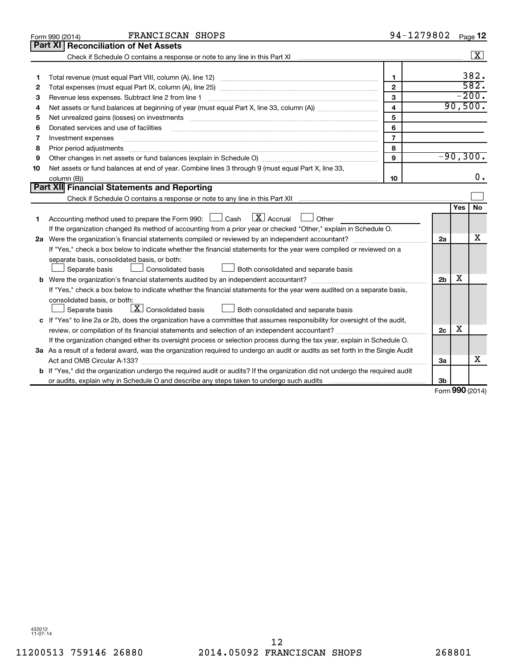|    | FRANCISCAN SHOPS<br>Form 990 (2014)                                                                                                                                                                                            | 94-1279802              |                |     | Page 12            |
|----|--------------------------------------------------------------------------------------------------------------------------------------------------------------------------------------------------------------------------------|-------------------------|----------------|-----|--------------------|
|    | Part XI<br><b>Reconciliation of Net Assets</b>                                                                                                                                                                                 |                         |                |     |                    |
|    |                                                                                                                                                                                                                                |                         |                |     | $\boxed{\text{X}}$ |
|    |                                                                                                                                                                                                                                |                         |                |     |                    |
| 1  |                                                                                                                                                                                                                                | $\mathbf{1}$            |                |     | 382.               |
| 2  |                                                                                                                                                                                                                                | $\mathbf{2}$            |                |     | 582.               |
| з  |                                                                                                                                                                                                                                | 3                       |                |     | $-200.$            |
| 4  |                                                                                                                                                                                                                                | $\overline{\mathbf{4}}$ |                |     | 90,500.            |
| 5  |                                                                                                                                                                                                                                | 5                       |                |     |                    |
| 6  | Donated services and use of facilities                                                                                                                                                                                         | 6                       |                |     |                    |
| 7  | Investment expenses                                                                                                                                                                                                            | $\overline{7}$          |                |     |                    |
| 8  | Prior period adjustments material contents and content and content and content and content and content and content and content and content and content and content and content and content and content and content and content | 8                       |                |     |                    |
| 9  |                                                                                                                                                                                                                                | 9                       |                |     | $-90, 300.$        |
| 10 | Net assets or fund balances at end of year. Combine lines 3 through 9 (must equal Part X, line 33,                                                                                                                             |                         |                |     |                    |
|    | column (B))                                                                                                                                                                                                                    | 10                      |                |     | 0.                 |
|    | Part XII Financial Statements and Reporting                                                                                                                                                                                    |                         |                |     |                    |
|    |                                                                                                                                                                                                                                |                         |                |     |                    |
| 1  | $\mathbf{X}$ Accrual<br>Accounting method used to prepare the Form 990: [13] Cash<br>$\Box$ Other                                                                                                                              |                         |                | Yes | <b>No</b>          |
|    | If the organization changed its method of accounting from a prior year or checked "Other," explain in Schedule O.                                                                                                              |                         |                |     |                    |
|    |                                                                                                                                                                                                                                |                         | 2a             |     | x                  |
|    | If "Yes," check a box below to indicate whether the financial statements for the year were compiled or reviewed on a                                                                                                           |                         |                |     |                    |
|    | separate basis, consolidated basis, or both:                                                                                                                                                                                   |                         |                |     |                    |
|    | Consolidated basis<br>Separate basis<br>Both consolidated and separate basis                                                                                                                                                   |                         |                |     |                    |
|    |                                                                                                                                                                                                                                |                         | 2 <sub>b</sub> | х   |                    |
|    | If "Yes," check a box below to indicate whether the financial statements for the year were audited on a separate basis,                                                                                                        |                         |                |     |                    |
|    | consolidated basis, or both:                                                                                                                                                                                                   |                         |                |     |                    |
|    | $\boxed{\textbf{X}}$ Consolidated basis<br>Both consolidated and separate basis<br>Separate basis                                                                                                                              |                         |                |     |                    |
|    | c If "Yes" to line 2a or 2b, does the organization have a committee that assumes responsibility for oversight of the audit,                                                                                                    |                         |                |     |                    |
|    |                                                                                                                                                                                                                                |                         | 2c             | х   |                    |
|    | If the organization changed either its oversight process or selection process during the tax year, explain in Schedule O.                                                                                                      |                         |                |     |                    |
|    | 3a As a result of a federal award, was the organization required to undergo an audit or audits as set forth in the Single Audit                                                                                                |                         |                |     |                    |
|    |                                                                                                                                                                                                                                |                         | За             |     | x                  |
|    | <b>b</b> If "Yes," did the organization undergo the required audit or audits? If the organization did not undergo the required audit                                                                                           |                         |                |     |                    |
|    |                                                                                                                                                                                                                                |                         | 3b             |     |                    |
|    |                                                                                                                                                                                                                                |                         |                |     | $Form$ 990 (2014)  |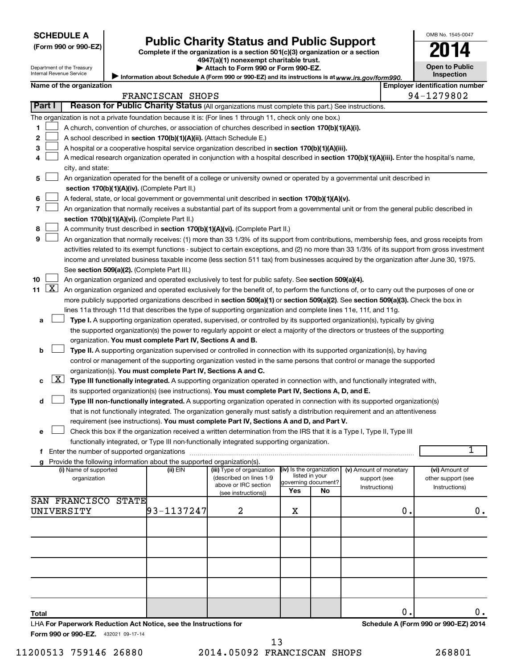| <b>SCHEDULE A</b> |  |
|-------------------|--|
|-------------------|--|

Department of the Treasury Internal Revenue Service

| (Form 990 or 990-EZ |  |  |  |  |
|---------------------|--|--|--|--|
|---------------------|--|--|--|--|

# Form 990 or 990-EZ) **Public Charity Status and Public Support**<br>
Complete if the organization is a section 501(c)(3) organization or a section<br> **2014**

**4947(a)(1) nonexempt charitable trust. | Attach to Form 990 or Form 990-EZ.** 

|  | <b>Open to Public</b> |
|--|-----------------------|
|  | <b>Inspection</b>     |
|  |                       |

OMB No. 1545-0047

Information about Schedule A (Form 990 or 990-EZ) and its instructions is at www.irs.gov/form990.

| Name of the organization<br>FRANCISCAN SHOPS |                                                                                                                                                                            |                |                                                 |                                            | <b>Employer identification number</b><br>94-1279802 |                        |               |                    |    |  |
|----------------------------------------------|----------------------------------------------------------------------------------------------------------------------------------------------------------------------------|----------------|-------------------------------------------------|--------------------------------------------|-----------------------------------------------------|------------------------|---------------|--------------------|----|--|
| Part I                                       | Reason for Public Charity Status (All organizations must complete this part.) See instructions.                                                                            |                |                                                 |                                            |                                                     |                        |               |                    |    |  |
|                                              | The organization is not a private foundation because it is: (For lines 1 through 11, check only one box.)                                                                  |                |                                                 |                                            |                                                     |                        |               |                    |    |  |
| 1                                            | A church, convention of churches, or association of churches described in section 170(b)(1)(A)(i).                                                                         |                |                                                 |                                            |                                                     |                        |               |                    |    |  |
| 2                                            | A school described in section 170(b)(1)(A)(ii). (Attach Schedule E.)                                                                                                       |                |                                                 |                                            |                                                     |                        |               |                    |    |  |
| 3                                            | A hospital or a cooperative hospital service organization described in section 170(b)(1)(A)(iii).                                                                          |                |                                                 |                                            |                                                     |                        |               |                    |    |  |
| 4                                            | A medical research organization operated in conjunction with a hospital described in section 170(b)(1)(A)(iii). Enter the hospital's name,                                 |                |                                                 |                                            |                                                     |                        |               |                    |    |  |
|                                              | city, and state:                                                                                                                                                           |                |                                                 |                                            |                                                     |                        |               |                    |    |  |
| 5                                            |                                                                                                                                                                            |                |                                                 |                                            |                                                     |                        |               |                    |    |  |
|                                              | An organization operated for the benefit of a college or university owned or operated by a governmental unit described in<br>section 170(b)(1)(A)(iv). (Complete Part II.) |                |                                                 |                                            |                                                     |                        |               |                    |    |  |
| 6                                            | A federal, state, or local government or governmental unit described in section 170(b)(1)(A)(v).                                                                           |                |                                                 |                                            |                                                     |                        |               |                    |    |  |
| 7                                            | An organization that normally receives a substantial part of its support from a governmental unit or from the general public described in                                  |                |                                                 |                                            |                                                     |                        |               |                    |    |  |
|                                              | section 170(b)(1)(A)(vi). (Complete Part II.)                                                                                                                              |                |                                                 |                                            |                                                     |                        |               |                    |    |  |
| 8                                            | A community trust described in section 170(b)(1)(A)(vi). (Complete Part II.)                                                                                               |                |                                                 |                                            |                                                     |                        |               |                    |    |  |
| 9                                            | An organization that normally receives: (1) more than 33 1/3% of its support from contributions, membership fees, and gross receipts from                                  |                |                                                 |                                            |                                                     |                        |               |                    |    |  |
|                                              | activities related to its exempt functions - subject to certain exceptions, and (2) no more than 33 1/3% of its support from gross investment                              |                |                                                 |                                            |                                                     |                        |               |                    |    |  |
|                                              | income and unrelated business taxable income (less section 511 tax) from businesses acquired by the organization after June 30, 1975.                                      |                |                                                 |                                            |                                                     |                        |               |                    |    |  |
|                                              | See section 509(a)(2). (Complete Part III.)                                                                                                                                |                |                                                 |                                            |                                                     |                        |               |                    |    |  |
| 10                                           | An organization organized and operated exclusively to test for public safety. See section 509(a)(4).                                                                       |                |                                                 |                                            |                                                     |                        |               |                    |    |  |
| $\lfloor x \rfloor$<br>11                    | An organization organized and operated exclusively for the benefit of, to perform the functions of, or to carry out the purposes of one or                                 |                |                                                 |                                            |                                                     |                        |               |                    |    |  |
|                                              | more publicly supported organizations described in section 509(a)(1) or section 509(a)(2). See section 509(a)(3). Check the box in                                         |                |                                                 |                                            |                                                     |                        |               |                    |    |  |
|                                              | lines 11a through 11d that describes the type of supporting organization and complete lines 11e, 11f, and 11g.                                                             |                |                                                 |                                            |                                                     |                        |               |                    |    |  |
| а                                            | Type I. A supporting organization operated, supervised, or controlled by its supported organization(s), typically by giving                                                |                |                                                 |                                            |                                                     |                        |               |                    |    |  |
|                                              | the supported organization(s) the power to regularly appoint or elect a majority of the directors or trustees of the supporting                                            |                |                                                 |                                            |                                                     |                        |               |                    |    |  |
|                                              | organization. You must complete Part IV, Sections A and B.                                                                                                                 |                |                                                 |                                            |                                                     |                        |               |                    |    |  |
| b                                            | Type II. A supporting organization supervised or controlled in connection with its supported organization(s), by having                                                    |                |                                                 |                                            |                                                     |                        |               |                    |    |  |
|                                              | control or management of the supporting organization vested in the same persons that control or manage the supported                                                       |                |                                                 |                                            |                                                     |                        |               |                    |    |  |
|                                              | organization(s). You must complete Part IV, Sections A and C.                                                                                                              |                |                                                 |                                            |                                                     |                        |               |                    |    |  |
| X <br>с                                      | Type III functionally integrated. A supporting organization operated in connection with, and functionally integrated with,                                                 |                |                                                 |                                            |                                                     |                        |               |                    |    |  |
|                                              | its supported organization(s) (see instructions). You must complete Part IV, Sections A, D, and E.                                                                         |                |                                                 |                                            |                                                     |                        |               |                    |    |  |
| d                                            | Type III non-functionally integrated. A supporting organization operated in connection with its supported organization(s)                                                  |                |                                                 |                                            |                                                     |                        |               |                    |    |  |
|                                              | that is not functionally integrated. The organization generally must satisfy a distribution requirement and an attentiveness                                               |                |                                                 |                                            |                                                     |                        |               |                    |    |  |
|                                              | requirement (see instructions). You must complete Part IV, Sections A and D, and Part V.                                                                                   |                |                                                 |                                            |                                                     |                        |               |                    |    |  |
| е                                            | Check this box if the organization received a written determination from the IRS that it is a Type I, Type II, Type III                                                    |                |                                                 |                                            |                                                     |                        |               |                    |    |  |
|                                              | functionally integrated, or Type III non-functionally integrated supporting organization.                                                                                  |                |                                                 |                                            |                                                     |                        |               |                    |    |  |
|                                              |                                                                                                                                                                            |                |                                                 |                                            |                                                     |                        |               |                    | 1  |  |
|                                              | g Provide the following information about the supported organization(s).                                                                                                   |                |                                                 |                                            |                                                     |                        |               |                    |    |  |
|                                              | (i) Name of supported                                                                                                                                                      | (ii) EIN       | (iii) Type of organization                      | (iv) Is the organization<br>listed in your |                                                     | (v) Amount of monetary |               | (vi) Amount of     |    |  |
|                                              | organization                                                                                                                                                               |                | (described on lines 1-9<br>above or IRC section |                                            | governing document?                                 | support (see           |               | other support (see |    |  |
|                                              |                                                                                                                                                                            |                | (see instructions))                             | Yes                                        | No                                                  | Instructions)          |               | Instructions)      |    |  |
|                                              | SAN FRANCISCO<br><b>STATE</b>                                                                                                                                              |                |                                                 |                                            |                                                     |                        |               |                    |    |  |
|                                              | UNIVERSITY                                                                                                                                                                 | $93 - 1137247$ | 2                                               | х                                          |                                                     |                        | $\mathbf 0$ . |                    | 0. |  |
|                                              |                                                                                                                                                                            |                |                                                 |                                            |                                                     |                        |               |                    |    |  |
|                                              |                                                                                                                                                                            |                |                                                 |                                            |                                                     |                        |               |                    |    |  |
|                                              |                                                                                                                                                                            |                |                                                 |                                            |                                                     |                        |               |                    |    |  |
|                                              |                                                                                                                                                                            |                |                                                 |                                            |                                                     |                        |               |                    |    |  |
|                                              |                                                                                                                                                                            |                |                                                 |                                            |                                                     |                        |               |                    |    |  |
|                                              |                                                                                                                                                                            |                |                                                 |                                            |                                                     |                        |               |                    |    |  |
|                                              |                                                                                                                                                                            |                |                                                 |                                            |                                                     |                        |               |                    |    |  |
|                                              |                                                                                                                                                                            |                |                                                 |                                            |                                                     |                        |               |                    |    |  |
|                                              |                                                                                                                                                                            |                |                                                 |                                            |                                                     |                        |               |                    |    |  |

**Total**

Form 990 or 990-EZ. 432021 09-17-14 LHA **For Paperwork Reduction Act Notice, see the Instructions for**  **Schedule A (Form 990 or 990-EZ) 2014**

 $\begin{array}{ccc} 0 \end{array}$  .

11200513 759146 26880 2014.05092 FRANCISCAN SHOPS 268801 13

| JUNEDULE M       |  |  |
|------------------|--|--|
| (Form 990 or 990 |  |  |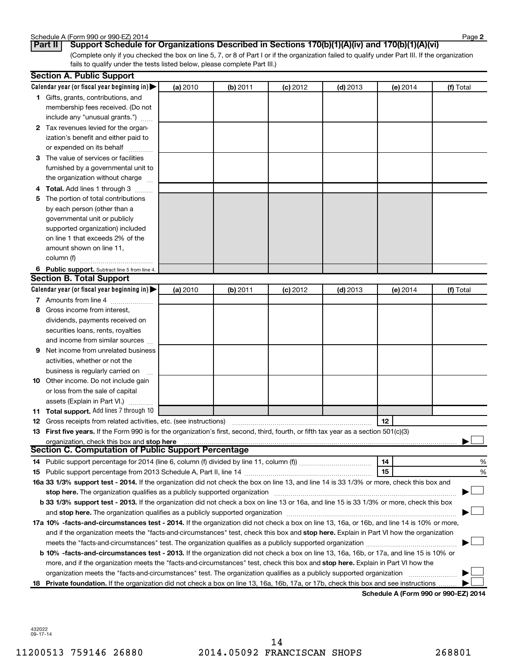| Schedule A (Form 990 or 990-EZ) 2014 | Page |
|--------------------------------------|------|
|--------------------------------------|------|

**2**

(Complete only if you checked the box on line 5, 7, or 8 of Part I or if the organization failed to qualify under Part III. If the organization fails to qualify under the tests listed below, please complete Part III.) **Part II Support Schedule for Organizations Described in Sections 170(b)(1)(A)(iv) and 170(b)(1)(A)(vi)**

|   | <b>Section A. Public Support</b>                                                                                                                                                                                               |          |            |            |            |          |           |
|---|--------------------------------------------------------------------------------------------------------------------------------------------------------------------------------------------------------------------------------|----------|------------|------------|------------|----------|-----------|
|   | Calendar year (or fiscal year beginning in)                                                                                                                                                                                    | (a) 2010 | $(b)$ 2011 | $(c)$ 2012 | $(d)$ 2013 | (e) 2014 | (f) Total |
|   | 1 Gifts, grants, contributions, and                                                                                                                                                                                            |          |            |            |            |          |           |
|   | membership fees received. (Do not                                                                                                                                                                                              |          |            |            |            |          |           |
|   | include any "unusual grants.")                                                                                                                                                                                                 |          |            |            |            |          |           |
|   | 2 Tax revenues levied for the organ-                                                                                                                                                                                           |          |            |            |            |          |           |
|   | ization's benefit and either paid to                                                                                                                                                                                           |          |            |            |            |          |           |
|   | or expended on its behalf                                                                                                                                                                                                      |          |            |            |            |          |           |
|   | 3 The value of services or facilities                                                                                                                                                                                          |          |            |            |            |          |           |
|   | furnished by a governmental unit to                                                                                                                                                                                            |          |            |            |            |          |           |
|   | the organization without charge                                                                                                                                                                                                |          |            |            |            |          |           |
|   | 4 Total. Add lines 1 through 3                                                                                                                                                                                                 |          |            |            |            |          |           |
|   | 5 The portion of total contributions                                                                                                                                                                                           |          |            |            |            |          |           |
|   | by each person (other than a                                                                                                                                                                                                   |          |            |            |            |          |           |
|   | governmental unit or publicly                                                                                                                                                                                                  |          |            |            |            |          |           |
|   | supported organization) included                                                                                                                                                                                               |          |            |            |            |          |           |
|   | on line 1 that exceeds 2% of the                                                                                                                                                                                               |          |            |            |            |          |           |
|   | amount shown on line 11,                                                                                                                                                                                                       |          |            |            |            |          |           |
|   | column (f)                                                                                                                                                                                                                     |          |            |            |            |          |           |
|   | 6 Public support. Subtract line 5 from line 4.                                                                                                                                                                                 |          |            |            |            |          |           |
|   | <b>Section B. Total Support</b>                                                                                                                                                                                                |          |            |            |            |          |           |
|   | Calendar year (or fiscal year beginning in)                                                                                                                                                                                    | (a) 2010 | (b) 2011   | $(c)$ 2012 | $(d)$ 2013 | (e) 2014 | (f) Total |
|   | 7 Amounts from line 4                                                                                                                                                                                                          |          |            |            |            |          |           |
|   | 8 Gross income from interest.                                                                                                                                                                                                  |          |            |            |            |          |           |
|   | dividends, payments received on                                                                                                                                                                                                |          |            |            |            |          |           |
|   | securities loans, rents, royalties                                                                                                                                                                                             |          |            |            |            |          |           |
|   | and income from similar sources                                                                                                                                                                                                |          |            |            |            |          |           |
| 9 | Net income from unrelated business                                                                                                                                                                                             |          |            |            |            |          |           |
|   | activities, whether or not the                                                                                                                                                                                                 |          |            |            |            |          |           |
|   | business is regularly carried on                                                                                                                                                                                               |          |            |            |            |          |           |
|   | 10 Other income. Do not include gain                                                                                                                                                                                           |          |            |            |            |          |           |
|   | or loss from the sale of capital                                                                                                                                                                                               |          |            |            |            |          |           |
|   | assets (Explain in Part VI.)                                                                                                                                                                                                   |          |            |            |            |          |           |
|   | 11 Total support. Add lines 7 through 10                                                                                                                                                                                       |          |            |            |            |          |           |
|   | <b>12</b> Gross receipts from related activities, etc. (see instructions)                                                                                                                                                      |          |            |            |            | 12       |           |
|   | 13 First five years. If the Form 990 is for the organization's first, second, third, fourth, or fifth tax year as a section 501(c)(3)                                                                                          |          |            |            |            |          |           |
|   | organization, check this box and stop here                                                                                                                                                                                     |          |            |            |            |          |           |
|   | Section C. Computation of Public Support Percentage                                                                                                                                                                            |          |            |            |            |          |           |
|   |                                                                                                                                                                                                                                |          |            |            |            | 14       | %         |
|   |                                                                                                                                                                                                                                |          |            |            |            | 15       | %         |
|   | 16a 33 1/3% support test - 2014. If the organization did not check the box on line 13, and line 14 is 33 1/3% or more, check this box and                                                                                      |          |            |            |            |          |           |
|   | stop here. The organization qualifies as a publicly supported organization manufactured content and the support of the state of the state of the state of the state of the state of the state of the state of the state of the |          |            |            |            |          |           |
|   | b 33 1/3% support test - 2013. If the organization did not check a box on line 13 or 16a, and line 15 is 33 1/3% or more, check this box                                                                                       |          |            |            |            |          |           |
|   |                                                                                                                                                                                                                                |          |            |            |            |          |           |
|   | 17a 10% -facts-and-circumstances test - 2014. If the organization did not check a box on line 13, 16a, or 16b, and line 14 is 10% or more,                                                                                     |          |            |            |            |          |           |
|   | and if the organization meets the "facts-and-circumstances" test, check this box and stop here. Explain in Part VI how the organization                                                                                        |          |            |            |            |          |           |
|   | meets the "facts-and-circumstances" test. The organization qualifies as a publicly supported organization                                                                                                                      |          |            |            |            |          |           |
|   | b 10% -facts-and-circumstances test - 2013. If the organization did not check a box on line 13, 16a, 16b, or 17a, and line 15 is 10% or                                                                                        |          |            |            |            |          |           |
|   | more, and if the organization meets the "facts-and-circumstances" test, check this box and stop here. Explain in Part VI how the                                                                                               |          |            |            |            |          |           |
|   | organization meets the "facts-and-circumstances" test. The organization qualifies as a publicly supported organization                                                                                                         |          |            |            |            |          |           |
|   | 18 Private foundation. If the organization did not check a box on line 13, 16a, 16b, 17a, or 17b, check this box and see instructions.                                                                                         |          |            |            |            |          |           |

**Schedule A (Form 990 or 990-EZ) 2014**

432022 09-17-14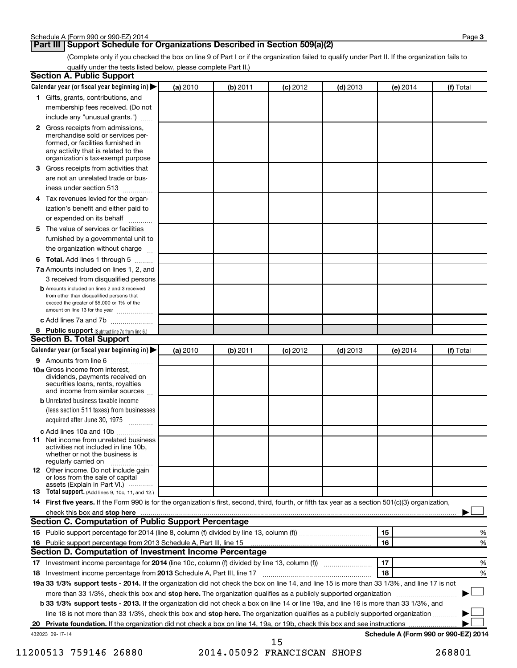## **Part III Support Schedule for Organizations Described in Section 509(a)(2)**

(Complete only if you checked the box on line 9 of Part I or if the organization failed to qualify under Part II. If the organization fails to qualify under the tests listed below, please complete Part II.)

| <b>Section A. Public Support</b>                                                                                                                                                 |          |          |            |            |          |                                      |
|----------------------------------------------------------------------------------------------------------------------------------------------------------------------------------|----------|----------|------------|------------|----------|--------------------------------------|
| Calendar year (or fiscal year beginning in)                                                                                                                                      | (a) 2010 | (b) 2011 | $(c)$ 2012 | $(d)$ 2013 | (e) 2014 | (f) Total                            |
| 1 Gifts, grants, contributions, and                                                                                                                                              |          |          |            |            |          |                                      |
| membership fees received. (Do not                                                                                                                                                |          |          |            |            |          |                                      |
| include any "unusual grants.")                                                                                                                                                   |          |          |            |            |          |                                      |
| 2 Gross receipts from admissions,<br>merchandise sold or services per-<br>formed, or facilities furnished in<br>any activity that is related to the                              |          |          |            |            |          |                                      |
| organization's tax-exempt purpose                                                                                                                                                |          |          |            |            |          |                                      |
| 3 Gross receipts from activities that                                                                                                                                            |          |          |            |            |          |                                      |
| are not an unrelated trade or bus-                                                                                                                                               |          |          |            |            |          |                                      |
| iness under section 513                                                                                                                                                          |          |          |            |            |          |                                      |
| 4 Tax revenues levied for the organ-                                                                                                                                             |          |          |            |            |          |                                      |
| ization's benefit and either paid to                                                                                                                                             |          |          |            |            |          |                                      |
| or expended on its behalf                                                                                                                                                        |          |          |            |            |          |                                      |
| 5 The value of services or facilities                                                                                                                                            |          |          |            |            |          |                                      |
| furnished by a governmental unit to                                                                                                                                              |          |          |            |            |          |                                      |
| the organization without charge                                                                                                                                                  |          |          |            |            |          |                                      |
| 6 Total. Add lines 1 through 5                                                                                                                                                   |          |          |            |            |          |                                      |
| 7a Amounts included on lines 1, 2, and                                                                                                                                           |          |          |            |            |          |                                      |
| 3 received from disqualified persons                                                                                                                                             |          |          |            |            |          |                                      |
| <b>b</b> Amounts included on lines 2 and 3 received<br>from other than disqualified persons that<br>exceed the greater of \$5,000 or 1% of the<br>amount on line 13 for the year |          |          |            |            |          |                                      |
| c Add lines 7a and 7b                                                                                                                                                            |          |          |            |            |          |                                      |
| 8 Public support (Subtract line 7c from line 6.)                                                                                                                                 |          |          |            |            |          |                                      |
| <b>Section B. Total Support</b>                                                                                                                                                  |          |          |            |            |          |                                      |
| Calendar year (or fiscal year beginning in)                                                                                                                                      | (a) 2010 | (b) 2011 | $(c)$ 2012 | $(d)$ 2013 | (e) 2014 | (f) Total                            |
| 9 Amounts from line 6                                                                                                                                                            |          |          |            |            |          |                                      |
| <b>10a</b> Gross income from interest,<br>dividends, payments received on<br>securities loans, rents, royalties<br>and income from similar sources                               |          |          |            |            |          |                                      |
| <b>b</b> Unrelated business taxable income                                                                                                                                       |          |          |            |            |          |                                      |
| (less section 511 taxes) from businesses<br>acquired after June 30, 1975                                                                                                         |          |          |            |            |          |                                      |
| c Add lines 10a and 10b                                                                                                                                                          |          |          |            |            |          |                                      |
| <b>11</b> Net income from unrelated business<br>activities not included in line 10b.<br>whether or not the business is<br>regularly carried on                                   |          |          |            |            |          |                                      |
| <b>12</b> Other income. Do not include gain<br>or loss from the sale of capital<br>assets (Explain in Part VI.)                                                                  |          |          |            |            |          |                                      |
| <b>13</b> Total support. (Add lines 9, 10c, 11, and 12.)                                                                                                                         |          |          |            |            |          |                                      |
| 14 First five years. If the Form 990 is for the organization's first, second, third, fourth, or fifth tax year as a section 501(c)(3) organization,                              |          |          |            |            |          |                                      |
| check this box and stop here                                                                                                                                                     |          |          |            |            |          |                                      |
| Section C. Computation of Public Support Percentage                                                                                                                              |          |          |            |            |          |                                      |
|                                                                                                                                                                                  |          |          |            |            | 15       | %                                    |
| 16 Public support percentage from 2013 Schedule A, Part III, line 15                                                                                                             |          |          |            |            | 16       | %                                    |
| Section D. Computation of Investment Income Percentage                                                                                                                           |          |          |            |            |          |                                      |
|                                                                                                                                                                                  |          |          |            |            | 17       | %                                    |
| 18 Investment income percentage from 2013 Schedule A, Part III, line 17                                                                                                          |          |          |            |            | 18       | %                                    |
| 19a 33 1/3% support tests - 2014. If the organization did not check the box on line 14, and line 15 is more than 33 1/3%, and line 17 is not                                     |          |          |            |            |          |                                      |
| more than 33 1/3%, check this box and stop here. The organization qualifies as a publicly supported organization                                                                 |          |          |            |            |          |                                      |
| b 33 1/3% support tests - 2013. If the organization did not check a box on line 14 or line 19a, and line 16 is more than 33 1/3%, and                                            |          |          |            |            |          |                                      |
| line 18 is not more than 33 1/3%, check this box and stop here. The organization qualifies as a publicly supported organization                                                  |          |          |            |            |          |                                      |
|                                                                                                                                                                                  |          |          |            |            |          |                                      |
| 432023 09-17-14                                                                                                                                                                  |          |          | 15         |            |          | Schedule A (Form 990 or 990-EZ) 2014 |

11200513 759146 26880 2014.05092 FRANCISCAN SHOPS 268801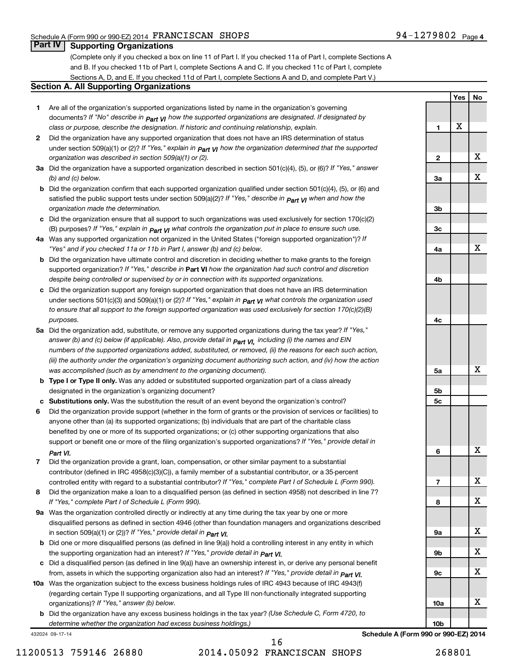**Yes No**

# **Part IV Supporting Organizations**

(Complete only if you checked a box on line 11 of Part I. If you checked 11a of Part I, complete Sections A and B. If you checked 11b of Part I, complete Sections A and C. If you checked 11c of Part I, complete Sections A, D, and E. If you checked 11d of Part I, complete Sections A and D, and complete Part V.)

#### **Section A. All Supporting Organizations**

- **1** Are all of the organization's supported organizations listed by name in the organization's governing documents? If "No" describe in  $_{\mathsf{Part}}$   $_{\mathsf{V}}$  how the supported organizations are designated. If designated by *class or purpose, describe the designation. If historic and continuing relationship, explain.*
- **2** Did the organization have any supported organization that does not have an IRS determination of status under section 509(a)(1) or (2)? If "Yes," explain in  $_{\sf Part}$   $_{\sf VI}$  how the organization determined that the supported *organization was described in section 509(a)(1) or (2).*
- **3a** Did the organization have a supported organization described in section 501(c)(4), (5), or (6)? If "Yes," answer *(b) and (c) below.*
- **b** Did the organization confirm that each supported organization qualified under section 501(c)(4), (5), or (6) and satisfied the public support tests under section 509(a)(2)? If "Yes," describe in  $_{\rm Part}$   $_{\rm VI}$  when and how the *organization made the determination.*
- **c** Did the organization ensure that all support to such organizations was used exclusively for section 170(c)(2) (B) purposes? If "Yes," explain in  $_{\mathsf{Part}}$   $_{\mathsf{V}}$  what controls the organization put in place to ensure such use.
- **4 a** *If* Was any supported organization not organized in the United States ("foreign supported organization")? *"Yes" and if you checked 11a or 11b in Part I, answer (b) and (c) below.*
- **b** Did the organization have ultimate control and discretion in deciding whether to make grants to the foreign supported organization? If "Yes," describe in Part VI how the organization had such control and discretion *despite being controlled or supervised by or in connection with its supported organizations.*
- **c** Did the organization support any foreign supported organization that does not have an IRS determination under sections 501(c)(3) and 509(a)(1) or (2)? If "Yes," ex*plain in*  $_{\sf Part}$  *v*J what controls the organization used *to ensure that all support to the foreign supported organization was used exclusively for section 170(c)(2)(B) purposes.*
- **5a** Did the organization add, substitute, or remove any supported organizations during the tax year? If "Yes," answer (b) and (c) below (if applicable). Also, provide detail in  $_{\mathsf{Part}}$   $_{\mathsf{V{\mathsf{I}}}}$ , including (i) the names and EIN *numbers of the supported organizations added, substituted, or removed, (ii) the reasons for each such action, (iii) the authority under the organization's organizing document authorizing such action, and (iv) how the action was accomplished (such as by amendment to the organizing document).*
- **b** Type I or Type II only. Was any added or substituted supported organization part of a class already designated in the organization's organizing document?
- **c Substitutions only.**  Was the substitution the result of an event beyond the organization's control?
- **6** Did the organization provide support (whether in the form of grants or the provision of services or facilities) to support or benefit one or more of the filing organization's supported organizations? If "Yes," provide detail in anyone other than (a) its supported organizations; (b) individuals that are part of the charitable class benefited by one or more of its supported organizations; or (c) other supporting organizations that also *Part VI.*
- **7** Did the organization provide a grant, loan, compensation, or other similar payment to a substantial controlled entity with regard to a substantial contributor? If "Yes," complete Part I of Schedule L (Form 990). contributor (defined in IRC 4958(c)(3)(C)), a family member of a substantial contributor, or a 35-percent
- **8** Did the organization make a loan to a disqualified person (as defined in section 4958) not described in line 7? *If "Yes," complete Part I of Schedule L (Form 990).*
- **9 a** Was the organization controlled directly or indirectly at any time during the tax year by one or more *If "Yes," provide detail in*  in section 509(a)(1) or (2))? *Part VI.* disqualified persons as defined in section 4946 (other than foundation managers and organizations described
- **b** Did one or more disqualified persons (as defined in line 9(a)) hold a controlling interest in any entity in which  *If "Yes," provide detail in*  the supporting organization had an interest? *Part VI.*
- **c** Did a disqualified person (as defined in line 9(a)) have an ownership interest in, or derive any personal benefit from, assets in which the supporting organization also had an interest? If "Yes," *provide detail in Part VI.*
- **10 a** Was the organization subject to the excess business holdings rules of IRC 4943 because of IRC 4943(f)  *If "Yes," answer (b) below.* organizations)? (regarding certain Type II supporting organizations, and all Type III non-functionally integrated supporting
- **b** Did the organization have any excess business holdings in the tax year? (Use Schedule C, Form 4720, to *determine whether the organization had excess business holdings.)*

432024 09-17-14

16

| 1               | X |   |
|-----------------|---|---|
|                 |   |   |
| 2               |   | X |
|                 |   |   |
| 3a              |   | X |
|                 |   |   |
| 3b              |   |   |
| 3c              |   |   |
|                 |   |   |
| 4a              |   | X |
|                 |   |   |
| 4b              |   |   |
|                 |   |   |
| 4c              |   |   |
|                 |   |   |
| 5a              |   | X |
|                 |   |   |
| 5b<br>5c        |   |   |
|                 |   |   |
| 6               |   | Χ |
|                 |   |   |
| 7               |   | X |
| 8               |   | X |
|                 |   |   |
| 9а              |   | X |
| 9b              |   | X |
|                 |   |   |
| 9с              |   | X |
|                 |   |   |
| 10a             |   | X |
| 10 <sub>b</sub> |   |   |

**Schedule A (Form 990 or 990-EZ) 2014**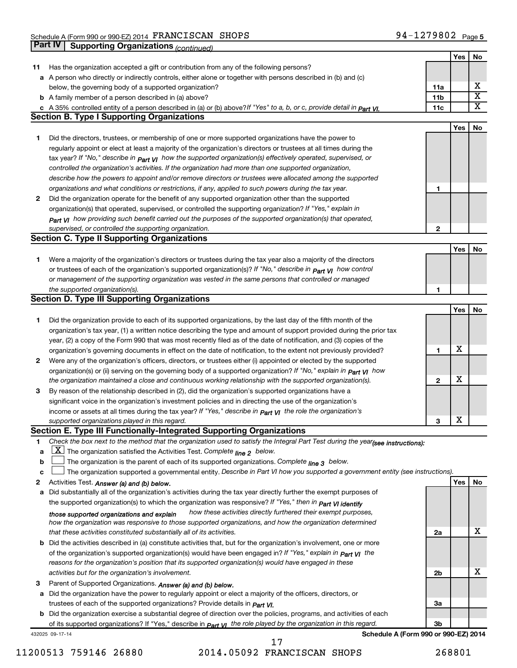|    | Part IV<br><b>Supporting Organizations (continued)</b>                                                                                                                       |                 |            |                         |
|----|------------------------------------------------------------------------------------------------------------------------------------------------------------------------------|-----------------|------------|-------------------------|
|    |                                                                                                                                                                              |                 | Yes        | No                      |
| 11 | Has the organization accepted a gift or contribution from any of the following persons?                                                                                      |                 |            |                         |
|    | a A person who directly or indirectly controls, either alone or together with persons described in (b) and (c)                                                               |                 |            |                         |
|    | below, the governing body of a supported organization?                                                                                                                       | 11a             |            | х                       |
|    | <b>b</b> A family member of a person described in (a) above?                                                                                                                 | 11 <sub>b</sub> |            | $\overline{\texttt{x}}$ |
|    | c A 35% controlled entity of a person described in (a) or (b) above?If "Yes" to a, b, or c, provide detail in Part VI.                                                       | 11c             |            | $\overline{\text{X}}$   |
|    | <b>Section B. Type I Supporting Organizations</b>                                                                                                                            |                 |            |                         |
|    |                                                                                                                                                                              |                 | Yes        | No                      |
| 1. | Did the directors, trustees, or membership of one or more supported organizations have the power to                                                                          |                 |            |                         |
|    | regularly appoint or elect at least a majority of the organization's directors or trustees at all times during the                                                           |                 |            |                         |
|    | tax year? If "No," describe in $P_{art}$ $V_I$ how the supported organization(s) effectively operated, supervised, or                                                        |                 |            |                         |
|    | controlled the organization's activities. If the organization had more than one supported organization,                                                                      |                 |            |                         |
|    | describe how the powers to appoint and/or remove directors or trustees were allocated among the supported                                                                    |                 |            |                         |
|    | organizations and what conditions or restrictions, if any, applied to such powers during the tax year.                                                                       | 1               |            |                         |
| 2  | Did the organization operate for the benefit of any supported organization other than the supported                                                                          |                 |            |                         |
|    | organization(s) that operated, supervised, or controlled the supporting organization? If "Yes," explain in                                                                   |                 |            |                         |
|    | $_{Part}$ v <sub>I</sub> how providing such benefit carried out the purposes of the supported organization(s) that operated,                                                 |                 |            |                         |
|    | supervised, or controlled the supporting organization.                                                                                                                       | 2               |            |                         |
|    | <b>Section C. Type II Supporting Organizations</b>                                                                                                                           |                 |            |                         |
|    |                                                                                                                                                                              |                 | <b>Yes</b> | No                      |
| 1. | Were a majority of the organization's directors or trustees during the tax year also a majority of the directors                                                             |                 |            |                         |
|    | or trustees of each of the organization's supported organization(s)? If "No," describe in <b>Part VI</b> how control                                                         |                 |            |                         |
|    | or management of the supporting organization was vested in the same persons that controlled or managed                                                                       |                 |            |                         |
|    | the supported organization(s).                                                                                                                                               | 1               |            |                         |
|    | <b>Section D. Type III Supporting Organizations</b>                                                                                                                          |                 |            |                         |
|    |                                                                                                                                                                              |                 | <b>Yes</b> | No                      |
| 1  | Did the organization provide to each of its supported organizations, by the last day of the fifth month of the                                                               |                 |            |                         |
|    | organization's tax year, (1) a written notice describing the type and amount of support provided during the prior tax                                                        |                 |            |                         |
|    | year, (2) a copy of the Form 990 that was most recently filed as of the date of notification, and (3) copies of the                                                          |                 |            |                         |
|    | organization's governing documents in effect on the date of notification, to the extent not previously provided?                                                             | 1               | х          |                         |
| 2  | Were any of the organization's officers, directors, or trustees either (i) appointed or elected by the supported                                                             |                 |            |                         |
|    | organization(s) or (ii) serving on the governing body of a supported organization? If "No," explain in part VI how                                                           |                 |            |                         |
|    | the organization maintained a close and continuous working relationship with the supported organization(s).                                                                  | $\mathbf{2}$    | х          |                         |
| 3  | By reason of the relationship described in (2), did the organization's supported organizations have a                                                                        |                 |            |                         |
|    | significant voice in the organization's investment policies and in directing the use of the organization's                                                                   |                 |            |                         |
|    | income or assets at all times during the tax year? If "Yes," describe in $_{Part}$ y the role the organization's                                                             |                 |            |                         |
|    | supported organizations played in this regard.                                                                                                                               | з               | X          |                         |
|    | Section E. Type III Functionally-Integrated Supporting Organizations                                                                                                         |                 |            |                         |
| 1  | Check the box next to the method that the organization used to satisfy the Integral Part Test during the year(see instructions):                                             |                 |            |                         |
| a  | $\underline{X}$ The organization satisfied the Activities Test. Complete $_{\text{line 2}}$ below.                                                                           |                 |            |                         |
| b  | The organization is the parent of each of its supported organizations. Complete line 3 below.                                                                                |                 |            |                         |
| c  | The organization supported a governmental entity. Describe in Part VI how you supported a government entity (see instructions).                                              |                 |            |                         |
| 2  | Activities Test. Answer (a) and (b) below.                                                                                                                                   |                 | Yes        | No                      |
| а  | Did substantially all of the organization's activities during the tax year directly further the exempt purposes of                                                           |                 |            |                         |
|    | the supported organization(s) to which the organization was responsive? If "Yes," then in Part VI identify<br>how these activities directly furthered their exempt purposes, |                 |            |                         |
|    | those supported organizations and explain<br>how the organization was responsive to those supported organizations, and how the organization determined                       |                 |            |                         |
|    | that these activities constituted substantially all of its activities.                                                                                                       | 2a              |            | х                       |
|    | <b>b</b> Did the activities described in (a) constitute activities that, but for the organization's involvement, one or more                                                 |                 |            |                         |
|    | of the organization's supported organization(s) would have been engaged in? If "Yes," explain in <b>Part VI</b> the                                                          |                 |            |                         |
|    | reasons for the organization's position that its supported organization(s) would have engaged in these                                                                       |                 |            |                         |
|    | activities but for the organization's involvement.                                                                                                                           | 2b              |            | х                       |
| З  | Parent of Supported Organizations. Answer (a) and (b) below.                                                                                                                 |                 |            |                         |
| а  | Did the organization have the power to regularly appoint or elect a majority of the officers, directors, or                                                                  |                 |            |                         |
|    | trustees of each of the supported organizations? Provide details in <i>Part VI.</i>                                                                                          | За              |            |                         |
|    | <b>b</b> Did the organization exercise a substantial degree of direction over the policies, programs, and activities of each                                                 |                 |            |                         |
|    | of its supported organizations? If "Yes," describe in $P_{\text{art}}$ VI the role played by the organization in this regard.                                                | 3b              |            |                         |
|    | Schedule A (Form 990 or 990-EZ) 2014<br>432025 09-17-14                                                                                                                      |                 |            |                         |
|    | 17                                                                                                                                                                           |                 |            |                         |

11200513 759146 26880 2014.05092 FRANCISCAN SHOPS 268801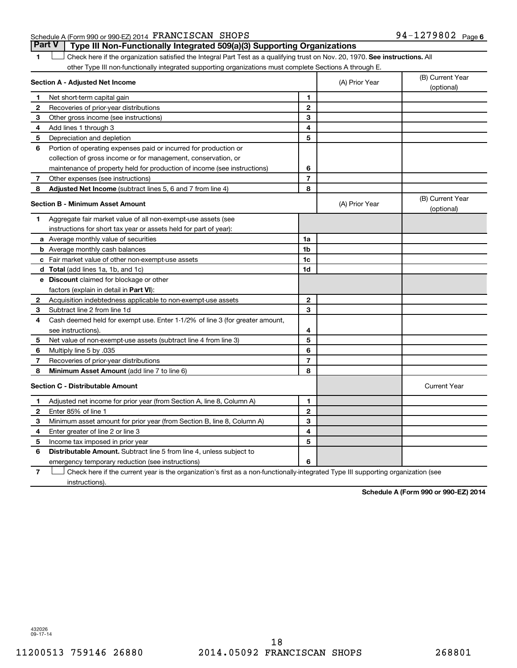### Schedule A (Form 990 or 990-EZ) 2014  $\textbf{FRANCISCAN }$  SHOPS  $94-1279802$  Page

1 **Letter on Reck here if the organization satisfied the Integral Part Test as a qualifying trust on Nov. 20, 1970. See instructions. All** other Type III non-functionally integrated supporting organizations must complete Sections A through E. **Part V Type III Non-Functionally Integrated 509(a)(3) Supporting Organizations** 

|              | Section A - Adjusted Net Income                                              |                | (A) Prior Year | (B) Current Year<br>(optional) |
|--------------|------------------------------------------------------------------------------|----------------|----------------|--------------------------------|
| 1            | Net short-term capital gain                                                  | 1              |                |                                |
| $\mathbf{2}$ | Recoveries of prior-year distributions                                       | $\overline{2}$ |                |                                |
| 3            | Other gross income (see instructions)                                        | 3              |                |                                |
| 4            | Add lines 1 through 3                                                        | 4              |                |                                |
| 5            | Depreciation and depletion                                                   | 5              |                |                                |
| 6            | Portion of operating expenses paid or incurred for production or             |                |                |                                |
|              | collection of gross income or for management, conservation, or               |                |                |                                |
|              | maintenance of property held for production of income (see instructions)     | 6              |                |                                |
| 7            | Other expenses (see instructions)                                            | $\overline{7}$ |                |                                |
| 8            | Adjusted Net Income (subtract lines 5, 6 and 7 from line 4)                  | 8              |                |                                |
|              | <b>Section B - Minimum Asset Amount</b>                                      |                | (A) Prior Year | (B) Current Year<br>(optional) |
| 1            | Aggregate fair market value of all non-exempt-use assets (see                |                |                |                                |
|              | instructions for short tax year or assets held for part of year):            |                |                |                                |
|              | a Average monthly value of securities                                        | 1a             |                |                                |
|              | <b>b</b> Average monthly cash balances                                       | 1b             |                |                                |
|              | c Fair market value of other non-exempt-use assets                           | 1c             |                |                                |
|              | d Total (add lines 1a, 1b, and 1c)                                           | 1d             |                |                                |
|              | e Discount claimed for blockage or other                                     |                |                |                                |
|              | factors (explain in detail in <b>Part VI</b> ):                              |                |                |                                |
| $\mathbf{2}$ | Acquisition indebtedness applicable to non-exempt-use assets                 | $\mathbf{2}$   |                |                                |
| 3            | Subtract line 2 from line 1d                                                 | 3              |                |                                |
| 4            | Cash deemed held for exempt use. Enter 1-1/2% of line 3 (for greater amount, |                |                |                                |
|              | see instructions).                                                           | 4              |                |                                |
| 5            | Net value of non-exempt-use assets (subtract line 4 from line 3)             | 5              |                |                                |
| 6            | Multiply line 5 by .035                                                      | 6              |                |                                |
| 7            | Recoveries of prior-year distributions                                       | $\overline{7}$ |                |                                |
| 8            | <b>Minimum Asset Amount (add line 7 to line 6)</b>                           | 8              |                |                                |
|              | <b>Section C - Distributable Amount</b>                                      |                |                | <b>Current Year</b>            |
| 1            | Adjusted net income for prior year (from Section A, line 8, Column A)        | 1              |                |                                |
| 2            | Enter 85% of line 1                                                          | $\mathbf{2}$   |                |                                |
| 3            | Minimum asset amount for prior year (from Section B, line 8, Column A)       | 3              |                |                                |
| 4            | Enter greater of line 2 or line 3                                            | 4              |                |                                |
| 5            | Income tax imposed in prior year                                             | 5              |                |                                |
| 6            | Distributable Amount. Subtract line 5 from line 4, unless subject to         |                |                |                                |
|              | emergency temporary reduction (see instructions)                             | 6              |                |                                |
|              |                                                                              |                |                |                                |

**7** Check here if the current year is the organization's first as a non-functionally-integrated Type III supporting organization (see † instructions).

**Schedule A (Form 990 or 990-EZ) 2014**

432026 09-17-14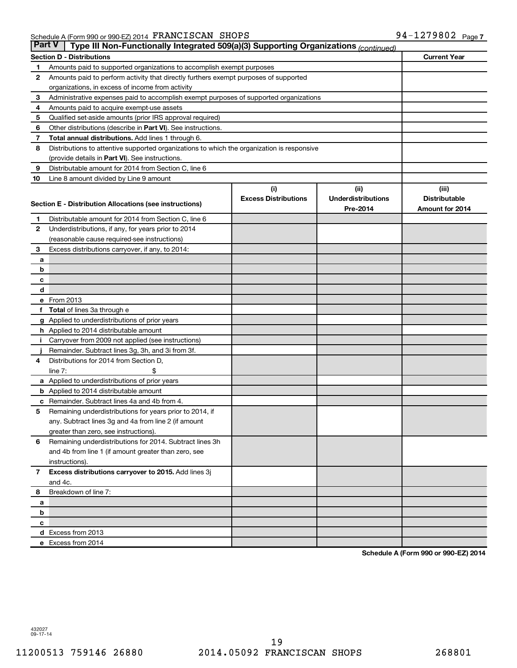| <b>Part V</b>  | Type III Non-Functionally Integrated 509(a)(3) Supporting Organizations (continued)        |                             |                           |                      |  |  |  |  |  |
|----------------|--------------------------------------------------------------------------------------------|-----------------------------|---------------------------|----------------------|--|--|--|--|--|
|                | <b>Section D - Distributions</b>                                                           |                             |                           | <b>Current Year</b>  |  |  |  |  |  |
| 1              | Amounts paid to supported organizations to accomplish exempt purposes                      |                             |                           |                      |  |  |  |  |  |
| 2              | Amounts paid to perform activity that directly furthers exempt purposes of supported       |                             |                           |                      |  |  |  |  |  |
|                | organizations, in excess of income from activity                                           |                             |                           |                      |  |  |  |  |  |
| 3              | Administrative expenses paid to accomplish exempt purposes of supported organizations      |                             |                           |                      |  |  |  |  |  |
| 4              | Amounts paid to acquire exempt-use assets                                                  |                             |                           |                      |  |  |  |  |  |
| 5              | Qualified set-aside amounts (prior IRS approval required)                                  |                             |                           |                      |  |  |  |  |  |
| 6              | Other distributions (describe in Part VI). See instructions.                               |                             |                           |                      |  |  |  |  |  |
| 7              | Total annual distributions. Add lines 1 through 6.                                         |                             |                           |                      |  |  |  |  |  |
| 8              | Distributions to attentive supported organizations to which the organization is responsive |                             |                           |                      |  |  |  |  |  |
|                | (provide details in Part VI). See instructions.                                            |                             |                           |                      |  |  |  |  |  |
| 9              | Distributable amount for 2014 from Section C, line 6                                       |                             |                           |                      |  |  |  |  |  |
| 10             | Line 8 amount divided by Line 9 amount                                                     |                             |                           |                      |  |  |  |  |  |
|                |                                                                                            | (i)                         | (i)                       | (iii)                |  |  |  |  |  |
|                | Section E - Distribution Allocations (see instructions)                                    | <b>Excess Distributions</b> | <b>Underdistributions</b> | <b>Distributable</b> |  |  |  |  |  |
|                |                                                                                            |                             | Pre-2014                  | Amount for 2014      |  |  |  |  |  |
| 1              | Distributable amount for 2014 from Section C, line 6                                       |                             |                           |                      |  |  |  |  |  |
| $\mathbf{2}$   | Underdistributions, if any, for years prior to 2014                                        |                             |                           |                      |  |  |  |  |  |
|                | (reasonable cause required-see instructions)                                               |                             |                           |                      |  |  |  |  |  |
| 3              | Excess distributions carryover, if any, to 2014:                                           |                             |                           |                      |  |  |  |  |  |
| a              |                                                                                            |                             |                           |                      |  |  |  |  |  |
| b              |                                                                                            |                             |                           |                      |  |  |  |  |  |
| с              |                                                                                            |                             |                           |                      |  |  |  |  |  |
| d              | e From 2013                                                                                |                             |                           |                      |  |  |  |  |  |
|                |                                                                                            |                             |                           |                      |  |  |  |  |  |
|                | <b>Total</b> of lines 3a through e<br>g Applied to underdistributions of prior years       |                             |                           |                      |  |  |  |  |  |
|                | <b>h</b> Applied to 2014 distributable amount                                              |                             |                           |                      |  |  |  |  |  |
|                | Carryover from 2009 not applied (see instructions)                                         |                             |                           |                      |  |  |  |  |  |
|                | Remainder. Subtract lines 3g, 3h, and 3i from 3f.                                          |                             |                           |                      |  |  |  |  |  |
| 4              | Distributions for 2014 from Section D,                                                     |                             |                           |                      |  |  |  |  |  |
|                | $line 7$ :                                                                                 |                             |                           |                      |  |  |  |  |  |
|                | a Applied to underdistributions of prior years                                             |                             |                           |                      |  |  |  |  |  |
|                | <b>b</b> Applied to 2014 distributable amount                                              |                             |                           |                      |  |  |  |  |  |
| с              | Remainder. Subtract lines 4a and 4b from 4.                                                |                             |                           |                      |  |  |  |  |  |
| 5              | Remaining underdistributions for years prior to 2014, if                                   |                             |                           |                      |  |  |  |  |  |
|                | any. Subtract lines 3g and 4a from line 2 (if amount                                       |                             |                           |                      |  |  |  |  |  |
|                | greater than zero, see instructions).                                                      |                             |                           |                      |  |  |  |  |  |
| 6              | Remaining underdistributions for 2014. Subtract lines 3h                                   |                             |                           |                      |  |  |  |  |  |
|                | and 4b from line 1 (if amount greater than zero, see                                       |                             |                           |                      |  |  |  |  |  |
|                | instructions).                                                                             |                             |                           |                      |  |  |  |  |  |
| $\overline{7}$ | Excess distributions carryover to 2015. Add lines 3j                                       |                             |                           |                      |  |  |  |  |  |
|                | and 4c.                                                                                    |                             |                           |                      |  |  |  |  |  |
| 8              | Breakdown of line 7:                                                                       |                             |                           |                      |  |  |  |  |  |
| a              |                                                                                            |                             |                           |                      |  |  |  |  |  |
| b              |                                                                                            |                             |                           |                      |  |  |  |  |  |
| с              |                                                                                            |                             |                           |                      |  |  |  |  |  |
|                | d Excess from 2013                                                                         |                             |                           |                      |  |  |  |  |  |
|                | e Excess from 2014                                                                         |                             |                           |                      |  |  |  |  |  |

**Schedule A (Form 990 or 990-EZ) 2014**

432027 09-17-14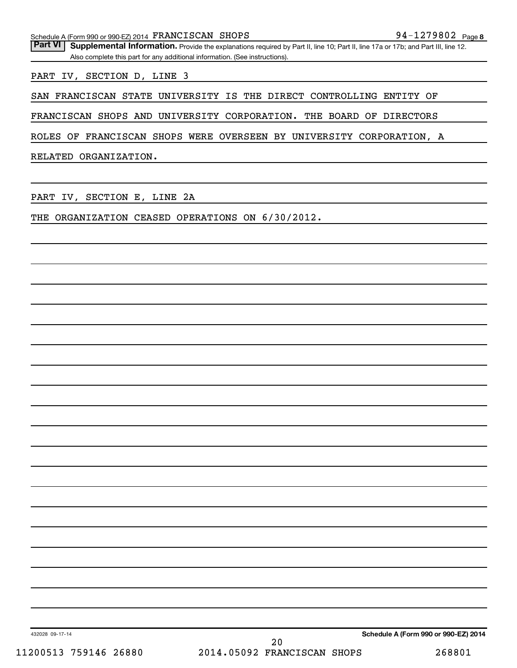Part VI | Supplemental Information. Provide the explanations required by Part II, line 10; Part II, line 17a or 17b; and Part III, line 12. Also complete this part for any additional information. (See instructions).

PART IV, SECTION D, LINE 3

SAN FRANCISCAN STATE UNIVERSITY IS THE DIRECT CONTROLLING ENTITY OF

FRANCISCAN SHOPS AND UNIVERSITY CORPORATION. THE BOARD OF DIRECTORS

ROLES OF FRANCISCAN SHOPS WERE OVERSEEN BY UNIVERSITY CORPORATION, A

RELATED ORGANIZATION.

PART IV, SECTION E, LINE 2A

THE ORGANIZATION CEASED OPERATIONS ON 6/30/2012.

432028 09-17-14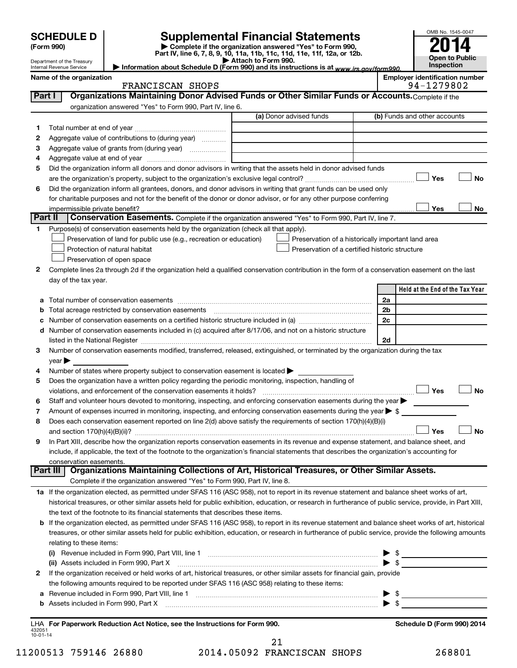|                          | <b>SCHEDULE D</b><br>(Form 990)                        |                                                                                                                                                                                                                                                                                         | <b>Supplemental Financial Statements</b><br>Complete if the organization answered "Yes" to Form 990, | OMB No. 1545-0047                                                                                                                                                                                                                                                                                                   |
|--------------------------|--------------------------------------------------------|-----------------------------------------------------------------------------------------------------------------------------------------------------------------------------------------------------------------------------------------------------------------------------------------|------------------------------------------------------------------------------------------------------|---------------------------------------------------------------------------------------------------------------------------------------------------------------------------------------------------------------------------------------------------------------------------------------------------------------------|
|                          |                                                        |                                                                                                                                                                                                                                                                                         | Part IV, line 6, 7, 8, 9, 10, 11a, 11b, 11c, 11d, 11e, 11f, 12a, or 12b.<br>Attach to Form 990.      | <b>Open to Public</b>                                                                                                                                                                                                                                                                                               |
|                          | Department of the Treasury<br>Internal Revenue Service |                                                                                                                                                                                                                                                                                         | Information about Schedule D (Form 990) and its instructions is at www.irs.gov/form990.              | Inspection                                                                                                                                                                                                                                                                                                          |
|                          | Name of the organization                               | FRANCISCAN SHOPS                                                                                                                                                                                                                                                                        |                                                                                                      | <b>Employer identification number</b><br>94-1279802                                                                                                                                                                                                                                                                 |
|                          | Part I                                                 | Organizations Maintaining Donor Advised Funds or Other Similar Funds or Accounts. Complete if the                                                                                                                                                                                       |                                                                                                      |                                                                                                                                                                                                                                                                                                                     |
|                          |                                                        | organization answered "Yes" to Form 990, Part IV, line 6.                                                                                                                                                                                                                               |                                                                                                      |                                                                                                                                                                                                                                                                                                                     |
|                          |                                                        |                                                                                                                                                                                                                                                                                         | (a) Donor advised funds                                                                              | (b) Funds and other accounts                                                                                                                                                                                                                                                                                        |
| 1                        |                                                        |                                                                                                                                                                                                                                                                                         |                                                                                                      |                                                                                                                                                                                                                                                                                                                     |
| 2                        |                                                        | Aggregate value of contributions to (during year)                                                                                                                                                                                                                                       |                                                                                                      |                                                                                                                                                                                                                                                                                                                     |
| з                        |                                                        |                                                                                                                                                                                                                                                                                         |                                                                                                      |                                                                                                                                                                                                                                                                                                                     |
| 4                        |                                                        |                                                                                                                                                                                                                                                                                         |                                                                                                      |                                                                                                                                                                                                                                                                                                                     |
| 5                        |                                                        | Did the organization inform all donors and donor advisors in writing that the assets held in donor advised funds                                                                                                                                                                        |                                                                                                      |                                                                                                                                                                                                                                                                                                                     |
|                          |                                                        |                                                                                                                                                                                                                                                                                         |                                                                                                      | Yes<br>No                                                                                                                                                                                                                                                                                                           |
| 6                        |                                                        | Did the organization inform all grantees, donors, and donor advisors in writing that grant funds can be used only                                                                                                                                                                       |                                                                                                      |                                                                                                                                                                                                                                                                                                                     |
|                          | impermissible private benefit?                         | for charitable purposes and not for the benefit of the donor or donor advisor, or for any other purpose conferring                                                                                                                                                                      |                                                                                                      | Yes<br>No.                                                                                                                                                                                                                                                                                                          |
|                          | Part II                                                | Conservation Easements. Complete if the organization answered "Yes" to Form 990, Part IV, line 7.                                                                                                                                                                                       |                                                                                                      |                                                                                                                                                                                                                                                                                                                     |
| 1                        |                                                        | Purpose(s) of conservation easements held by the organization (check all that apply).                                                                                                                                                                                                   |                                                                                                      |                                                                                                                                                                                                                                                                                                                     |
|                          |                                                        | Preservation of land for public use (e.g., recreation or education)                                                                                                                                                                                                                     | Preservation of a historically important land area                                                   |                                                                                                                                                                                                                                                                                                                     |
|                          |                                                        | Protection of natural habitat                                                                                                                                                                                                                                                           | Preservation of a certified historic structure                                                       |                                                                                                                                                                                                                                                                                                                     |
|                          |                                                        | Preservation of open space                                                                                                                                                                                                                                                              |                                                                                                      |                                                                                                                                                                                                                                                                                                                     |
| 2                        |                                                        | Complete lines 2a through 2d if the organization held a qualified conservation contribution in the form of a conservation easement on the last                                                                                                                                          |                                                                                                      |                                                                                                                                                                                                                                                                                                                     |
|                          | day of the tax year.                                   |                                                                                                                                                                                                                                                                                         |                                                                                                      |                                                                                                                                                                                                                                                                                                                     |
|                          |                                                        |                                                                                                                                                                                                                                                                                         |                                                                                                      | Held at the End of the Tax Year                                                                                                                                                                                                                                                                                     |
| а                        |                                                        |                                                                                                                                                                                                                                                                                         |                                                                                                      | 2a                                                                                                                                                                                                                                                                                                                  |
| b                        |                                                        | Total acreage restricted by conservation easements [111] [12] matter conservation conservation conservation conservation conservation conservation conservation conservation conservation conservation conservation conservati                                                          |                                                                                                      | 2 <sub>b</sub>                                                                                                                                                                                                                                                                                                      |
| с                        |                                                        |                                                                                                                                                                                                                                                                                         |                                                                                                      | 2c                                                                                                                                                                                                                                                                                                                  |
| d                        |                                                        | Number of conservation easements included in (c) acquired after 8/17/06, and not on a historic structure                                                                                                                                                                                |                                                                                                      |                                                                                                                                                                                                                                                                                                                     |
|                          |                                                        |                                                                                                                                                                                                                                                                                         |                                                                                                      | 2d                                                                                                                                                                                                                                                                                                                  |
| 3                        |                                                        | Number of conservation easements modified, transferred, released, extinguished, or terminated by the organization during the tax                                                                                                                                                        |                                                                                                      |                                                                                                                                                                                                                                                                                                                     |
|                          | $year \blacktriangleright$                             |                                                                                                                                                                                                                                                                                         |                                                                                                      |                                                                                                                                                                                                                                                                                                                     |
| 4                        |                                                        | Number of states where property subject to conservation easement is located $\blacktriangleright$                                                                                                                                                                                       |                                                                                                      |                                                                                                                                                                                                                                                                                                                     |
| 5                        |                                                        | Does the organization have a written policy regarding the periodic monitoring, inspection, handling of                                                                                                                                                                                  |                                                                                                      |                                                                                                                                                                                                                                                                                                                     |
|                          |                                                        |                                                                                                                                                                                                                                                                                         |                                                                                                      | Yes<br>No                                                                                                                                                                                                                                                                                                           |
|                          |                                                        | Staff and volunteer hours devoted to monitoring, inspecting, and enforcing conservation easements during the year                                                                                                                                                                       |                                                                                                      |                                                                                                                                                                                                                                                                                                                     |
| 7                        |                                                        | Amount of expenses incurred in monitoring, inspecting, and enforcing conservation easements during the year $\triangleright$ \$                                                                                                                                                         |                                                                                                      |                                                                                                                                                                                                                                                                                                                     |
| 8                        |                                                        | Does each conservation easement reported on line 2(d) above satisfy the requirements of section 170(h)(4)(B)(i)                                                                                                                                                                         |                                                                                                      |                                                                                                                                                                                                                                                                                                                     |
|                          |                                                        |                                                                                                                                                                                                                                                                                         |                                                                                                      | No<br>Yes                                                                                                                                                                                                                                                                                                           |
| 9                        |                                                        | In Part XIII, describe how the organization reports conservation easements in its revenue and expense statement, and balance sheet, and<br>include, if applicable, the text of the footnote to the organization's financial statements that describes the organization's accounting for |                                                                                                      |                                                                                                                                                                                                                                                                                                                     |
|                          | conservation easements.                                |                                                                                                                                                                                                                                                                                         |                                                                                                      |                                                                                                                                                                                                                                                                                                                     |
|                          |                                                        | Part III   Organizations Maintaining Collections of Art, Historical Treasures, or Other Similar Assets.                                                                                                                                                                                 |                                                                                                      |                                                                                                                                                                                                                                                                                                                     |
|                          |                                                        | Complete if the organization answered "Yes" to Form 990, Part IV, line 8.                                                                                                                                                                                                               |                                                                                                      |                                                                                                                                                                                                                                                                                                                     |
|                          |                                                        | 1a If the organization elected, as permitted under SFAS 116 (ASC 958), not to report in its revenue statement and balance sheet works of art,                                                                                                                                           |                                                                                                      |                                                                                                                                                                                                                                                                                                                     |
|                          |                                                        | historical treasures, or other similar assets held for public exhibition, education, or research in furtherance of public service, provide, in Part XIII,                                                                                                                               |                                                                                                      |                                                                                                                                                                                                                                                                                                                     |
|                          |                                                        | the text of the footnote to its financial statements that describes these items.                                                                                                                                                                                                        |                                                                                                      |                                                                                                                                                                                                                                                                                                                     |
| b                        |                                                        | If the organization elected, as permitted under SFAS 116 (ASC 958), to report in its revenue statement and balance sheet works of art, historical                                                                                                                                       |                                                                                                      |                                                                                                                                                                                                                                                                                                                     |
|                          |                                                        | treasures, or other similar assets held for public exhibition, education, or research in furtherance of public service, provide the following amounts                                                                                                                                   |                                                                                                      |                                                                                                                                                                                                                                                                                                                     |
|                          | relating to these items:                               |                                                                                                                                                                                                                                                                                         |                                                                                                      |                                                                                                                                                                                                                                                                                                                     |
|                          |                                                        |                                                                                                                                                                                                                                                                                         |                                                                                                      | $\frac{1}{2}$ $\frac{1}{2}$ $\frac{1}{2}$ $\frac{1}{2}$ $\frac{1}{2}$ $\frac{1}{2}$ $\frac{1}{2}$ $\frac{1}{2}$ $\frac{1}{2}$ $\frac{1}{2}$ $\frac{1}{2}$ $\frac{1}{2}$ $\frac{1}{2}$ $\frac{1}{2}$ $\frac{1}{2}$ $\frac{1}{2}$ $\frac{1}{2}$ $\frac{1}{2}$ $\frac{1}{2}$ $\frac{1}{2}$ $\frac{1}{2}$ $\frac{1}{2}$ |
|                          |                                                        | (ii) Assets included in Form 990, Part X                                                                                                                                                                                                                                                |                                                                                                      | $\blacktriangleright$ \$                                                                                                                                                                                                                                                                                            |
| 2                        |                                                        | If the organization received or held works of art, historical treasures, or other similar assets for financial gain, provide                                                                                                                                                            |                                                                                                      |                                                                                                                                                                                                                                                                                                                     |
|                          |                                                        | the following amounts required to be reported under SFAS 116 (ASC 958) relating to these items:                                                                                                                                                                                         |                                                                                                      |                                                                                                                                                                                                                                                                                                                     |
| а                        |                                                        | Revenue included in Form 990, Part VIII, line 1 [1] [2000] [2000] [2000] [2000] [2000] [2000] [2000] [2000] [                                                                                                                                                                           |                                                                                                      | $\triangleright$ \$                                                                                                                                                                                                                                                                                                 |
| b                        |                                                        | Assets included in Form 990, Part X [CONDITED INTERNATION IN A SERVICE 2010]                                                                                                                                                                                                            |                                                                                                      | $\blacktriangleright$ \$                                                                                                                                                                                                                                                                                            |
|                          |                                                        |                                                                                                                                                                                                                                                                                         |                                                                                                      |                                                                                                                                                                                                                                                                                                                     |
| 432051<br>$10 - 01 - 14$ |                                                        | LHA For Paperwork Reduction Act Notice, see the Instructions for Form 990.                                                                                                                                                                                                              |                                                                                                      | Schedule D (Form 990) 2014                                                                                                                                                                                                                                                                                          |

11200513 759146 26880 2014.05092 FRANCISCAN SHOPS 268801 21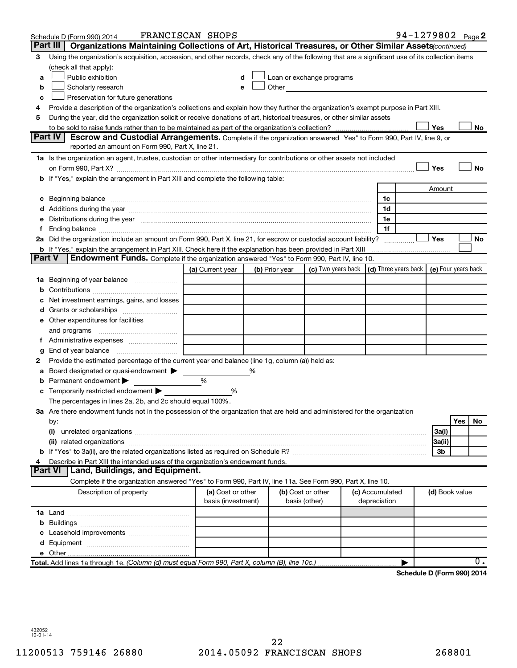|        | Schedule D (Form 990) 2014                                                                                                                                                                                                                                                                                                                           | FRANCISCAN SHOPS                        |   |                |                                                                                                                                                                                                                               |                                 | 94-1279802 Page 2                            |                |     |    |
|--------|------------------------------------------------------------------------------------------------------------------------------------------------------------------------------------------------------------------------------------------------------------------------------------------------------------------------------------------------------|-----------------------------------------|---|----------------|-------------------------------------------------------------------------------------------------------------------------------------------------------------------------------------------------------------------------------|---------------------------------|----------------------------------------------|----------------|-----|----|
|        | Part III<br>Organizations Maintaining Collections of Art, Historical Treasures, or Other Similar Assets (continued)                                                                                                                                                                                                                                  |                                         |   |                |                                                                                                                                                                                                                               |                                 |                                              |                |     |    |
| З      | Using the organization's acquisition, accession, and other records, check any of the following that are a significant use of its collection items                                                                                                                                                                                                    |                                         |   |                |                                                                                                                                                                                                                               |                                 |                                              |                |     |    |
|        | (check all that apply):                                                                                                                                                                                                                                                                                                                              |                                         |   |                |                                                                                                                                                                                                                               |                                 |                                              |                |     |    |
| a      | Public exhibition                                                                                                                                                                                                                                                                                                                                    | d                                       |   |                | Loan or exchange programs                                                                                                                                                                                                     |                                 |                                              |                |     |    |
| b      | Scholarly research                                                                                                                                                                                                                                                                                                                                   | е                                       |   |                | Other and the contract of the contract of the contract of the contract of the contract of the contract of the contract of the contract of the contract of the contract of the contract of the contract of the contract of the |                                 |                                              |                |     |    |
| c      | Preservation for future generations                                                                                                                                                                                                                                                                                                                  |                                         |   |                |                                                                                                                                                                                                                               |                                 |                                              |                |     |    |
| 4      | Provide a description of the organization's collections and explain how they further the organization's exempt purpose in Part XIII.                                                                                                                                                                                                                 |                                         |   |                |                                                                                                                                                                                                                               |                                 |                                              |                |     |    |
| 5      | During the year, did the organization solicit or receive donations of art, historical treasures, or other similar assets                                                                                                                                                                                                                             |                                         |   |                |                                                                                                                                                                                                                               |                                 |                                              |                |     |    |
|        |                                                                                                                                                                                                                                                                                                                                                      |                                         |   |                |                                                                                                                                                                                                                               |                                 |                                              | Yes            |     | No |
|        | <b>Part IV</b><br>Escrow and Custodial Arrangements. Complete if the organization answered "Yes" to Form 990, Part IV, line 9, or                                                                                                                                                                                                                    |                                         |   |                |                                                                                                                                                                                                                               |                                 |                                              |                |     |    |
|        | reported an amount on Form 990, Part X, line 21.                                                                                                                                                                                                                                                                                                     |                                         |   |                |                                                                                                                                                                                                                               |                                 |                                              |                |     |    |
|        | 1a Is the organization an agent, trustee, custodian or other intermediary for contributions or other assets not included                                                                                                                                                                                                                             |                                         |   |                |                                                                                                                                                                                                                               |                                 |                                              |                |     |    |
|        |                                                                                                                                                                                                                                                                                                                                                      |                                         |   |                |                                                                                                                                                                                                                               |                                 |                                              | Yes            |     | No |
|        | b If "Yes," explain the arrangement in Part XIII and complete the following table:                                                                                                                                                                                                                                                                   |                                         |   |                |                                                                                                                                                                                                                               |                                 |                                              |                |     |    |
|        |                                                                                                                                                                                                                                                                                                                                                      |                                         |   |                |                                                                                                                                                                                                                               |                                 |                                              | Amount         |     |    |
|        | Beginning balance measurements and contain a series of the series of the series of the series of the series of the series of the series of the series of the series of the series of the series of the series of the series of                                                                                                                       |                                         |   |                |                                                                                                                                                                                                                               | 1c                              |                                              |                |     |    |
|        |                                                                                                                                                                                                                                                                                                                                                      |                                         |   |                |                                                                                                                                                                                                                               | 1d                              |                                              |                |     |    |
|        | Distributions during the year manufactured and continuum control of the year manufactured and the year manufactured and the year manufactured and the year manufactured and the year manufactured and the year manufactured an                                                                                                                       |                                         |   |                |                                                                                                                                                                                                                               | 1e<br>1f                        |                                              |                |     |    |
|        | Ending balance manufacture contracts and the contracts of the contracts of the contracts of the contracts of the contracts of the contracts of the contracts of the contracts of the contracts of the contracts of the contrac<br>2a Did the organization include an amount on Form 990, Part X, line 21, for escrow or custodial account liability? |                                         |   |                |                                                                                                                                                                                                                               |                                 |                                              | <b>Yes</b>     |     | No |
|        | <b>b</b> If "Yes," explain the arrangement in Part XIII. Check here if the explanation has been provided in Part XIII                                                                                                                                                                                                                                |                                         |   |                |                                                                                                                                                                                                                               |                                 |                                              |                |     |    |
| Part V | Endowment Funds. Complete if the organization answered "Yes" to Form 990, Part IV, line 10.                                                                                                                                                                                                                                                          |                                         |   |                |                                                                                                                                                                                                                               |                                 |                                              |                |     |    |
|        |                                                                                                                                                                                                                                                                                                                                                      | (a) Current year                        |   | (b) Prior year | (c) Two years back                                                                                                                                                                                                            |                                 | (d) Three years back $ $ (e) Four years back |                |     |    |
| 1а     | Beginning of year balance                                                                                                                                                                                                                                                                                                                            |                                         |   |                |                                                                                                                                                                                                                               |                                 |                                              |                |     |    |
| b      |                                                                                                                                                                                                                                                                                                                                                      |                                         |   |                |                                                                                                                                                                                                                               |                                 |                                              |                |     |    |
|        | Net investment earnings, gains, and losses                                                                                                                                                                                                                                                                                                           |                                         |   |                |                                                                                                                                                                                                                               |                                 |                                              |                |     |    |
|        |                                                                                                                                                                                                                                                                                                                                                      |                                         |   |                |                                                                                                                                                                                                                               |                                 |                                              |                |     |    |
|        | e Other expenditures for facilities                                                                                                                                                                                                                                                                                                                  |                                         |   |                |                                                                                                                                                                                                                               |                                 |                                              |                |     |    |
|        | and programs                                                                                                                                                                                                                                                                                                                                         |                                         |   |                |                                                                                                                                                                                                                               |                                 |                                              |                |     |    |
|        |                                                                                                                                                                                                                                                                                                                                                      |                                         |   |                |                                                                                                                                                                                                                               |                                 |                                              |                |     |    |
|        | End of year balance                                                                                                                                                                                                                                                                                                                                  |                                         |   |                |                                                                                                                                                                                                                               |                                 |                                              |                |     |    |
| 2      | Provide the estimated percentage of the current year end balance (line 1g, column (a)) held as:                                                                                                                                                                                                                                                      |                                         |   |                |                                                                                                                                                                                                                               |                                 |                                              |                |     |    |
|        | Board designated or quasi-endowment                                                                                                                                                                                                                                                                                                                  |                                         | ℅ |                |                                                                                                                                                                                                                               |                                 |                                              |                |     |    |
|        | Permanent endowment                                                                                                                                                                                                                                                                                                                                  | %                                       |   |                |                                                                                                                                                                                                                               |                                 |                                              |                |     |    |
| с      | Temporarily restricted endowment                                                                                                                                                                                                                                                                                                                     | %                                       |   |                |                                                                                                                                                                                                                               |                                 |                                              |                |     |    |
|        | The percentages in lines 2a, 2b, and 2c should equal 100%.                                                                                                                                                                                                                                                                                           |                                         |   |                |                                                                                                                                                                                                                               |                                 |                                              |                |     |    |
|        | 3a Are there endowment funds not in the possession of the organization that are held and administered for the organization                                                                                                                                                                                                                           |                                         |   |                |                                                                                                                                                                                                                               |                                 |                                              |                |     |    |
|        | by:                                                                                                                                                                                                                                                                                                                                                  |                                         |   |                |                                                                                                                                                                                                                               |                                 |                                              |                | Yes | No |
|        | (i)                                                                                                                                                                                                                                                                                                                                                  |                                         |   |                |                                                                                                                                                                                                                               |                                 |                                              | 3a(i)          |     |    |
|        |                                                                                                                                                                                                                                                                                                                                                      |                                         |   |                |                                                                                                                                                                                                                               |                                 |                                              | 3a(ii)         |     |    |
|        |                                                                                                                                                                                                                                                                                                                                                      |                                         |   |                |                                                                                                                                                                                                                               |                                 |                                              | 3b             |     |    |
|        | Describe in Part XIII the intended uses of the organization's endowment funds.                                                                                                                                                                                                                                                                       |                                         |   |                |                                                                                                                                                                                                                               |                                 |                                              |                |     |    |
|        | <b>Part VI</b><br>Land, Buildings, and Equipment.                                                                                                                                                                                                                                                                                                    |                                         |   |                |                                                                                                                                                                                                                               |                                 |                                              |                |     |    |
|        | Complete if the organization answered "Yes" to Form 990, Part IV, line 11a. See Form 990, Part X, line 10.                                                                                                                                                                                                                                           |                                         |   |                |                                                                                                                                                                                                                               |                                 |                                              |                |     |    |
|        | Description of property                                                                                                                                                                                                                                                                                                                              | (a) Cost or other<br>basis (investment) |   |                | (b) Cost or other<br>basis (other)                                                                                                                                                                                            | (c) Accumulated<br>depreciation |                                              | (d) Book value |     |    |
|        |                                                                                                                                                                                                                                                                                                                                                      |                                         |   |                |                                                                                                                                                                                                                               |                                 |                                              |                |     |    |
| b      |                                                                                                                                                                                                                                                                                                                                                      |                                         |   |                |                                                                                                                                                                                                                               |                                 |                                              |                |     |    |
|        |                                                                                                                                                                                                                                                                                                                                                      |                                         |   |                |                                                                                                                                                                                                                               |                                 |                                              |                |     |    |
|        |                                                                                                                                                                                                                                                                                                                                                      |                                         |   |                |                                                                                                                                                                                                                               |                                 |                                              |                |     |    |
|        |                                                                                                                                                                                                                                                                                                                                                      |                                         |   |                |                                                                                                                                                                                                                               |                                 |                                              |                |     |    |
|        | Total. Add lines 1a through 1e. (Column (d) must equal Form 990, Part X, column (B), line 10c.)                                                                                                                                                                                                                                                      |                                         |   |                |                                                                                                                                                                                                                               |                                 |                                              |                |     | 0. |
|        |                                                                                                                                                                                                                                                                                                                                                      |                                         |   |                |                                                                                                                                                                                                                               |                                 | Schedule D (Form 990) 2014                   |                |     |    |

**Schedule D (Form 990) 2014**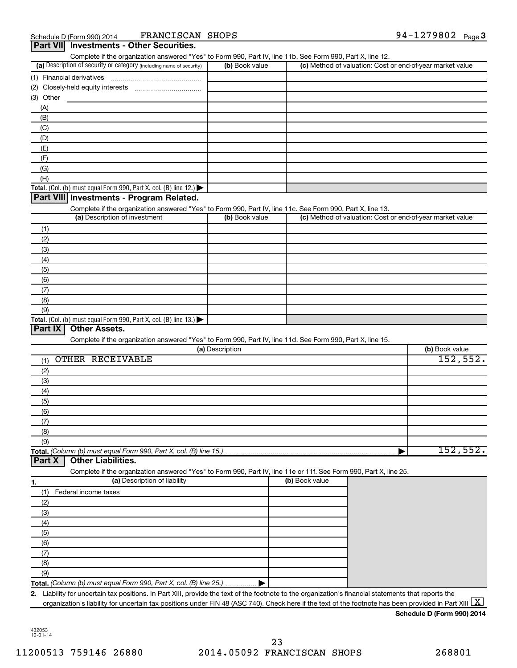|                  | Schedule D (Form 990) 2014                                                                      | FRANCISCAN SHOPS             |                 |                                                                                                                   | 94-1279802 Page 3 |
|------------------|-------------------------------------------------------------------------------------------------|------------------------------|-----------------|-------------------------------------------------------------------------------------------------------------------|-------------------|
| <b>Part VIII</b> | <b>Investments - Other Securities.</b>                                                          |                              |                 |                                                                                                                   |                   |
|                  |                                                                                                 |                              |                 | Complete if the organization answered "Yes" to Form 990, Part IV, line 11b. See Form 990, Part X, line 12.        |                   |
|                  | (a) Description of security or category (including name of security)                            |                              | (b) Book value  | (c) Method of valuation: Cost or end-of-year market value                                                         |                   |
|                  | (1) Financial derivatives                                                                       |                              |                 |                                                                                                                   |                   |
| (2)              |                                                                                                 |                              |                 |                                                                                                                   |                   |
| (3) Other        |                                                                                                 |                              |                 |                                                                                                                   |                   |
| (A)              |                                                                                                 |                              |                 |                                                                                                                   |                   |
| (B)              |                                                                                                 |                              |                 |                                                                                                                   |                   |
| (C)              |                                                                                                 |                              |                 |                                                                                                                   |                   |
| (D)              |                                                                                                 |                              |                 |                                                                                                                   |                   |
| (E)              |                                                                                                 |                              |                 |                                                                                                                   |                   |
| (F)              |                                                                                                 |                              |                 |                                                                                                                   |                   |
| (G)              |                                                                                                 |                              |                 |                                                                                                                   |                   |
| (H)              |                                                                                                 |                              |                 |                                                                                                                   |                   |
|                  | Total. (Col. (b) must equal Form 990, Part X, col. (B) line 12.) $\blacktriangleright$          |                              |                 |                                                                                                                   |                   |
|                  | Part VIII Investments - Program Related.                                                        |                              |                 |                                                                                                                   |                   |
|                  |                                                                                                 |                              |                 | Complete if the organization answered "Yes" to Form 990, Part IV, line 11c. See Form 990, Part X, line 13.        |                   |
|                  | (a) Description of investment                                                                   |                              | (b) Book value  | (c) Method of valuation: Cost or end-of-year market value                                                         |                   |
| (1)              |                                                                                                 |                              |                 |                                                                                                                   |                   |
| (2)              |                                                                                                 |                              |                 |                                                                                                                   |                   |
| (3)              |                                                                                                 |                              |                 |                                                                                                                   |                   |
| (4)              |                                                                                                 |                              |                 |                                                                                                                   |                   |
| (5)              |                                                                                                 |                              |                 |                                                                                                                   |                   |
| (6)              |                                                                                                 |                              |                 |                                                                                                                   |                   |
| (7)              |                                                                                                 |                              |                 |                                                                                                                   |                   |
| (8)              |                                                                                                 |                              |                 |                                                                                                                   |                   |
| (9)              |                                                                                                 |                              |                 |                                                                                                                   |                   |
|                  | Total. (Col. (b) must equal Form 990, Part X, col. (B) line 13.) $\blacktriangleright$          |                              |                 |                                                                                                                   |                   |
| Part IX          | <b>Other Assets.</b>                                                                            |                              |                 |                                                                                                                   |                   |
|                  |                                                                                                 |                              |                 | Complete if the organization answered "Yes" to Form 990, Part IV, line 11d. See Form 990, Part X, line 15.        |                   |
|                  |                                                                                                 |                              | (a) Description |                                                                                                                   | (b) Book value    |
| (1)              | OTHER RECEIVABLE                                                                                |                              |                 |                                                                                                                   | 152, 552.         |
| (2)              |                                                                                                 |                              |                 |                                                                                                                   |                   |
| (3)              |                                                                                                 |                              |                 |                                                                                                                   |                   |
| (4)              |                                                                                                 |                              |                 |                                                                                                                   |                   |
| (5)              |                                                                                                 |                              |                 |                                                                                                                   |                   |
|                  |                                                                                                 |                              |                 |                                                                                                                   |                   |
| (6)<br>(7)       |                                                                                                 |                              |                 |                                                                                                                   |                   |
| (8)              |                                                                                                 |                              |                 |                                                                                                                   |                   |
|                  |                                                                                                 |                              |                 |                                                                                                                   |                   |
| (9)              |                                                                                                 |                              |                 |                                                                                                                   | 152, 552.         |
| Part X           | Total. (Column (b) must equal Form 990, Part X, col. (B) line 15.)<br><b>Other Liabilities.</b> |                              |                 |                                                                                                                   |                   |
|                  |                                                                                                 |                              |                 | Complete if the organization answered "Yes" to Form 990, Part IV, line 11e or 11f. See Form 990, Part X, line 25. |                   |
|                  |                                                                                                 | (a) Description of liability |                 | (b) Book value                                                                                                    |                   |
| 1.               |                                                                                                 |                              |                 |                                                                                                                   |                   |
| (1)              | Federal income taxes                                                                            |                              |                 |                                                                                                                   |                   |
| (2)              |                                                                                                 |                              |                 |                                                                                                                   |                   |
| (3)              |                                                                                                 |                              |                 |                                                                                                                   |                   |
| (4)              |                                                                                                 |                              |                 |                                                                                                                   |                   |
| (5)              |                                                                                                 |                              |                 |                                                                                                                   |                   |
| (6)              |                                                                                                 |                              |                 |                                                                                                                   |                   |
| (7)              |                                                                                                 |                              |                 |                                                                                                                   |                   |
| (8)              |                                                                                                 |                              |                 |                                                                                                                   |                   |
| (9)              |                                                                                                 |                              |                 |                                                                                                                   |                   |
|                  | Total. (Column (b) must equal Form 990, Part X, col. (B) line 25.).                             |                              |                 |                                                                                                                   |                   |

**2.** Liability for uncertain tax positions. In Part XIII, provide the text of the footnote to the organization's financial statements that reports the organization's liability for uncertain tax positions under FIN 48 (ASC 740). Check here if the text of the footnote has been provided in Part XIII  $\boxed{\text{X}}$ 

**Schedule D (Form 990) 2014**

432053 10-01-14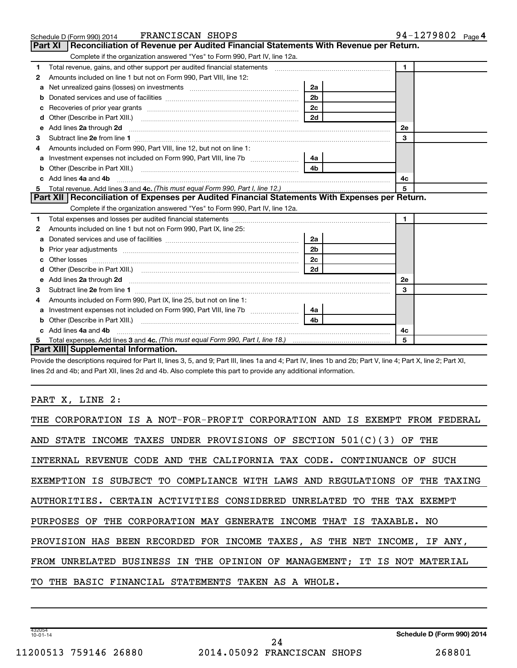|    | FRANCISCAN SHOPS<br>Schedule D (Form 990) 2014                                                                                                                                                                                      |                | 94-1279802 Page 4 |
|----|-------------------------------------------------------------------------------------------------------------------------------------------------------------------------------------------------------------------------------------|----------------|-------------------|
|    | <b>Part XI</b><br>Reconciliation of Revenue per Audited Financial Statements With Revenue per Return.                                                                                                                               |                |                   |
|    | Complete if the organization answered "Yes" to Form 990, Part IV, line 12a.                                                                                                                                                         |                |                   |
| 1  | Total revenue, gains, and other support per audited financial statements [[[[[[[[[[[[[[[[[[[[[[[[[]]]]]]]]]]]                                                                                                                       |                | $\mathbf{1}$      |
| 2  | Amounts included on line 1 but not on Form 990, Part VIII, line 12:                                                                                                                                                                 |                |                   |
| a  |                                                                                                                                                                                                                                     | 2a             |                   |
| b  |                                                                                                                                                                                                                                     | 2 <sub>b</sub> |                   |
| с  | Recoveries of prior year grants [11,111] Recoveries of prior year grants [11,111] Recoveries of prior year grants                                                                                                                   | 2c             |                   |
| d  |                                                                                                                                                                                                                                     | 2d             |                   |
| е  | Add lines 2a through 2d                                                                                                                                                                                                             |                | <b>2e</b>         |
| 3  |                                                                                                                                                                                                                                     |                | 3                 |
|    | Amounts included on Form 990, Part VIII, line 12, but not on line 1:                                                                                                                                                                |                |                   |
| a  |                                                                                                                                                                                                                                     | 4a             |                   |
| b  |                                                                                                                                                                                                                                     | 4 <sub>b</sub> |                   |
|    | Add lines 4a and 4b                                                                                                                                                                                                                 |                | 4с                |
| 5  |                                                                                                                                                                                                                                     |                | 5                 |
|    | Part XII   Reconciliation of Expenses per Audited Financial Statements With Expenses per Return.                                                                                                                                    |                |                   |
|    | Complete if the organization answered "Yes" to Form 990, Part IV, line 12a.                                                                                                                                                         |                |                   |
| 1  |                                                                                                                                                                                                                                     |                | $\mathbf{1}$      |
| 2  | Amounts included on line 1 but not on Form 990, Part IX, line 25:                                                                                                                                                                   |                |                   |
| a  |                                                                                                                                                                                                                                     | 2a             |                   |
| b  |                                                                                                                                                                                                                                     | 2 <sub>b</sub> |                   |
|    |                                                                                                                                                                                                                                     | 2c             |                   |
| d  |                                                                                                                                                                                                                                     | 2d             |                   |
| е  | Add lines 2a through 2d <b>[10]</b> University of the state of the state of the state of the state of the state of the state of the state of the state of the state of the state of the state of the state of the state of the stat |                | <b>2e</b>         |
| 3  |                                                                                                                                                                                                                                     |                | 3                 |
| 4  | Amounts included on Form 990, Part IX, line 25, but not on line 1:                                                                                                                                                                  |                |                   |
| a  |                                                                                                                                                                                                                                     | 4a             |                   |
|    |                                                                                                                                                                                                                                     | 4b             |                   |
|    | Add lines 4a and 4b                                                                                                                                                                                                                 |                | 4c                |
| 5. |                                                                                                                                                                                                                                     |                | 5                 |
|    | Part XIII Supplemental Information.                                                                                                                                                                                                 |                |                   |

Provide the descriptions required for Part II, lines 3, 5, and 9; Part III, lines 1a and 4; Part IV, lines 1b and 2b; Part V, line 4; Part X, line 2; Part XI, lines 2d and 4b; and Part XII, lines 2d and 4b. Also complete this part to provide any additional information.

PART X, LINE 2:

| THE CORPORATION IS A NOT-FOR-PROFIT CORPORATION AND IS EXEMPT FROM FEDERAL |
|----------------------------------------------------------------------------|
| AND STATE INCOME TAXES UNDER PROVISIONS OF SECTION $501(C)(3)$ OF THE      |
| INTERNAL REVENUE CODE AND THE CALIFORNIA TAX CODE. CONTINUANCE OF SUCH     |
| EXEMPTION IS SUBJECT TO COMPLIANCE WITH LAWS AND REGULATIONS OF THE TAXING |
| AUTHORITIES. CERTAIN ACTIVITIES CONSIDERED UNRELATED TO THE TAX EXEMPT     |
| PURPOSES OF THE CORPORATION MAY GENERATE INCOME THAT IS TAXABLE. NO        |
| PROVISION HAS BEEN RECORDED FOR INCOME TAXES, AS THE NET INCOME, IF ANY,   |
| FROM UNRELATED BUSINESS IN THE OPINION OF MANAGEMENT; IT IS NOT MATERIAL   |
| TO THE BASIC FINANCIAL STATEMENTS TAKEN AS A WHOLE.                        |
|                                                                            |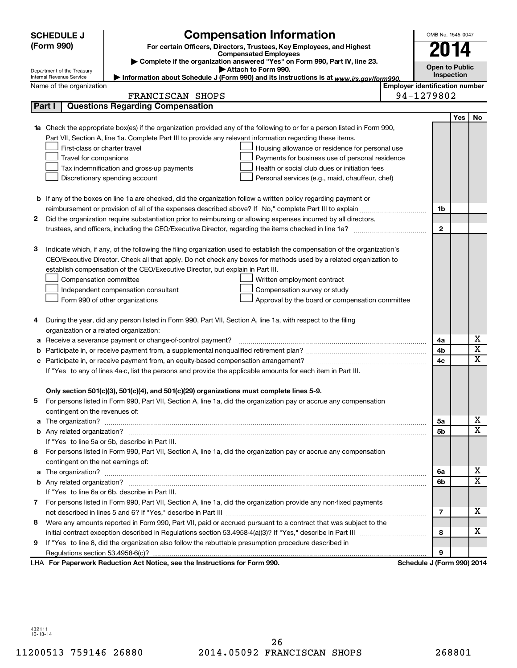|   | <b>SCHEDULE J</b>                       | <b>Compensation Information</b>                                                                                           |                                       | OMB No. 1545-0047          |     |                         |
|---|-----------------------------------------|---------------------------------------------------------------------------------------------------------------------------|---------------------------------------|----------------------------|-----|-------------------------|
|   | (Form 990)                              | For certain Officers, Directors, Trustees, Key Employees, and Highest                                                     |                                       | <b>2014</b>                |     |                         |
|   |                                         | <b>Compensated Employees</b><br>Complete if the organization answered "Yes" on Form 990, Part IV, line 23.                |                                       |                            |     |                         |
|   | Department of the Treasury              | Attach to Form 990.                                                                                                       |                                       | <b>Open to Public</b>      |     |                         |
|   | Internal Revenue Service                | Information about Schedule J (Form 990) and its instructions is at www.irs.gov/form990.                                   |                                       | Inspection                 |     |                         |
|   | Name of the organization                |                                                                                                                           | <b>Employer identification number</b> | 94-1279802                 |     |                         |
|   | Part I                                  | FRANCISCAN SHOPS<br><b>Questions Regarding Compensation</b>                                                               |                                       |                            |     |                         |
|   |                                         |                                                                                                                           |                                       |                            |     |                         |
|   |                                         | 1a Check the appropriate box(es) if the organization provided any of the following to or for a person listed in Form 990, |                                       |                            | Yes | No                      |
|   |                                         | Part VII, Section A, line 1a. Complete Part III to provide any relevant information regarding these items.                |                                       |                            |     |                         |
|   | First-class or charter travel           | Housing allowance or residence for personal use                                                                           |                                       |                            |     |                         |
|   | Travel for companions                   | Payments for business use of personal residence                                                                           |                                       |                            |     |                         |
|   |                                         | Tax indemnification and gross-up payments<br>Health or social club dues or initiation fees                                |                                       |                            |     |                         |
|   |                                         | Discretionary spending account<br>Personal services (e.g., maid, chauffeur, chef)                                         |                                       |                            |     |                         |
|   |                                         |                                                                                                                           |                                       |                            |     |                         |
|   |                                         | <b>b</b> If any of the boxes on line 1a are checked, did the organization follow a written policy regarding payment or    |                                       |                            |     |                         |
|   |                                         |                                                                                                                           |                                       | 1b                         |     |                         |
| 2 |                                         | Did the organization require substantiation prior to reimbursing or allowing expenses incurred by all directors,          |                                       |                            |     |                         |
|   |                                         |                                                                                                                           |                                       | $\mathbf{2}$               |     |                         |
|   |                                         |                                                                                                                           |                                       |                            |     |                         |
| 3 |                                         | Indicate which, if any, of the following the filing organization used to establish the compensation of the organization's |                                       |                            |     |                         |
|   |                                         | CEO/Executive Director. Check all that apply. Do not check any boxes for methods used by a related organization to        |                                       |                            |     |                         |
|   |                                         | establish compensation of the CEO/Executive Director, but explain in Part III.                                            |                                       |                            |     |                         |
|   | Compensation committee                  | Written employment contract                                                                                               |                                       |                            |     |                         |
|   |                                         | Independent compensation consultant<br>Compensation survey or study                                                       |                                       |                            |     |                         |
|   |                                         | Form 990 of other organizations<br>Approval by the board or compensation committee                                        |                                       |                            |     |                         |
|   |                                         |                                                                                                                           |                                       |                            |     |                         |
| 4 |                                         | During the year, did any person listed in Form 990, Part VII, Section A, line 1a, with respect to the filing              |                                       |                            |     |                         |
|   | organization or a related organization: |                                                                                                                           |                                       |                            |     |                         |
| а |                                         | Receive a severance payment or change-of-control payment?                                                                 |                                       | 4a                         |     | х                       |
| b |                                         |                                                                                                                           |                                       | 4b                         |     | $\overline{\textbf{x}}$ |
| с |                                         |                                                                                                                           |                                       | 4c                         |     | $\overline{\textbf{x}}$ |
|   |                                         | If "Yes" to any of lines 4a-c, list the persons and provide the applicable amounts for each item in Part III.             |                                       |                            |     |                         |
|   |                                         |                                                                                                                           |                                       |                            |     |                         |
|   |                                         | Only section 501(c)(3), 501(c)(4), and 501(c)(29) organizations must complete lines 5-9.                                  |                                       |                            |     |                         |
|   |                                         | For persons listed in Form 990, Part VII, Section A, line 1a, did the organization pay or accrue any compensation         |                                       |                            |     |                         |
|   | contingent on the revenues of:          |                                                                                                                           |                                       |                            |     |                         |
|   |                                         |                                                                                                                           |                                       | 5а                         |     | X.                      |
|   |                                         |                                                                                                                           |                                       | 5b                         |     | $\overline{\mathbf{X}}$ |
|   |                                         | If "Yes" to line 5a or 5b, describe in Part III.                                                                          |                                       |                            |     |                         |
| 6 |                                         | For persons listed in Form 990, Part VII, Section A, line 1a, did the organization pay or accrue any compensation         |                                       |                            |     |                         |
|   | contingent on the net earnings of:      |                                                                                                                           |                                       |                            |     |                         |
|   |                                         |                                                                                                                           |                                       | 6a                         |     | X.                      |
|   |                                         |                                                                                                                           |                                       | 6b                         |     | $\overline{\text{X}}$   |
|   |                                         | If "Yes" to line 6a or 6b, describe in Part III.                                                                          |                                       |                            |     |                         |
|   |                                         | 7 For persons listed in Form 990, Part VII, Section A, line 1a, did the organization provide any non-fixed payments       |                                       |                            |     |                         |
|   |                                         |                                                                                                                           |                                       | 7                          |     | х                       |
| 8 |                                         | Were any amounts reported in Form 990, Part VII, paid or accrued pursuant to a contract that was subject to the           |                                       |                            |     |                         |
|   |                                         |                                                                                                                           |                                       | 8                          |     | x                       |
| 9 |                                         | If "Yes" to line 8, did the organization also follow the rebuttable presumption procedure described in                    |                                       |                            |     |                         |
|   |                                         |                                                                                                                           |                                       | 9                          |     |                         |
|   |                                         | LHA For Paperwork Reduction Act Notice, see the Instructions for Form 990.                                                |                                       | Schedule J (Form 990) 2014 |     |                         |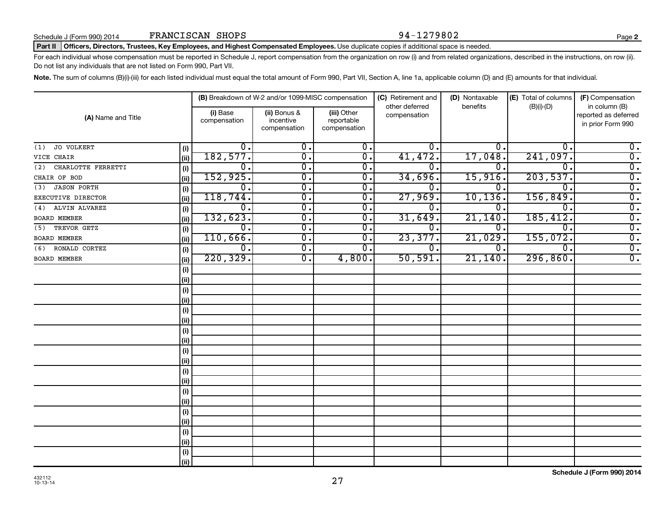#### Part II | Officers, Directors, Trustees, Key Employees, and Highest Compensated Employees. Use duplicate copies if additional space is needed.

For each individual whose compensation must be reported in Schedule J, report compensation from the organization on row (i) and from related organizations, described in the instructions, on row (ii). Do not list any individuals that are not listed on Form 990, Part VII.

Note. The sum of columns (B)(i)-(iii) for each listed individual must equal the total amount of Form 990, Part VII, Section A, line 1a, applicable column (D) and (E) amounts for that individual.

|                           |      |                          | (B) Breakdown of W-2 and/or 1099-MISC compensation |                                           | (C) Retirement and<br>other deferred | (D) Nontaxable<br>benefits | (E) Total of columns | (F) Compensation<br>in column (B)         |
|---------------------------|------|--------------------------|----------------------------------------------------|-------------------------------------------|--------------------------------------|----------------------------|----------------------|-------------------------------------------|
| (A) Name and Title        |      | (i) Base<br>compensation | (ii) Bonus &<br>incentive<br>compensation          | (iii) Other<br>reportable<br>compensation | compensation                         |                            | $(B)(i)-(D)$         | reported as deferred<br>in prior Form 990 |
| JO VOLKERT<br>(1)         | (i)  | 0.                       | О.                                                 | 0.                                        | о.                                   | 0.                         | $\mathbf 0$ .        | 0.                                        |
| VICE CHAIR                | (ii) | 182,577.                 | $\overline{0}$ .                                   | $\overline{0}$ .                          | 41,472.                              | 17,048                     | 241,097.             | $\overline{0}$ .                          |
| CHARLOTTE FERRETTI<br>(2) | (i)  | 0.                       | $\overline{0}$ .                                   | 0.                                        | О.                                   | $\mathbf 0$ .              | 0.                   | $\overline{0}$ .                          |
| CHAIR OF BOD              | (ii) | 152,925.                 | о.                                                 | 0.                                        | 34,696.                              | 15,916.                    | 203,537.             | $\overline{0}$ .                          |
| <b>JASON PORTH</b><br>(3) | (i)  | 0.                       | о.                                                 | $\overline{0}$ .                          | О.                                   | 0.                         | $\mathbf 0$ .        | $\overline{0}$ .                          |
| EXECUTIVE DIRECTOR        | (ii) | 118,744.                 | 0.                                                 | $\overline{0}$ .                          | 27,969.                              | 10, 136.                   | 156,849.             | $\overline{0}$ .                          |
| ALVIN ALVAREZ<br>(4)      | (i)  | 0.                       | 0.                                                 | 0.                                        | О.                                   | 0.                         | $\mathbf 0$ .        | $\overline{0}$ .                          |
| <b>BOARD MEMBER</b>       | (ii) | 132,623.                 | 0.                                                 | $\overline{0}$ .                          | 31,649.                              | 21,140                     | 185,412.             | $\overline{\mathbf{0}}$ .                 |
| TREVOR GETZ<br>(5)        | (i)  | 0.                       | 0.                                                 | 0.                                        | О.                                   | 0.                         | $\overline{0}$ .     | $\overline{0}$ .                          |
| <b>BOARD MEMBER</b>       | (ii) | 110,666.                 | $\overline{0}$ .                                   | $\overline{\mathfrak{o}}$ .               | 23,377.                              | 21,029                     | 155,072.             | $\overline{\mathbf{0}}$ .                 |
| RONALD CORTEZ<br>(6)      | (i)  | 0.                       | $\overline{0}$ .                                   | 0.                                        | О.                                   | $\mathbf 0$ .              | $\mathbf 0$ .        | $\overline{0}$ .                          |
| BOARD MEMBER              | (ii) | 220, 329.                | $\overline{\mathbf{0}}$ .                          | 4,800.                                    | 50,591.                              | 21,140.                    | 296,860.             | $\overline{0}$ .                          |
|                           | (i)  |                          |                                                    |                                           |                                      |                            |                      |                                           |
|                           | (ii) |                          |                                                    |                                           |                                      |                            |                      |                                           |
|                           | (i)  |                          |                                                    |                                           |                                      |                            |                      |                                           |
|                           | (ii) |                          |                                                    |                                           |                                      |                            |                      |                                           |
|                           | (i)  |                          |                                                    |                                           |                                      |                            |                      |                                           |
|                           | (ii) |                          |                                                    |                                           |                                      |                            |                      |                                           |
|                           | (i)  |                          |                                                    |                                           |                                      |                            |                      |                                           |
|                           | (ii) |                          |                                                    |                                           |                                      |                            |                      |                                           |
|                           | (i)  |                          |                                                    |                                           |                                      |                            |                      |                                           |
|                           | (ii) |                          |                                                    |                                           |                                      |                            |                      |                                           |
|                           | (i)  |                          |                                                    |                                           |                                      |                            |                      |                                           |
|                           | (ii) |                          |                                                    |                                           |                                      |                            |                      |                                           |
|                           | (i)  |                          |                                                    |                                           |                                      |                            |                      |                                           |
|                           | (ii) |                          |                                                    |                                           |                                      |                            |                      |                                           |
|                           | (i)  |                          |                                                    |                                           |                                      |                            |                      |                                           |
|                           | (ii) |                          |                                                    |                                           |                                      |                            |                      |                                           |
|                           | (i)  |                          |                                                    |                                           |                                      |                            |                      |                                           |
|                           | (ii) |                          |                                                    |                                           |                                      |                            |                      |                                           |
|                           | (i)  |                          |                                                    |                                           |                                      |                            |                      |                                           |
|                           | (ii) |                          |                                                    |                                           |                                      |                            |                      |                                           |

**Schedule J (Form 990) 2014**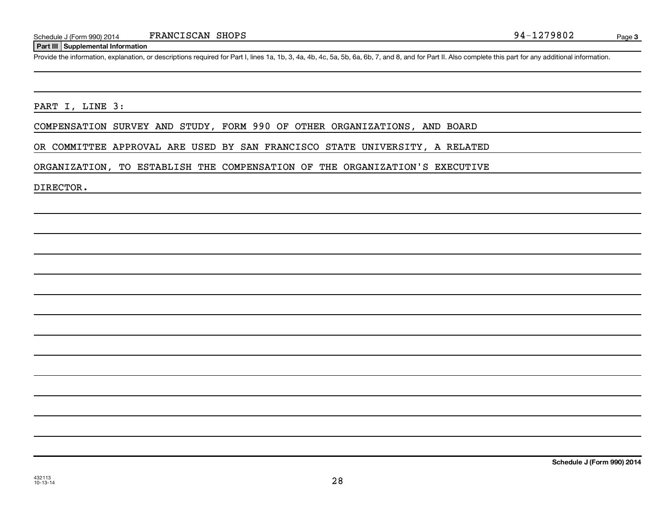#### **Part III Supplemental Information**

Provide the information, explanation, or descriptions required for Part I, lines 1a, 1b, 3, 4a, 4b, 4c, 5a, 5b, 6a, 6b, 7, and 8, and for Part II. Also complete this part for any additional information.

## PART I, LINE 3:

COMPENSATION SURVEY AND STUDY, FORM 990 OF OTHER ORGANIZATIONS, AND BOARD

OR COMMITTEE APPROVAL ARE USED BY SAN FRANCISCO STATE UNIVERSITY, A RELATED

ORGANIZATION, TO ESTABLISH THE COMPENSATION OF THE ORGANIZATION'S EXECUTIVE

DIRECTOR.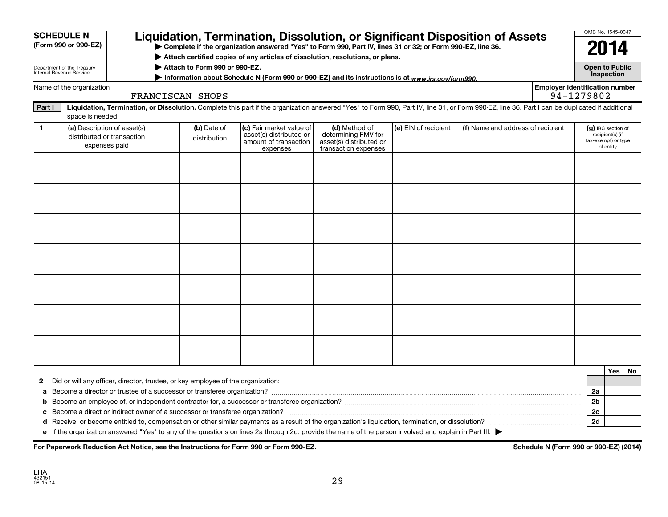|              | <b>SCHEDULE N</b><br>(Form 990 or 990-EZ)              |                                                                                  |                               | Liquidation, Termination, Dissolution, or Significant Disposition of Assets<br>▶ Complete if the organization answered "Yes" to Form 990, Part IV, lines 31 or 32; or Form 990-EZ, line 36.<br>Attach certified copies of any articles of dissolution, resolutions, or plans. |                                                                                         |                      |                                   |                                       | OMB No. 1545-0047<br>2014                 |                               |    |
|--------------|--------------------------------------------------------|----------------------------------------------------------------------------------|-------------------------------|-------------------------------------------------------------------------------------------------------------------------------------------------------------------------------------------------------------------------------------------------------------------------------|-----------------------------------------------------------------------------------------|----------------------|-----------------------------------|---------------------------------------|-------------------------------------------|-------------------------------|----|
|              | Department of the Treasury<br>Internal Revenue Service |                                                                                  | Attach to Form 990 or 990-EZ. | Information about Schedule N (Form 990 or 990-EZ) and its instructions is at www.irs.gov/form990.                                                                                                                                                                             |                                                                                         |                      |                                   |                                       | <b>Open to Public</b>                     | Inspection                    |    |
|              | Name of the organization                               |                                                                                  | FRANCISCAN SHOPS              |                                                                                                                                                                                                                                                                               |                                                                                         |                      |                                   | <b>Employer identification number</b> | 94-1279802                                |                               |    |
| Part I       | space is needed.                                       |                                                                                  |                               | Liquidation, Termination, or Dissolution. Complete this part if the organization answered "Yes" to Form 990, Part IV, line 31, or Form 990-EZ, line 36. Part I can be duplicated if additional                                                                                |                                                                                         |                      |                                   |                                       |                                           |                               |    |
| $\mathbf{1}$ |                                                        | (a) Description of asset(s)<br>distributed or transaction<br>expenses paid       | (b) Date of<br>distribution   | (c) Fair market value of<br>asset(s) distributed or<br>amount of transaction<br>expenses                                                                                                                                                                                      | (d) Method of<br>determining FMV for<br>asset(s) distributed or<br>transaction expenses | (e) EIN of recipient | (f) Name and address of recipient |                                       | (g) IRC section of<br>tax-exempt) or type | recipient(s) (if<br>of entity |    |
|              |                                                        |                                                                                  |                               |                                                                                                                                                                                                                                                                               |                                                                                         |                      |                                   |                                       |                                           |                               |    |
|              |                                                        |                                                                                  |                               |                                                                                                                                                                                                                                                                               |                                                                                         |                      |                                   |                                       |                                           |                               |    |
|              |                                                        |                                                                                  |                               |                                                                                                                                                                                                                                                                               |                                                                                         |                      |                                   |                                       |                                           |                               |    |
|              |                                                        |                                                                                  |                               |                                                                                                                                                                                                                                                                               |                                                                                         |                      |                                   |                                       |                                           |                               |    |
|              |                                                        |                                                                                  |                               |                                                                                                                                                                                                                                                                               |                                                                                         |                      |                                   |                                       |                                           |                               |    |
|              |                                                        |                                                                                  |                               |                                                                                                                                                                                                                                                                               |                                                                                         |                      |                                   |                                       |                                           |                               |    |
|              |                                                        |                                                                                  |                               |                                                                                                                                                                                                                                                                               |                                                                                         |                      |                                   |                                       |                                           |                               |    |
|              |                                                        |                                                                                  |                               |                                                                                                                                                                                                                                                                               |                                                                                         |                      |                                   |                                       |                                           | Yes                           | No |
| 2            |                                                        | Did or will any officer, director, trustee, or key employee of the organization: |                               |                                                                                                                                                                                                                                                                               |                                                                                         |                      |                                   |                                       | 2a                                        |                               |    |
|              |                                                        |                                                                                  |                               |                                                                                                                                                                                                                                                                               |                                                                                         |                      |                                   |                                       | 2b                                        |                               |    |
|              |                                                        |                                                                                  |                               | If the examination enquaved "Veal" to any of the questions on lines 20 through 2d, provide the name of the nersen involved and evolvin in Dert III                                                                                                                            |                                                                                         |                      |                                   |                                       | 2c<br>2d                                  |                               |    |

**e** If the organization answered "Yes" to any of the questions on lines 2a through 2d, provide the name of the person involved and explain in Part III. |

For Paperwork Reduction Act Notice, see the Instructions for Form 990 or Form 990-EZ. Schedule N (Form 990 or 990-EZ) (2014)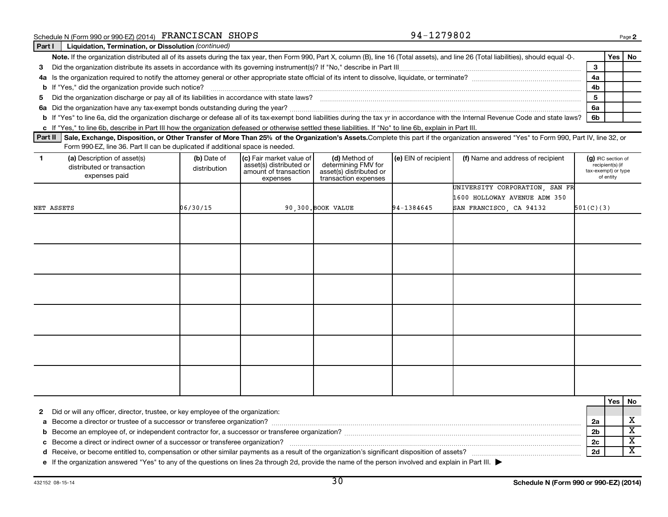| o line 6b, describe in Part III how the organization defeased or otherwise set | o line 6a, did the organization discharge or defease all of its tax-exempt bonc |
|--------------------------------------------------------------------------------|---------------------------------------------------------------------------------|
|                                                                                |                                                                                 |

Part II | Sale, Exchange, Disposition, or Other Transfer of More Than 25% of the Organization's Assets.Complete this part if the organization answered "Yes" to Form 990, Part IV, line 32, or Form 990-EZ, line 36. Part II can be duplicated if additional space is needed.

| (a) Description of asset(s)<br>$\mathbf{1}$<br>distributed or transaction<br>expenses paid | (b) Date of<br>distribution | (c) Fair market value of<br>asset(s) distributed or<br>amount of transaction<br>expenses | (d) Method of<br>determining FMV for<br>asset(s) distributed or<br>transaction expenses | (e) EIN of recipient | (f) Name and address of recipient | (g) IRC section of<br>recipient(s) (if<br>tax-exempt) or type<br>of entity |
|--------------------------------------------------------------------------------------------|-----------------------------|------------------------------------------------------------------------------------------|-----------------------------------------------------------------------------------------|----------------------|-----------------------------------|----------------------------------------------------------------------------|
|                                                                                            |                             |                                                                                          |                                                                                         |                      | UNIVERSITY CORPORATION, SAN FR    |                                                                            |
|                                                                                            |                             |                                                                                          |                                                                                         |                      | 1600 HOLLOWAY AVENUE ADM 350      |                                                                            |
| NET ASSETS                                                                                 | 06/30/15                    |                                                                                          | 90,300. BOOK VALUE                                                                      | 94-1384645           | SAN FRANCISCO, CA 94132           | 501(C)(3)                                                                  |
|                                                                                            |                             |                                                                                          |                                                                                         |                      |                                   |                                                                            |
|                                                                                            |                             |                                                                                          |                                                                                         |                      |                                   |                                                                            |
|                                                                                            |                             |                                                                                          |                                                                                         |                      |                                   |                                                                            |
|                                                                                            |                             |                                                                                          |                                                                                         |                      |                                   |                                                                            |
|                                                                                            |                             |                                                                                          |                                                                                         |                      |                                   |                                                                            |
|                                                                                            |                             |                                                                                          |                                                                                         |                      |                                   |                                                                            |
|                                                                                            |                             |                                                                                          |                                                                                         |                      |                                   |                                                                            |
|                                                                                            |                             |                                                                                          |                                                                                         |                      |                                   |                                                                            |
|                                                                                            |                             |                                                                                          |                                                                                         |                      |                                   |                                                                            |
|                                                                                            |                             |                                                                                          |                                                                                         |                      |                                   |                                                                            |
|                                                                                            |                             |                                                                                          |                                                                                         |                      |                                   |                                                                            |
|                                                                                            |                             |                                                                                          |                                                                                         |                      |                                   |                                                                            |

|                                                                                                                                                       |    | Yes l | - No |
|-------------------------------------------------------------------------------------------------------------------------------------------------------|----|-------|------|
| 2 Did or will any officer, director, trustee, or key employee of the organization:                                                                    |    |       |      |
| a Become a director or trustee of a successor or transferee organization?                                                                             | 2a |       |      |
| <b>b</b> Become an employee of, or independent contractor for, a successor or transferee organization?                                                |    |       |      |
| c Become a direct or indirect owner of a successor or transferee organization?                                                                        | 2с |       |      |
| d Receive, or become entitled to, compensation or other similar payments as a result of the organization's significant disposition of assets?         |    |       |      |
| e If the organization answered "Yes" to any of the questions on lines 2a through 2d, provide the name of the person involved and explain in Part III. |    |       |      |

30

**c** If "Yes," t ttled these liabilities. If "No" to line 6b, explain in Part III.

| Part I | Liquidation, Termination, or Dissolution (continued)                                                                                                                                              |    |  |  |  |  |  |
|--------|---------------------------------------------------------------------------------------------------------------------------------------------------------------------------------------------------|----|--|--|--|--|--|
|        | Note. If the organization distributed all of its assets during the tax year, then Form 990, Part X, column (B), line 16 (Total assets), and line 26 (Total liabilities), should equal -0-.<br>Yes |    |  |  |  |  |  |
|        | 3 Did the organization distribute its assets in accordance with its governing instrument(s)? If "No," describe in Part III                                                                        |    |  |  |  |  |  |
|        | 4a Is the organization required to notify the attorney general or other appropriate state official of its intent to dissolve, liquidate, or terminate?                                            |    |  |  |  |  |  |
|        | <b>b</b> If "Yes," did the organization provide such notice?                                                                                                                                      | 4b |  |  |  |  |  |
|        | 5 Did the organization discharge or pay all of its liabilities in accordance with state laws?                                                                                                     |    |  |  |  |  |  |
|        | 6a Did the organization have any tax-exempt bonds outstanding during the year?                                                                                                                    |    |  |  |  |  |  |
|        | <b>b</b> If "Yes" to line 6a, did the organization discharge or defease all of its tax-exempt bond liabilities during the tax yr in accordance with the Internal Revenue Code and state laws?     | 6b |  |  |  |  |  |

Schedule N (Form 990 or 990-EZ) (2014) FRANCISCAN SHOPS 94-1279802

Page **2**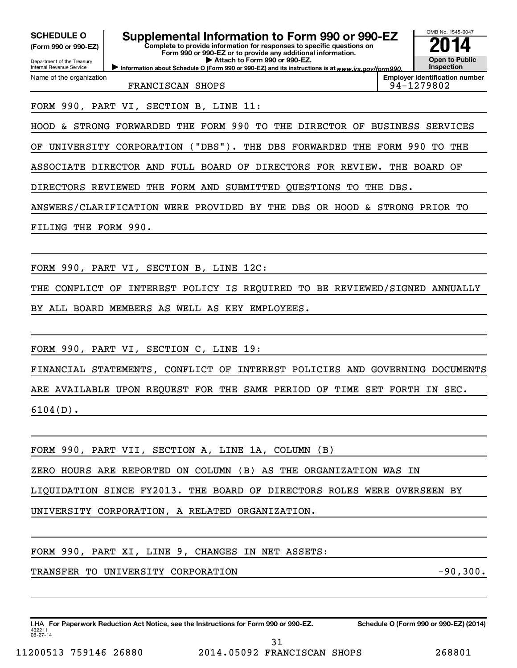| <b>SCHEDULE O</b><br>(Form 990 or 990-EZ)              | Supplemental Information to Form 990 or 990-EZ<br>Complete to provide information for responses to specific questions on<br>Form 990 or 990-EZ or to provide any additional information. | OMB No. 1545-0047                                   |
|--------------------------------------------------------|------------------------------------------------------------------------------------------------------------------------------------------------------------------------------------------|-----------------------------------------------------|
| Department of the Treasury<br>Internal Revenue Service | Attach to Form 990 or 990-EZ.<br>Information about Schedule O (Form 990 or 990-EZ) and its instructions is at www.irs.gov/form990.                                                       | <b>Open to Public</b><br>Inspection                 |
| Name of the organization                               | FRANCISCAN SHOPS                                                                                                                                                                         | <b>Employer identification number</b><br>94-1279802 |
|                                                        | FORM 990, PART VI, SECTION B, LINE 11:                                                                                                                                                   |                                                     |
|                                                        | HOOD & STRONG FORWARDED THE FORM 990 TO THE DIRECTOR OF BUSINESS SERVICES                                                                                                                |                                                     |
|                                                        | OF UNIVERSITY CORPORATION ("DBS"). THE DBS FORWARDED THE FORM 990 TO THE                                                                                                                 |                                                     |
|                                                        | ASSOCIATE DIRECTOR AND FULL BOARD OF DIRECTORS FOR REVIEW. THE BOARD OF                                                                                                                  |                                                     |
|                                                        | DIRECTORS REVIEWED THE FORM AND SUBMITTED QUESTIONS TO THE DBS.                                                                                                                          |                                                     |
|                                                        | ANSWERS/CLARIFICATION WERE PROVIDED BY THE DBS OR HOOD & STRONG PRIOR TO                                                                                                                 |                                                     |
| FILING THE FORM 990.                                   |                                                                                                                                                                                          |                                                     |
|                                                        |                                                                                                                                                                                          |                                                     |
|                                                        | FORM 990, PART VI, SECTION B, LINE 12C:                                                                                                                                                  |                                                     |
| THE                                                    | CONFLICT OF INTEREST POLICY IS REQUIRED TO BE REVIEWED/SIGNED ANNUALLY                                                                                                                   |                                                     |
|                                                        | BY ALL BOARD MEMBERS AS WELL AS KEY EMPLOYEES.                                                                                                                                           |                                                     |
|                                                        |                                                                                                                                                                                          |                                                     |
|                                                        | FORM 990, PART VI, SECTION C, LINE 19:                                                                                                                                                   |                                                     |
|                                                        | FINANCIAL STATEMENTS, CONFLICT OF INTEREST POLICIES AND GOVERNING DOCUMENTS                                                                                                              |                                                     |
|                                                        | ARE AVAILABLE UPON REQUEST FOR THE SAME PERIOD OF TIME SET FORTH IN SEC.                                                                                                                 |                                                     |
|                                                        | $6104(D)$ .                                                                                                                                                                              |                                                     |
|                                                        |                                                                                                                                                                                          |                                                     |
|                                                        | FORM 990, PART VII, SECTION A, LINE 1A, COLUMN (B)                                                                                                                                       |                                                     |
|                                                        | ZERO HOURS ARE REPORTED ON COLUMN (B) AS THE ORGANIZATION WAS IN                                                                                                                         |                                                     |
|                                                        | LIQUIDATION SINCE FY2013. THE BOARD OF DIRECTORS ROLES WERE OVERSEEN BY                                                                                                                  |                                                     |
|                                                        | UNIVERSITY CORPORATION, A RELATED ORGANIZATION.                                                                                                                                          |                                                     |
|                                                        |                                                                                                                                                                                          |                                                     |
|                                                        | FORM 990, PART XI, LINE 9, CHANGES IN NET ASSETS:                                                                                                                                        |                                                     |
|                                                        | TRANSFER TO UNIVERSITY CORPORATION                                                                                                                                                       | $-90,300.$                                          |
|                                                        |                                                                                                                                                                                          |                                                     |

432211 08-27-14 LHA For Paperwork Reduction Act Notice, see the Instructions for Form 990 or 990-EZ. Schedule O (Form 990 or 990-EZ) (2014)

31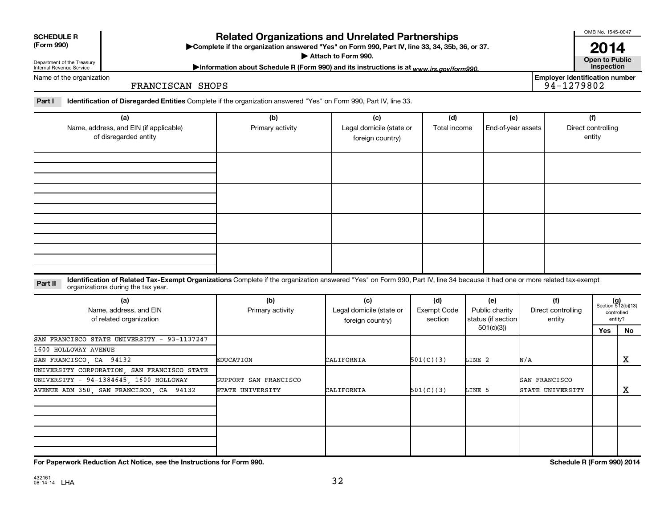| <b>SCHEDULE R</b> |
|-------------------|
|                   |

# **Related Organizations and Unrelated Partnerships**

**(Form 990) Complete if the organization answered "Yes" on Form 990, Part IV, line 33, 34, 35b, 36, or 37.** |

▶ Attach to Form 990. **Open to Public** 

OMB No. 1545-0047

**2014**<br>Open to Public

**Employer identification number**

Department of the Treasury Internal Revenue Service

Information about Schedule R (Form 990) and its instructions is at www.irs.gov/form990.

Name of the organization

FRANCISCAN SHOPS

Part I ldentification of Disregarded Entities Complete if the organization answered "Yes" on Form 990, Part IV, line 33.

| (a)<br>Name, address, and EIN (if applicable)<br>of disregarded entity | (b)<br>Primary activity | (c)<br>Legal domicile (state or<br>foreign country) | (d)<br>Total income | (e)<br>End-of-year assets | (f)<br>Direct controlling<br>entity |
|------------------------------------------------------------------------|-------------------------|-----------------------------------------------------|---------------------|---------------------------|-------------------------------------|
|                                                                        |                         |                                                     |                     |                           |                                     |
|                                                                        |                         |                                                     |                     |                           |                                     |
|                                                                        |                         |                                                     |                     |                           |                                     |
|                                                                        |                         |                                                     |                     |                           |                                     |

#### **Part II** Identification of Related Tax-Exempt Organizations Complete if the organization answered "Yes" on Form 990, Part IV, line 34 because it had one or more related tax-exempt<br>Complete it is a seriest of the two wears organizations during the tax year.

| (a)<br>Name, address, and EIN<br>of related organization | (b)<br>Primary activity | (c)<br>Legal domicile (state or<br>foreign country) | (d)<br>Exempt Code<br>section | (e)<br>Public charity<br>status (if section | (f)<br>Direct controlling<br>entity |     | $(g)$<br>Section 512(b)(13)<br>controlled<br>entity? |
|----------------------------------------------------------|-------------------------|-----------------------------------------------------|-------------------------------|---------------------------------------------|-------------------------------------|-----|------------------------------------------------------|
|                                                          |                         |                                                     |                               | 501(c)(3))                                  |                                     | Yes | No                                                   |
| SAN FRANCISCO STATE UNIVERSITY - 93-1137247              |                         |                                                     |                               |                                             |                                     |     |                                                      |
| 1600 HOLLOWAY AVENUE                                     |                         |                                                     |                               |                                             |                                     |     |                                                      |
| SAN FRANCISCO, CA 94132                                  | EDUCATION               | CALIFORNIA                                          | 501(C)(3)                     | LINE 2                                      | N/A                                 |     | X                                                    |
| UNIVERSITY CORPORATION, SAN FRANCISCO STATE              |                         |                                                     |                               |                                             |                                     |     |                                                      |
| UNIVERSITY - 94-1384645, 1600 HOLLOWAY                   | SUPPORT SAN FRANCISCO   |                                                     |                               |                                             | SAN FRANCISCO                       |     |                                                      |
| AVENUE ADM 350, SAN FRANCISCO, CA 94132                  | STATE UNIVERSITY        | CALIFORNIA                                          | 501(C)(3)                     | LINE 5                                      | STATE UNIVERSITY                    |     | х                                                    |
|                                                          |                         |                                                     |                               |                                             |                                     |     |                                                      |
|                                                          |                         |                                                     |                               |                                             |                                     |     |                                                      |
|                                                          |                         |                                                     |                               |                                             |                                     |     |                                                      |
|                                                          |                         |                                                     |                               |                                             |                                     |     |                                                      |

**For Paperwork Reduction Act Notice, see the Instructions for Form 990. Schedule R (Form 990) 2014**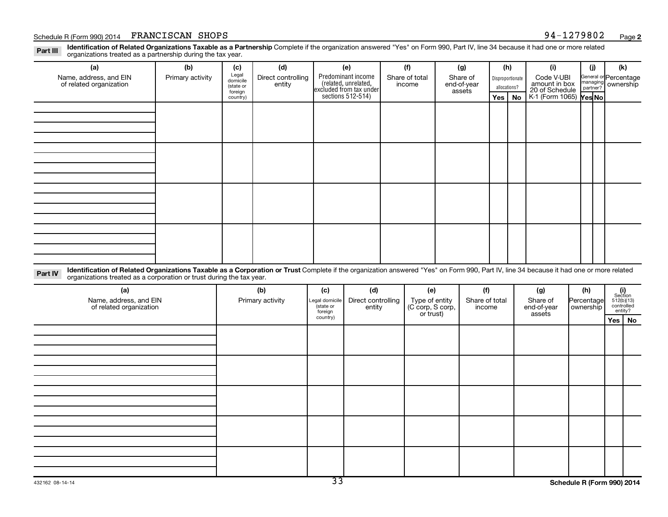#### Schedule R (Form 990) 2014 FRANCISCAN SHOPS and the state of the state of the state of the state of the state of the state of the state of the state of the state of the state of the state of the state of the state of the s

Part III Identification of Related Organizations Taxable as a Partnership Complete if the organization answered "Yes" on Form 990, Part IV, line 34 because it had one or more related<br>Read to the organizations tracted as a organizations treated as a partnership during the tax year.

| (a)                                                                                                                                                                                               | (b)              | (c)                                       | (d)                          | (e)                                                                   | (f)                      | (g)                               |     | (h)                              | (i)                                           | (i) | (k)                                         |
|---------------------------------------------------------------------------------------------------------------------------------------------------------------------------------------------------|------------------|-------------------------------------------|------------------------------|-----------------------------------------------------------------------|--------------------------|-----------------------------------|-----|----------------------------------|-----------------------------------------------|-----|---------------------------------------------|
| Name, address, and EIN<br>of related organization                                                                                                                                                 | Primary activity | Legal<br>domicile<br>(state or<br>foreign | Direct controlling<br>entity | Predominant income<br>(related, unrelated,<br>excluded from tax under | Share of total<br>income | Share of<br>end-of-year<br>assets |     | Disproportionate<br>allocations? | Code V-UBI<br>amount in box<br>20 of Schedule |     | General or Percentage<br>managing ownership |
|                                                                                                                                                                                                   |                  | country)                                  |                              | sections $512-514$ )                                                  |                          |                                   | Yes | No                               | K-1 (Form 1065) Yes No                        |     |                                             |
|                                                                                                                                                                                                   |                  |                                           |                              |                                                                       |                          |                                   |     |                                  |                                               |     |                                             |
|                                                                                                                                                                                                   |                  |                                           |                              |                                                                       |                          |                                   |     |                                  |                                               |     |                                             |
|                                                                                                                                                                                                   |                  |                                           |                              |                                                                       |                          |                                   |     |                                  |                                               |     |                                             |
|                                                                                                                                                                                                   |                  |                                           |                              |                                                                       |                          |                                   |     |                                  |                                               |     |                                             |
|                                                                                                                                                                                                   |                  |                                           |                              |                                                                       |                          |                                   |     |                                  |                                               |     |                                             |
|                                                                                                                                                                                                   |                  |                                           |                              |                                                                       |                          |                                   |     |                                  |                                               |     |                                             |
|                                                                                                                                                                                                   |                  |                                           |                              |                                                                       |                          |                                   |     |                                  |                                               |     |                                             |
|                                                                                                                                                                                                   |                  |                                           |                              |                                                                       |                          |                                   |     |                                  |                                               |     |                                             |
|                                                                                                                                                                                                   |                  |                                           |                              |                                                                       |                          |                                   |     |                                  |                                               |     |                                             |
|                                                                                                                                                                                                   |                  |                                           |                              |                                                                       |                          |                                   |     |                                  |                                               |     |                                             |
|                                                                                                                                                                                                   |                  |                                           |                              |                                                                       |                          |                                   |     |                                  |                                               |     |                                             |
|                                                                                                                                                                                                   |                  |                                           |                              |                                                                       |                          |                                   |     |                                  |                                               |     |                                             |
|                                                                                                                                                                                                   |                  |                                           |                              |                                                                       |                          |                                   |     |                                  |                                               |     |                                             |
|                                                                                                                                                                                                   |                  |                                           |                              |                                                                       |                          |                                   |     |                                  |                                               |     |                                             |
|                                                                                                                                                                                                   |                  |                                           |                              |                                                                       |                          |                                   |     |                                  |                                               |     |                                             |
|                                                                                                                                                                                                   |                  |                                           |                              |                                                                       |                          |                                   |     |                                  |                                               |     |                                             |
| Identification of Related Organizations Taxable as a Corporation or Trust Complete if the organization answered "Yes" on Form 990, Part IV, line 34 because it had one or more related<br>Part IV |                  |                                           |                              |                                                                       |                          |                                   |     |                                  |                                               |     |                                             |

**Part IV** Identification of Related Organizations Taxable as a Corporation or Trust lorganizations treated as a corporation or trust lorganizations treated as a corporation or trust during the tax year.

| (a)<br>Name, address, and EIN<br>of related organization | (b)<br>Primary activity | (c)<br>Legal domicile<br>state or<br>foreign | (d)<br>Direct controlling<br>entity | (e)<br>Type of entity<br>(C corp, S corp,<br>or trust) | (f)<br>Share of total<br>income | (g)<br>Share of<br>end-of-year<br>assets | (h)<br>Percentage<br>ownership | $\begin{array}{c} \textbf{(i)}\\ \text{Section}\\ 512 \text{(b)} \text{(13)}\\ \text{controlled} \\ \text{entity?} \end{array}$ |
|----------------------------------------------------------|-------------------------|----------------------------------------------|-------------------------------------|--------------------------------------------------------|---------------------------------|------------------------------------------|--------------------------------|---------------------------------------------------------------------------------------------------------------------------------|
|                                                          |                         | country)                                     |                                     |                                                        |                                 |                                          |                                | Yes   No                                                                                                                        |
|                                                          |                         |                                              |                                     |                                                        |                                 |                                          |                                |                                                                                                                                 |
|                                                          |                         |                                              |                                     |                                                        |                                 |                                          |                                |                                                                                                                                 |
|                                                          |                         |                                              |                                     |                                                        |                                 |                                          |                                |                                                                                                                                 |
|                                                          |                         |                                              |                                     |                                                        |                                 |                                          |                                |                                                                                                                                 |
|                                                          |                         |                                              |                                     |                                                        |                                 |                                          |                                |                                                                                                                                 |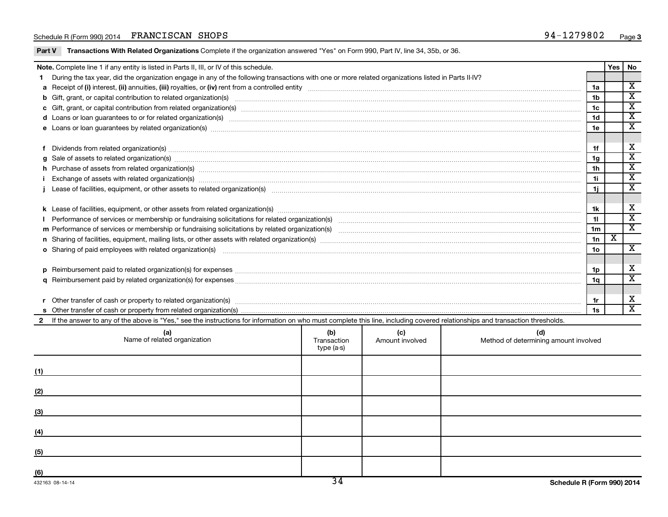#### Schedule R (Form 990) 2014 FRANCISCAN SHOPS and the state of the state of the state of the state of the state of the state of the state of the state of the state of the state of the state of the state of the state of the s

Part V Transactions With Related Organizations Complete if the organization answered "Yes" on Form 990, Part IV, line 34, 35b, or 36.

|  | Note. Complete line 1 if any entity is listed in Parts II, III, or IV of this schedule.                                                                                                                                        |                 | Yes | <b>No</b>                                        |  |  |  |  |
|--|--------------------------------------------------------------------------------------------------------------------------------------------------------------------------------------------------------------------------------|-----------------|-----|--------------------------------------------------|--|--|--|--|
|  | During the tax year, did the organization engage in any of the following transactions with one or more related organizations listed in Parts II-IV?                                                                            |                 |     |                                                  |  |  |  |  |
|  |                                                                                                                                                                                                                                | 1a              |     | X                                                |  |  |  |  |
|  | b Gift, grant, or capital contribution to related organization(s) manufactured content and content of the contribution to related organization(s) manufactured content and content of the content of the content of the conten | 1 <sub>b</sub>  |     | $\overline{\textbf{x}}$<br>$\overline{\text{x}}$ |  |  |  |  |
|  |                                                                                                                                                                                                                                |                 |     |                                                  |  |  |  |  |
|  | d Loans or loan guarantees to or for related organization(s) Entertainment content to contact the content of the content of the content of the content of the content of the content of the content of the content of the cont | 1 <sub>d</sub>  |     | $\overline{\textbf{x}}$                          |  |  |  |  |
|  | e Loans or loan guarantees by related organization(s) manufaction(s) and contain an accountant contained and contained and contained and contained and contained and contained and contained and contained and contained and c | 1e              |     | $\overline{\texttt{x}}$                          |  |  |  |  |
|  |                                                                                                                                                                                                                                |                 |     |                                                  |  |  |  |  |
|  |                                                                                                                                                                                                                                | 1f              |     | х                                                |  |  |  |  |
|  | $g$ Sale of assets to related organization(s) measurements are constructed as a set of assets to related organization(s) measurements are constructed assets to related organization(s) measurements are constructed as a set  | 1 <sub>g</sub>  |     | $\overline{\mathbf{x}}$                          |  |  |  |  |
|  | h Purchase of assets from related organization(s) manufactured and content to content the content of assets from related organization(s) manufactured and content and content of the content of the content of the content of  | 1 <sub>h</sub>  |     | $\overline{\textbf{x}}$                          |  |  |  |  |
|  | Exchange of assets with related organization(s) www.wallen.com/www.wallen.com/www.wallen.com/www.wallen.com/www.wallen.com/www.wallen.com/www.wallen.com/www.wallen.com/www.wallen.com/www.wallen.com/www.wallen.com/www.walle | 1i              |     | $\overline{\text{x}}$                            |  |  |  |  |
|  |                                                                                                                                                                                                                                | 1j              |     | $\mathbf x$                                      |  |  |  |  |
|  |                                                                                                                                                                                                                                |                 |     |                                                  |  |  |  |  |
|  |                                                                                                                                                                                                                                | 1k              |     | х                                                |  |  |  |  |
|  |                                                                                                                                                                                                                                | 11              |     | $\overline{\texttt{x}}$                          |  |  |  |  |
|  |                                                                                                                                                                                                                                | 1 <sub>m</sub>  |     | $\overline{\textbf{x}}$                          |  |  |  |  |
|  |                                                                                                                                                                                                                                | 1n              | х   |                                                  |  |  |  |  |
|  | o Sharing of paid employees with related organization(s) manufaction(s) and contain an examinary contained and the state organization(s) and contained and contained and contained and contained and state or Sharing of Daily | 10 <sub>o</sub> |     | $\overline{\mathbf{x}}$                          |  |  |  |  |
|  |                                                                                                                                                                                                                                |                 |     |                                                  |  |  |  |  |
|  |                                                                                                                                                                                                                                | 1p              |     | х                                                |  |  |  |  |
|  |                                                                                                                                                                                                                                | 1q              |     | $\mathbf x$                                      |  |  |  |  |
|  |                                                                                                                                                                                                                                |                 |     |                                                  |  |  |  |  |
|  | Other transfer of cash or property to related organization(s) COLOGO CONSERVING CONSERVING SUPERFECT OF CASH OF THE CONSERVING SUPERFECT OF CASH OF THE CONSERVING SUPERFECT OF CASH OF THE CONSERVING SUPERFECT OF CONSERVING | 1r              |     | х                                                |  |  |  |  |
|  |                                                                                                                                                                                                                                | 1s              |     | х                                                |  |  |  |  |
|  | If the answer to any of the above is "Yes," see the instructions for information on who must complete this line, including covered relationships and transaction thresholds.                                                   |                 |     |                                                  |  |  |  |  |
|  |                                                                                                                                                                                                                                |                 |     |                                                  |  |  |  |  |

|                 | (a)<br>Name of related organization | (b)<br>Transaction<br>type (a-s) | (c)<br>Amount involved | (d)<br>Method of determining amount involved |
|-----------------|-------------------------------------|----------------------------------|------------------------|----------------------------------------------|
| (1)             |                                     |                                  |                        |                                              |
| (2)             |                                     |                                  |                        |                                              |
| (3)             |                                     |                                  |                        |                                              |
| (4)             |                                     |                                  |                        |                                              |
| (5)             |                                     |                                  |                        |                                              |
| (6)             |                                     |                                  |                        |                                              |
| 432163 08-14-14 |                                     | 34                               |                        | Schedule R (Form 990) 2014                   |